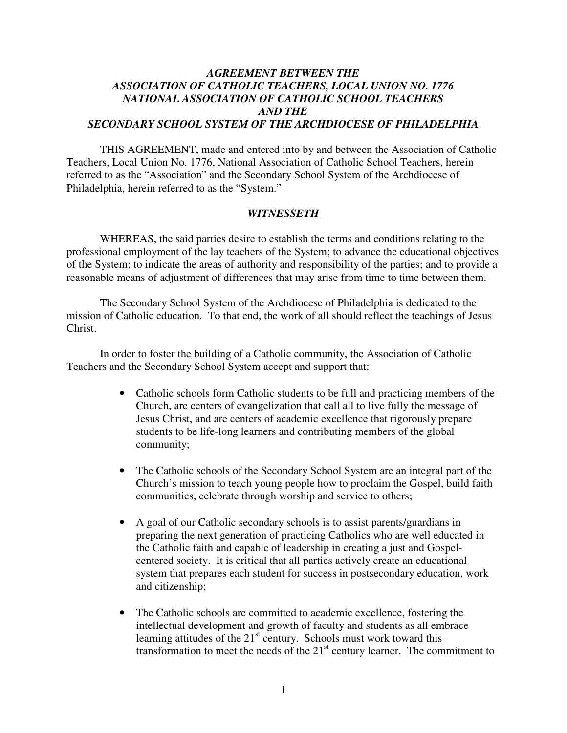### *AGREEMENT BETWEEN THE ASSOCIATION OF CATHOLIC TEACHERS, LOCAL UNION NO. 1776 NATIONAL ASSOCIATION OF CATHOLIC SCHOOL TEACHERS AND THE SECONDARY SCHOOL SYSTEM OF THE ARCHDIOCESE OF PHILADELPHIA*

THIS AGREEMENT, made and entered into by and between the Association of Catholic Teachers, Local Union No. 1776, National Association of Catholic School Teachers, herein referred to as the "Association" and the Secondary School System of the Archdiocese of Philadelphia, herein referred to as the "System."

#### *WITNESSETH*

WHEREAS, the said parties desire to establish the terms and conditions relating to the professional employment of the lay teachers of the System; to advance the educational objectives of the System; to indicate the areas of authority and responsibility of the parties; and to provide a reasonable means of adjustment of differences that may arise from time to time between them.

The Secondary School System of the Archdiocese of Philadelphia is dedicated to the mission of Catholic education. To that end, the work of all should reflect the teachings of Jesus Christ.

 In order to foster the building of a Catholic community, the Association of Catholic Teachers and the Secondary School System accept and support that:

- Catholic schools form Catholic students to be full and practicing members of the Church, are centers of evangelization that call all to live fully the message of Jesus Christ, and are centers of academic excellence that rigorously prepare students to be life-long learners and contributing members of the global community;
- The Catholic schools of the Secondary School System are an integral part of the Church's mission to teach young people how to proclaim the Gospel, build faith communities, celebrate through worship and service to others;
- A goal of our Catholic secondary schools is to assist parents/guardians in preparing the next generation of practicing Catholics who are well educated in the Catholic faith and capable of leadership in creating a just and Gospelcentered society. It is critical that all parties actively create an educational system that prepares each student for success in postsecondary education, work and citizenship;
- The Catholic schools are committed to academic excellence, fostering the intellectual development and growth of faculty and students as all embrace learning attitudes of the  $21<sup>st</sup>$  century. Schools must work toward this transformation to meet the needs of the  $21<sup>st</sup>$  century learner. The commitment to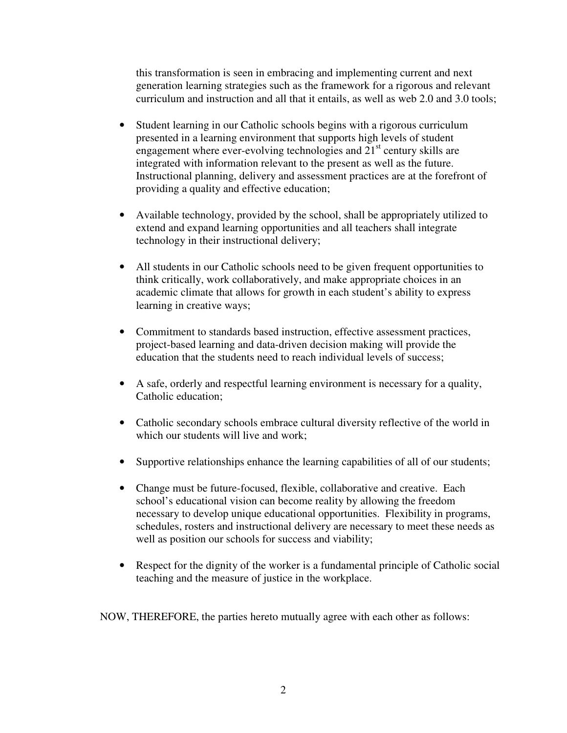this transformation is seen in embracing and implementing current and next generation learning strategies such as the framework for a rigorous and relevant curriculum and instruction and all that it entails, as well as web 2.0 and 3.0 tools;

- Student learning in our Catholic schools begins with a rigorous curriculum presented in a learning environment that supports high levels of student engagement where ever-evolving technologies and  $21<sup>st</sup>$  century skills are integrated with information relevant to the present as well as the future. Instructional planning, delivery and assessment practices are at the forefront of providing a quality and effective education;
- Available technology, provided by the school, shall be appropriately utilized to extend and expand learning opportunities and all teachers shall integrate technology in their instructional delivery;
- All students in our Catholic schools need to be given frequent opportunities to think critically, work collaboratively, and make appropriate choices in an academic climate that allows for growth in each student's ability to express learning in creative ways;
- Commitment to standards based instruction, effective assessment practices, project-based learning and data-driven decision making will provide the education that the students need to reach individual levels of success;
- A safe, orderly and respectful learning environment is necessary for a quality, Catholic education;
- Catholic secondary schools embrace cultural diversity reflective of the world in which our students will live and work:
- Supportive relationships enhance the learning capabilities of all of our students;
- Change must be future-focused, flexible, collaborative and creative. Each school's educational vision can become reality by allowing the freedom necessary to develop unique educational opportunities. Flexibility in programs, schedules, rosters and instructional delivery are necessary to meet these needs as well as position our schools for success and viability;
- Respect for the dignity of the worker is a fundamental principle of Catholic social teaching and the measure of justice in the workplace.

NOW, THEREFORE, the parties hereto mutually agree with each other as follows: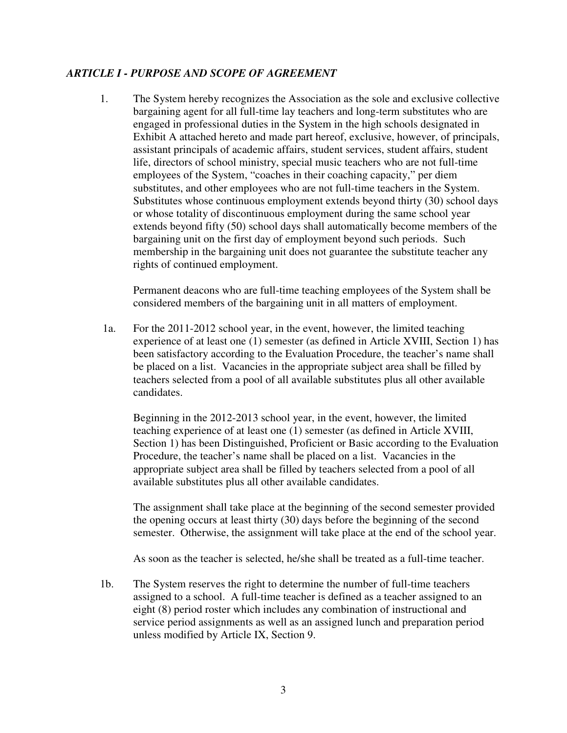## *ARTICLE I - PURPOSE AND SCOPE OF AGREEMENT*

1. The System hereby recognizes the Association as the sole and exclusive collective bargaining agent for all full-time lay teachers and long-term substitutes who are engaged in professional duties in the System in the high schools designated in Exhibit A attached hereto and made part hereof, exclusive, however, of principals, assistant principals of academic affairs, student services, student affairs, student life, directors of school ministry, special music teachers who are not full-time employees of the System, "coaches in their coaching capacity," per diem substitutes, and other employees who are not full-time teachers in the System. Substitutes whose continuous employment extends beyond thirty (30) school days or whose totality of discontinuous employment during the same school year extends beyond fifty (50) school days shall automatically become members of the bargaining unit on the first day of employment beyond such periods. Such membership in the bargaining unit does not guarantee the substitute teacher any rights of continued employment.

Permanent deacons who are full-time teaching employees of the System shall be considered members of the bargaining unit in all matters of employment.

1a. For the 2011-2012 school year, in the event, however, the limited teaching experience of at least one (1) semester (as defined in Article XVIII, Section 1) has been satisfactory according to the Evaluation Procedure, the teacher's name shall be placed on a list. Vacancies in the appropriate subject area shall be filled by teachers selected from a pool of all available substitutes plus all other available candidates.

 Beginning in the 2012-2013 school year, in the event, however, the limited teaching experience of at least one (1) semester (as defined in Article XVIII, Section 1) has been Distinguished, Proficient or Basic according to the Evaluation Procedure, the teacher's name shall be placed on a list. Vacancies in the appropriate subject area shall be filled by teachers selected from a pool of all available substitutes plus all other available candidates.

 The assignment shall take place at the beginning of the second semester provided the opening occurs at least thirty (30) days before the beginning of the second semester. Otherwise, the assignment will take place at the end of the school year.

As soon as the teacher is selected, he/she shall be treated as a full-time teacher.

 1b. The System reserves the right to determine the number of full-time teachers assigned to a school. A full-time teacher is defined as a teacher assigned to an eight (8) period roster which includes any combination of instructional and service period assignments as well as an assigned lunch and preparation period unless modified by Article IX, Section 9.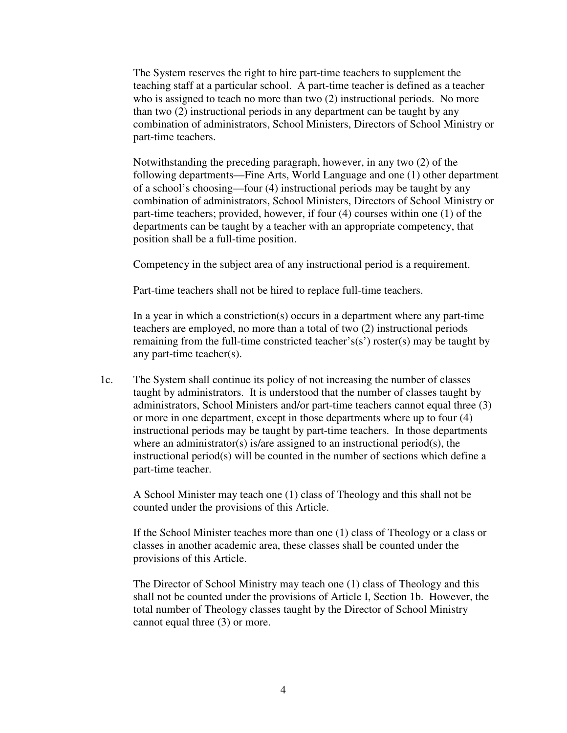The System reserves the right to hire part-time teachers to supplement the teaching staff at a particular school. A part-time teacher is defined as a teacher who is assigned to teach no more than two (2) instructional periods. No more than two (2) instructional periods in any department can be taught by any combination of administrators, School Ministers, Directors of School Ministry or part-time teachers.

 Notwithstanding the preceding paragraph, however, in any two (2) of the following departments—Fine Arts, World Language and one (1) other department of a school's choosing—four (4) instructional periods may be taught by any combination of administrators, School Ministers, Directors of School Ministry or part-time teachers; provided, however, if four (4) courses within one (1) of the departments can be taught by a teacher with an appropriate competency, that position shall be a full-time position.

Competency in the subject area of any instructional period is a requirement.

Part-time teachers shall not be hired to replace full-time teachers.

 In a year in which a constriction(s) occurs in a department where any part-time teachers are employed, no more than a total of two (2) instructional periods remaining from the full-time constricted teacher's(s') roster(s) may be taught by any part-time teacher(s).

1c. The System shall continue its policy of not increasing the number of classes taught by administrators. It is understood that the number of classes taught by administrators, School Ministers and/or part-time teachers cannot equal three (3) or more in one department, except in those departments where up to four (4) instructional periods may be taught by part-time teachers. In those departments where an administrator(s) is/are assigned to an instructional period(s), the instructional period(s) will be counted in the number of sections which define a part-time teacher.

 A School Minister may teach one (1) class of Theology and this shall not be counted under the provisions of this Article.

 If the School Minister teaches more than one (1) class of Theology or a class or classes in another academic area, these classes shall be counted under the provisions of this Article.

 The Director of School Ministry may teach one (1) class of Theology and this shall not be counted under the provisions of Article I, Section 1b. However, the total number of Theology classes taught by the Director of School Ministry cannot equal three (3) or more.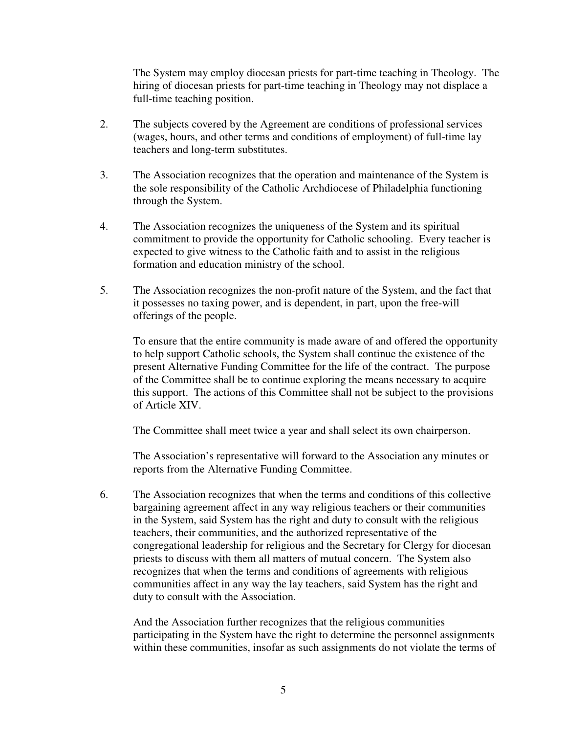The System may employ diocesan priests for part-time teaching in Theology. The hiring of diocesan priests for part-time teaching in Theology may not displace a full-time teaching position.

- 2. The subjects covered by the Agreement are conditions of professional services (wages, hours, and other terms and conditions of employment) of full-time lay teachers and long-term substitutes.
- 3. The Association recognizes that the operation and maintenance of the System is the sole responsibility of the Catholic Archdiocese of Philadelphia functioning through the System.
- 4. The Association recognizes the uniqueness of the System and its spiritual commitment to provide the opportunity for Catholic schooling. Every teacher is expected to give witness to the Catholic faith and to assist in the religious formation and education ministry of the school.
- 5. The Association recognizes the non-profit nature of the System, and the fact that it possesses no taxing power, and is dependent, in part, upon the free-will offerings of the people.

To ensure that the entire community is made aware of and offered the opportunity to help support Catholic schools, the System shall continue the existence of the present Alternative Funding Committee for the life of the contract. The purpose of the Committee shall be to continue exploring the means necessary to acquire this support. The actions of this Committee shall not be subject to the provisions of Article XIV.

The Committee shall meet twice a year and shall select its own chairperson.

 The Association's representative will forward to the Association any minutes or reports from the Alternative Funding Committee.

6. The Association recognizes that when the terms and conditions of this collective bargaining agreement affect in any way religious teachers or their communities in the System, said System has the right and duty to consult with the religious teachers, their communities, and the authorized representative of the congregational leadership for religious and the Secretary for Clergy for diocesan priests to discuss with them all matters of mutual concern. The System also recognizes that when the terms and conditions of agreements with religious communities affect in any way the lay teachers, said System has the right and duty to consult with the Association.

And the Association further recognizes that the religious communities participating in the System have the right to determine the personnel assignments within these communities, insofar as such assignments do not violate the terms of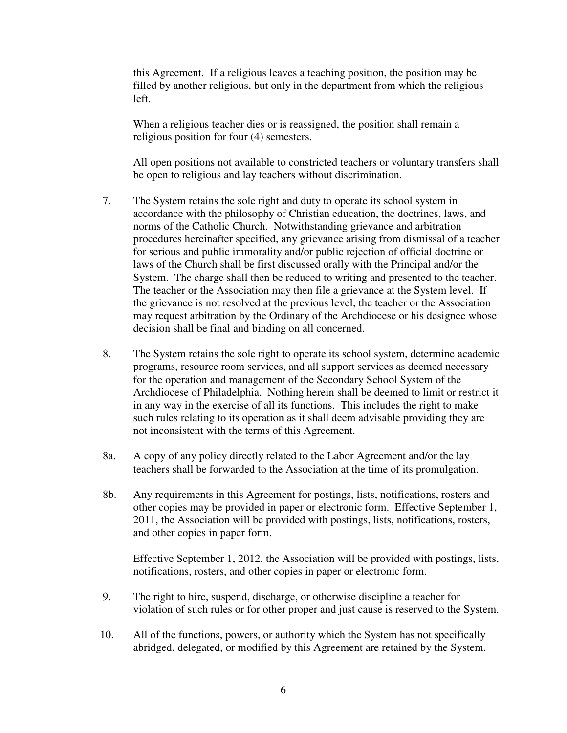this Agreement. If a religious leaves a teaching position, the position may be filled by another religious, but only in the department from which the religious left.

 When a religious teacher dies or is reassigned, the position shall remain a religious position for four (4) semesters.

 All open positions not available to constricted teachers or voluntary transfers shall be open to religious and lay teachers without discrimination.

- 7. The System retains the sole right and duty to operate its school system in accordance with the philosophy of Christian education, the doctrines, laws, and norms of the Catholic Church. Notwithstanding grievance and arbitration procedures hereinafter specified, any grievance arising from dismissal of a teacher for serious and public immorality and/or public rejection of official doctrine or laws of the Church shall be first discussed orally with the Principal and/or the System. The charge shall then be reduced to writing and presented to the teacher. The teacher or the Association may then file a grievance at the System level. If the grievance is not resolved at the previous level, the teacher or the Association may request arbitration by the Ordinary of the Archdiocese or his designee whose decision shall be final and binding on all concerned.
- 8. The System retains the sole right to operate its school system, determine academic programs, resource room services, and all support services as deemed necessary for the operation and management of the Secondary School System of the Archdiocese of Philadelphia. Nothing herein shall be deemed to limit or restrict it in any way in the exercise of all its functions. This includes the right to make such rules relating to its operation as it shall deem advisable providing they are not inconsistent with the terms of this Agreement.
- 8a. A copy of any policy directly related to the Labor Agreement and/or the lay teachers shall be forwarded to the Association at the time of its promulgation.
- 8b. Any requirements in this Agreement for postings, lists, notifications, rosters and other copies may be provided in paper or electronic form. Effective September 1, 2011, the Association will be provided with postings, lists, notifications, rosters, and other copies in paper form.

Effective September 1, 2012, the Association will be provided with postings, lists, notifications, rosters, and other copies in paper or electronic form.

- 9. The right to hire, suspend, discharge, or otherwise discipline a teacher for violation of such rules or for other proper and just cause is reserved to the System.
- 10. All of the functions, powers, or authority which the System has not specifically abridged, delegated, or modified by this Agreement are retained by the System.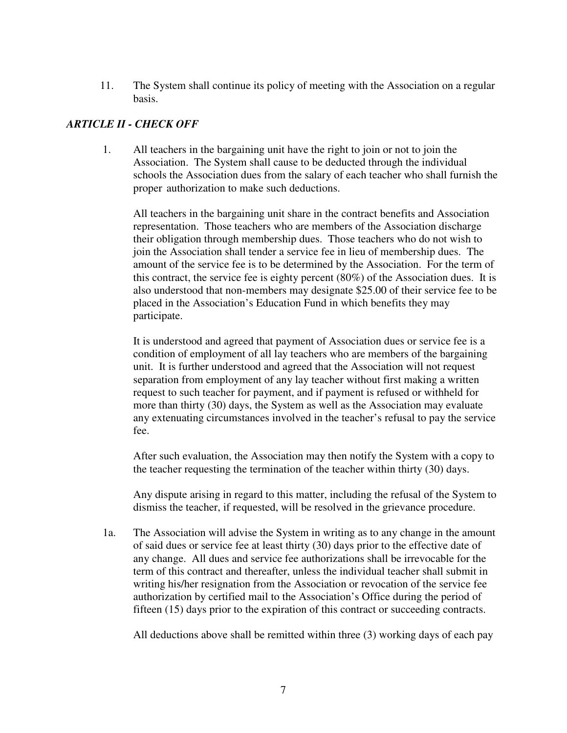11. The System shall continue its policy of meeting with the Association on a regular basis.

# *ARTICLE II - CHECK OFF*

 1. All teachers in the bargaining unit have the right to join or not to join the Association. The System shall cause to be deducted through the individual schools the Association dues from the salary of each teacher who shall furnish the proper authorization to make such deductions.

 All teachers in the bargaining unit share in the contract benefits and Association representation. Those teachers who are members of the Association discharge their obligation through membership dues. Those teachers who do not wish to join the Association shall tender a service fee in lieu of membership dues. The amount of the service fee is to be determined by the Association. For the term of this contract, the service fee is eighty percent (80%) of the Association dues. It is also understood that non-members may designate \$25.00 of their service fee to be placed in the Association's Education Fund in which benefits they may participate.

 It is understood and agreed that payment of Association dues or service fee is a condition of employment of all lay teachers who are members of the bargaining unit. It is further understood and agreed that the Association will not request separation from employment of any lay teacher without first making a written request to such teacher for payment, and if payment is refused or withheld for more than thirty (30) days, the System as well as the Association may evaluate any extenuating circumstances involved in the teacher's refusal to pay the service fee.

After such evaluation, the Association may then notify the System with a copy to the teacher requesting the termination of the teacher within thirty (30) days.

Any dispute arising in regard to this matter, including the refusal of the System to dismiss the teacher, if requested, will be resolved in the grievance procedure.

1a. The Association will advise the System in writing as to any change in the amount of said dues or service fee at least thirty (30) days prior to the effective date of any change. All dues and service fee authorizations shall be irrevocable for the term of this contract and thereafter, unless the individual teacher shall submit in writing his/her resignation from the Association or revocation of the service fee authorization by certified mail to the Association's Office during the period of fifteen (15) days prior to the expiration of this contract or succeeding contracts.

All deductions above shall be remitted within three (3) working days of each pay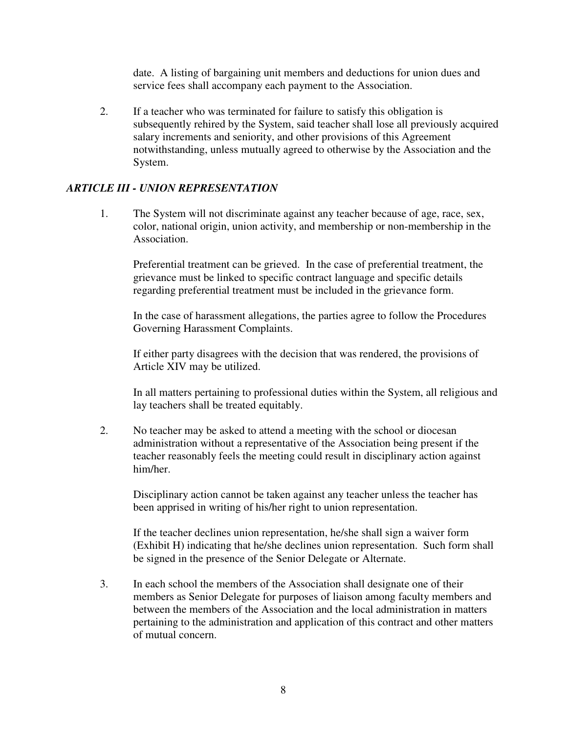date. A listing of bargaining unit members and deductions for union dues and service fees shall accompany each payment to the Association.

2. If a teacher who was terminated for failure to satisfy this obligation is subsequently rehired by the System, said teacher shall lose all previously acquired salary increments and seniority, and other provisions of this Agreement notwithstanding, unless mutually agreed to otherwise by the Association and the System.

# *ARTICLE III - UNION REPRESENTATION*

1. The System will not discriminate against any teacher because of age, race, sex, color, national origin, union activity, and membership or non-membership in the Association.

Preferential treatment can be grieved. In the case of preferential treatment, the grievance must be linked to specific contract language and specific details regarding preferential treatment must be included in the grievance form.

In the case of harassment allegations, the parties agree to follow the Procedures Governing Harassment Complaints.

If either party disagrees with the decision that was rendered, the provisions of Article XIV may be utilized.

In all matters pertaining to professional duties within the System, all religious and lay teachers shall be treated equitably.

2. No teacher may be asked to attend a meeting with the school or diocesan administration without a representative of the Association being present if the teacher reasonably feels the meeting could result in disciplinary action against him/her.

Disciplinary action cannot be taken against any teacher unless the teacher has been apprised in writing of his/her right to union representation.

If the teacher declines union representation, he/she shall sign a waiver form (Exhibit H) indicating that he/she declines union representation. Such form shall be signed in the presence of the Senior Delegate or Alternate.

3. In each school the members of the Association shall designate one of their members as Senior Delegate for purposes of liaison among faculty members and between the members of the Association and the local administration in matters pertaining to the administration and application of this contract and other matters of mutual concern.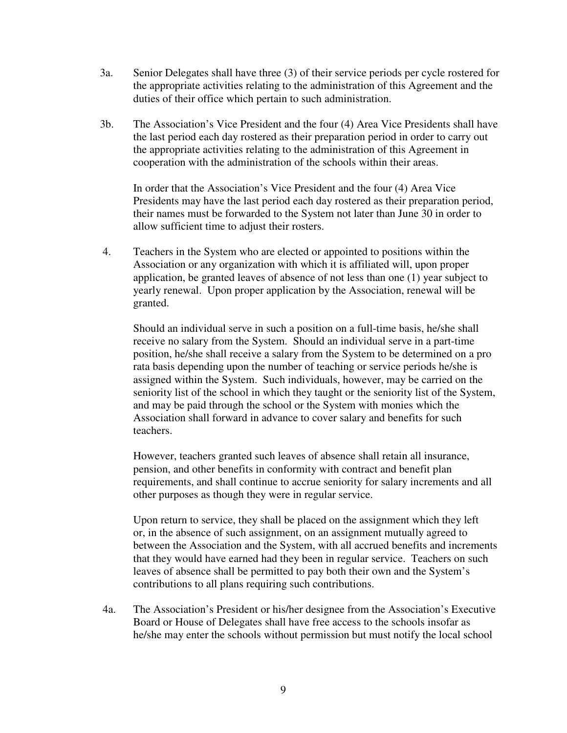- 3a. Senior Delegates shall have three (3) of their service periods per cycle rostered for the appropriate activities relating to the administration of this Agreement and the duties of their office which pertain to such administration.
- 3b. The Association's Vice President and the four (4) Area Vice Presidents shall have the last period each day rostered as their preparation period in order to carry out the appropriate activities relating to the administration of this Agreement in cooperation with the administration of the schools within their areas.

 In order that the Association's Vice President and the four (4) Area Vice Presidents may have the last period each day rostered as their preparation period, their names must be forwarded to the System not later than June 30 in order to allow sufficient time to adjust their rosters.

4. Teachers in the System who are elected or appointed to positions within the Association or any organization with which it is affiliated will, upon proper application, be granted leaves of absence of not less than one (1) year subject to yearly renewal. Upon proper application by the Association, renewal will be granted.

Should an individual serve in such a position on a full-time basis, he/she shall receive no salary from the System. Should an individual serve in a part-time position, he/she shall receive a salary from the System to be determined on a pro rata basis depending upon the number of teaching or service periods he/she is assigned within the System. Such individuals, however, may be carried on the seniority list of the school in which they taught or the seniority list of the System, and may be paid through the school or the System with monies which the Association shall forward in advance to cover salary and benefits for such teachers.

However, teachers granted such leaves of absence shall retain all insurance, pension, and other benefits in conformity with contract and benefit plan requirements, and shall continue to accrue seniority for salary increments and all other purposes as though they were in regular service.

Upon return to service, they shall be placed on the assignment which they left or, in the absence of such assignment, on an assignment mutually agreed to between the Association and the System, with all accrued benefits and increments that they would have earned had they been in regular service. Teachers on such leaves of absence shall be permitted to pay both their own and the System's contributions to all plans requiring such contributions.

 4a. The Association's President or his/her designee from the Association's Executive Board or House of Delegates shall have free access to the schools insofar as he/she may enter the schools without permission but must notify the local school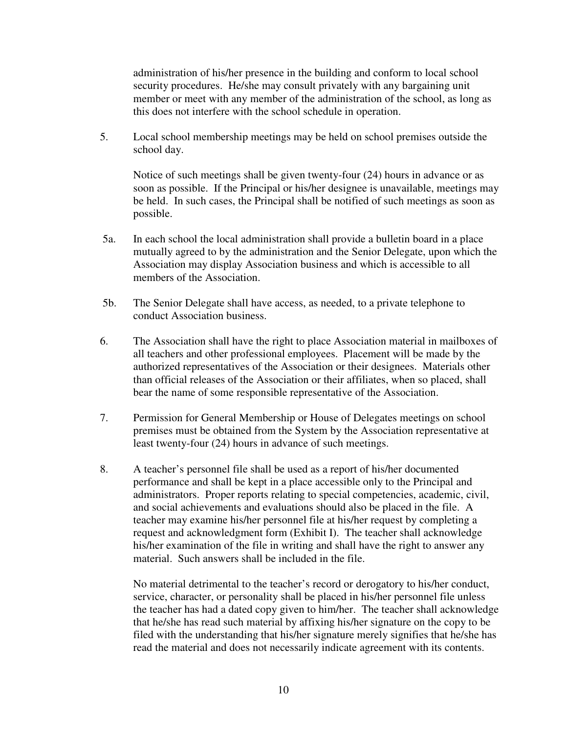administration of his/her presence in the building and conform to local school security procedures. He/she may consult privately with any bargaining unit member or meet with any member of the administration of the school, as long as this does not interfere with the school schedule in operation.

5. Local school membership meetings may be held on school premises outside the school day.

Notice of such meetings shall be given twenty-four (24) hours in advance or as soon as possible. If the Principal or his/her designee is unavailable, meetings may be held. In such cases, the Principal shall be notified of such meetings as soon as possible.

- 5a. In each school the local administration shall provide a bulletin board in a place mutually agreed to by the administration and the Senior Delegate, upon which the Association may display Association business and which is accessible to all members of the Association.
- 5b. The Senior Delegate shall have access, as needed, to a private telephone to conduct Association business.
- 6. The Association shall have the right to place Association material in mailboxes of all teachers and other professional employees. Placement will be made by the authorized representatives of the Association or their designees. Materials other than official releases of the Association or their affiliates, when so placed, shall bear the name of some responsible representative of the Association.
- 7. Permission for General Membership or House of Delegates meetings on school premises must be obtained from the System by the Association representative at least twenty-four (24) hours in advance of such meetings.
- 8. A teacher's personnel file shall be used as a report of his/her documented performance and shall be kept in a place accessible only to the Principal and administrators. Proper reports relating to special competencies, academic, civil, and social achievements and evaluations should also be placed in the file. A teacher may examine his/her personnel file at his/her request by completing a request and acknowledgment form (Exhibit I). The teacher shall acknowledge his/her examination of the file in writing and shall have the right to answer any material. Such answers shall be included in the file.

 No material detrimental to the teacher's record or derogatory to his/her conduct, service, character, or personality shall be placed in his/her personnel file unless the teacher has had a dated copy given to him/her. The teacher shall acknowledge that he/she has read such material by affixing his/her signature on the copy to be filed with the understanding that his/her signature merely signifies that he/she has read the material and does not necessarily indicate agreement with its contents.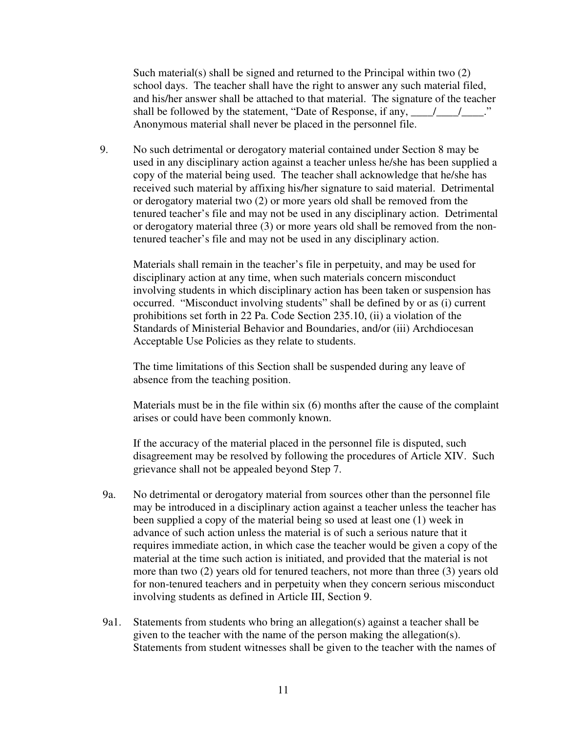Such material(s) shall be signed and returned to the Principal within two (2) school days. The teacher shall have the right to answer any such material filed, and his/her answer shall be attached to that material. The signature of the teacher shall be followed by the statement, "Date of Response, if any,  $\frac{1}{\sqrt{2}}$ Anonymous material shall never be placed in the personnel file.

9. No such detrimental or derogatory material contained under Section 8 may be used in any disciplinary action against a teacher unless he/she has been supplied a copy of the material being used. The teacher shall acknowledge that he/she has received such material by affixing his/her signature to said material. Detrimental or derogatory material two (2) or more years old shall be removed from the tenured teacher's file and may not be used in any disciplinary action. Detrimental or derogatory material three (3) or more years old shall be removed from the nontenured teacher's file and may not be used in any disciplinary action.

Materials shall remain in the teacher's file in perpetuity, and may be used for disciplinary action at any time, when such materials concern misconduct involving students in which disciplinary action has been taken or suspension has occurred. "Misconduct involving students" shall be defined by or as (i) current prohibitions set forth in 22 Pa. Code Section 235.10, (ii) a violation of the Standards of Ministerial Behavior and Boundaries, and/or (iii) Archdiocesan Acceptable Use Policies as they relate to students.

The time limitations of this Section shall be suspended during any leave of absence from the teaching position.

Materials must be in the file within six (6) months after the cause of the complaint arises or could have been commonly known.

If the accuracy of the material placed in the personnel file is disputed, such disagreement may be resolved by following the procedures of Article XIV. Such grievance shall not be appealed beyond Step 7.

- 9a. No detrimental or derogatory material from sources other than the personnel file may be introduced in a disciplinary action against a teacher unless the teacher has been supplied a copy of the material being so used at least one (1) week in advance of such action unless the material is of such a serious nature that it requires immediate action, in which case the teacher would be given a copy of the material at the time such action is initiated, and provided that the material is not more than two (2) years old for tenured teachers, not more than three (3) years old for non-tenured teachers and in perpetuity when they concern serious misconduct involving students as defined in Article III, Section 9.
- 9a1. Statements from students who bring an allegation(s) against a teacher shall be given to the teacher with the name of the person making the allegation(s). Statements from student witnesses shall be given to the teacher with the names of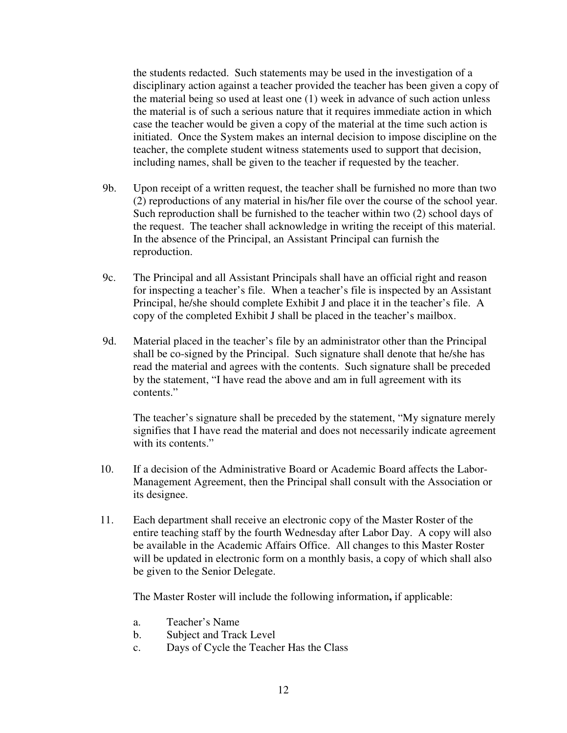the students redacted. Such statements may be used in the investigation of a disciplinary action against a teacher provided the teacher has been given a copy of the material being so used at least one (1) week in advance of such action unless the material is of such a serious nature that it requires immediate action in which case the teacher would be given a copy of the material at the time such action is initiated. Once the System makes an internal decision to impose discipline on the teacher, the complete student witness statements used to support that decision, including names, shall be given to the teacher if requested by the teacher.

- 9b. Upon receipt of a written request, the teacher shall be furnished no more than two (2) reproductions of any material in his/her file over the course of the school year. Such reproduction shall be furnished to the teacher within two (2) school days of the request. The teacher shall acknowledge in writing the receipt of this material. In the absence of the Principal, an Assistant Principal can furnish the reproduction.
- 9c. The Principal and all Assistant Principals shall have an official right and reason for inspecting a teacher's file. When a teacher's file is inspected by an Assistant Principal, he/she should complete Exhibit J and place it in the teacher's file. A copy of the completed Exhibit J shall be placed in the teacher's mailbox.
- 9d. Material placed in the teacher's file by an administrator other than the Principal shall be co-signed by the Principal. Such signature shall denote that he/she has read the material and agrees with the contents. Such signature shall be preceded by the statement, "I have read the above and am in full agreement with its contents."

 The teacher's signature shall be preceded by the statement, "My signature merely signifies that I have read the material and does not necessarily indicate agreement with its contents."

- 10. If a decision of the Administrative Board or Academic Board affects the Labor-Management Agreement, then the Principal shall consult with the Association or its designee.
- 11. Each department shall receive an electronic copy of the Master Roster of the entire teaching staff by the fourth Wednesday after Labor Day. A copy will also be available in the Academic Affairs Office. All changes to this Master Roster will be updated in electronic form on a monthly basis, a copy of which shall also be given to the Senior Delegate.

The Master Roster will include the following information**,** if applicable:

- a. Teacher's Name
- b. Subject and Track Level
- c. Days of Cycle the Teacher Has the Class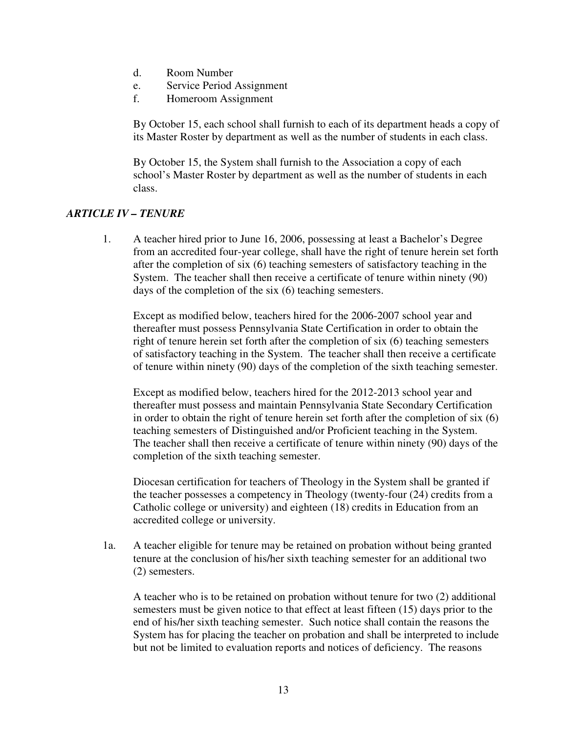- d. Room Number
- e. Service Period Assignment
- f. Homeroom Assignment

By October 15, each school shall furnish to each of its department heads a copy of its Master Roster by department as well as the number of students in each class.

By October 15, the System shall furnish to the Association a copy of each school's Master Roster by department as well as the number of students in each class.

### *ARTICLE IV – TENURE*

1. A teacher hired prior to June 16, 2006, possessing at least a Bachelor's Degree from an accredited four-year college, shall have the right of tenure herein set forth after the completion of six (6) teaching semesters of satisfactory teaching in the System. The teacher shall then receive a certificate of tenure within ninety (90) days of the completion of the six (6) teaching semesters.

Except as modified below, teachers hired for the 2006-2007 school year and thereafter must possess Pennsylvania State Certification in order to obtain the right of tenure herein set forth after the completion of six (6) teaching semesters of satisfactory teaching in the System. The teacher shall then receive a certificate of tenure within ninety (90) days of the completion of the sixth teaching semester.

Except as modified below, teachers hired for the 2012-2013 school year and thereafter must possess and maintain Pennsylvania State Secondary Certification in order to obtain the right of tenure herein set forth after the completion of six (6) teaching semesters of Distinguished and/or Proficient teaching in the System. The teacher shall then receive a certificate of tenure within ninety (90) days of the completion of the sixth teaching semester.

Diocesan certification for teachers of Theology in the System shall be granted if the teacher possesses a competency in Theology (twenty-four (24) credits from a Catholic college or university) and eighteen (18) credits in Education from an accredited college or university.

1a. A teacher eligible for tenure may be retained on probation without being granted tenure at the conclusion of his/her sixth teaching semester for an additional two (2) semesters.

 A teacher who is to be retained on probation without tenure for two (2) additional semesters must be given notice to that effect at least fifteen (15) days prior to the end of his/her sixth teaching semester. Such notice shall contain the reasons the System has for placing the teacher on probation and shall be interpreted to include but not be limited to evaluation reports and notices of deficiency. The reasons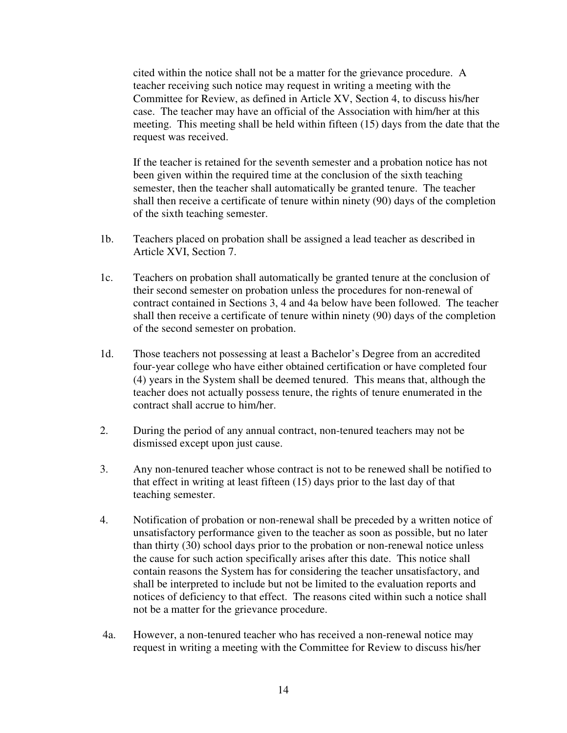cited within the notice shall not be a matter for the grievance procedure. A teacher receiving such notice may request in writing a meeting with the Committee for Review, as defined in Article XV, Section 4, to discuss his/her case. The teacher may have an official of the Association with him/her at this meeting. This meeting shall be held within fifteen (15) days from the date that the request was received.

If the teacher is retained for the seventh semester and a probation notice has not been given within the required time at the conclusion of the sixth teaching semester, then the teacher shall automatically be granted tenure. The teacher shall then receive a certificate of tenure within ninety (90) days of the completion of the sixth teaching semester.

- 1b. Teachers placed on probation shall be assigned a lead teacher as described in Article XVI, Section 7.
- 1c. Teachers on probation shall automatically be granted tenure at the conclusion of their second semester on probation unless the procedures for non-renewal of contract contained in Sections 3, 4 and 4a below have been followed. The teacher shall then receive a certificate of tenure within ninety (90) days of the completion of the second semester on probation.
- 1d. Those teachers not possessing at least a Bachelor's Degree from an accredited four-year college who have either obtained certification or have completed four (4) years in the System shall be deemed tenured. This means that, although the teacher does not actually possess tenure, the rights of tenure enumerated in the contract shall accrue to him/her.
- 2. During the period of any annual contract, non-tenured teachers may not be dismissed except upon just cause.
- 3. Any non-tenured teacher whose contract is not to be renewed shall be notified to that effect in writing at least fifteen (15) days prior to the last day of that teaching semester.
- 4. Notification of probation or non-renewal shall be preceded by a written notice of unsatisfactory performance given to the teacher as soon as possible, but no later than thirty (30) school days prior to the probation or non-renewal notice unless the cause for such action specifically arises after this date. This notice shall contain reasons the System has for considering the teacher unsatisfactory, and shall be interpreted to include but not be limited to the evaluation reports and notices of deficiency to that effect. The reasons cited within such a notice shall not be a matter for the grievance procedure.
- 4a. However, a non-tenured teacher who has received a non-renewal notice may request in writing a meeting with the Committee for Review to discuss his/her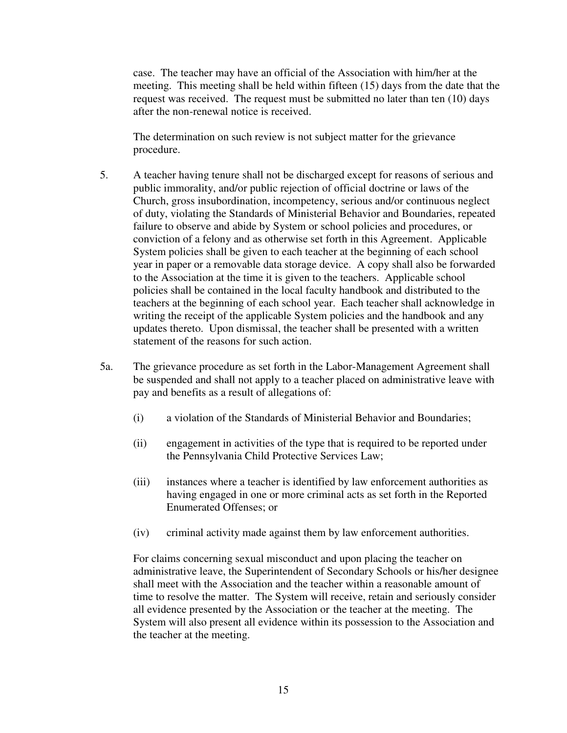case. The teacher may have an official of the Association with him/her at the meeting. This meeting shall be held within fifteen (15) days from the date that the request was received. The request must be submitted no later than ten (10) days after the non-renewal notice is received.

 The determination on such review is not subject matter for the grievance procedure.

- 5. A teacher having tenure shall not be discharged except for reasons of serious and public immorality, and/or public rejection of official doctrine or laws of the Church, gross insubordination, incompetency, serious and/or continuous neglect of duty, violating the Standards of Ministerial Behavior and Boundaries, repeated failure to observe and abide by System or school policies and procedures, or conviction of a felony and as otherwise set forth in this Agreement. Applicable System policies shall be given to each teacher at the beginning of each school year in paper or a removable data storage device. A copy shall also be forwarded to the Association at the time it is given to the teachers. Applicable school policies shall be contained in the local faculty handbook and distributed to the teachers at the beginning of each school year. Each teacher shall acknowledge in writing the receipt of the applicable System policies and the handbook and any updates thereto.Upon dismissal, the teacher shall be presented with a written statement of the reasons for such action.
- 5a. The grievance procedure as set forth in the Labor-Management Agreement shall be suspended and shall not apply to a teacher placed on administrative leave with pay and benefits as a result of allegations of:
	- (i) a violation of the Standards of Ministerial Behavior and Boundaries;
	- (ii) engagement in activities of the type that is required to be reported under the Pennsylvania Child Protective Services Law;
	- (iii) instances where a teacher is identified by law enforcement authorities as having engaged in one or more criminal acts as set forth in the Reported Enumerated Offenses; or
	- (iv) criminal activity made against them by law enforcement authorities.

 For claims concerning sexual misconduct and upon placing the teacher on administrative leave, the Superintendent of Secondary Schools or his/her designee shall meet with the Association and the teacher within a reasonable amount of time to resolve the matter. The System will receive, retain and seriously consider all evidence presented by the Association or the teacher at the meeting. The System will also present all evidence within its possession to the Association and the teacher at the meeting.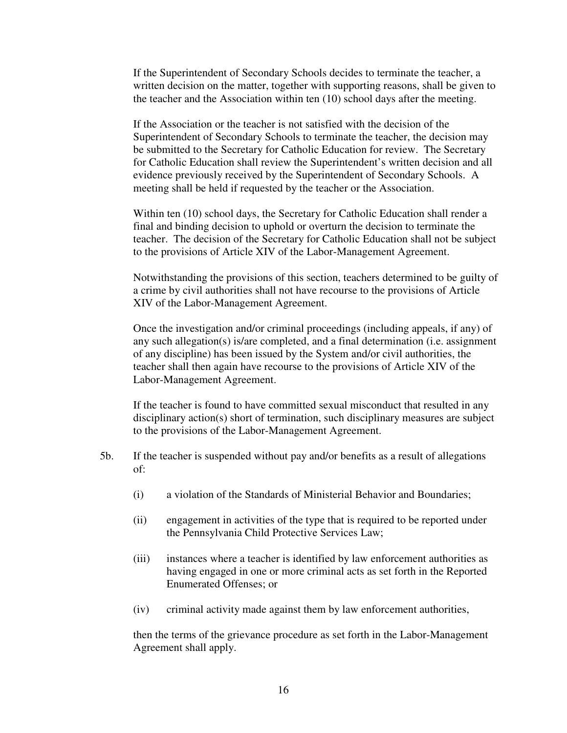If the Superintendent of Secondary Schools decides to terminate the teacher, a written decision on the matter, together with supporting reasons, shall be given to the teacher and the Association within ten (10) school days after the meeting.

 If the Association or the teacher is not satisfied with the decision of the Superintendent of Secondary Schools to terminate the teacher, the decision may be submitted to the Secretary for Catholic Education for review. The Secretary for Catholic Education shall review the Superintendent's written decision and all evidence previously received by the Superintendent of Secondary Schools. A meeting shall be held if requested by the teacher or the Association.

 Within ten (10) school days, the Secretary for Catholic Education shall render a final and binding decision to uphold or overturn the decision to terminate the teacher. The decision of the Secretary for Catholic Education shall not be subject to the provisions of Article XIV of the Labor-Management Agreement.

 Notwithstanding the provisions of this section, teachers determined to be guilty of a crime by civil authorities shall not have recourse to the provisions of Article XIV of the Labor-Management Agreement.

Once the investigation and/or criminal proceedings (including appeals, if any) of any such allegation(s) is/are completed, and a final determination (i.e. assignment of any discipline) has been issued by the System and/or civil authorities, the teacher shall then again have recourse to the provisions of Article XIV of the Labor-Management Agreement.

 If the teacher is found to have committed sexual misconduct that resulted in any disciplinary action(s) short of termination, such disciplinary measures are subject to the provisions of the Labor-Management Agreement.

- 5b. If the teacher is suspended without pay and/or benefits as a result of allegations of:
	- (i) a violation of the Standards of Ministerial Behavior and Boundaries;
	- (ii) engagement in activities of the type that is required to be reported under the Pennsylvania Child Protective Services Law;
	- (iii) instances where a teacher is identified by law enforcement authorities as having engaged in one or more criminal acts as set forth in the Reported Enumerated Offenses; or
	- (iv) criminal activity made against them by law enforcement authorities,

 then the terms of the grievance procedure as set forth in the Labor-Management Agreement shall apply.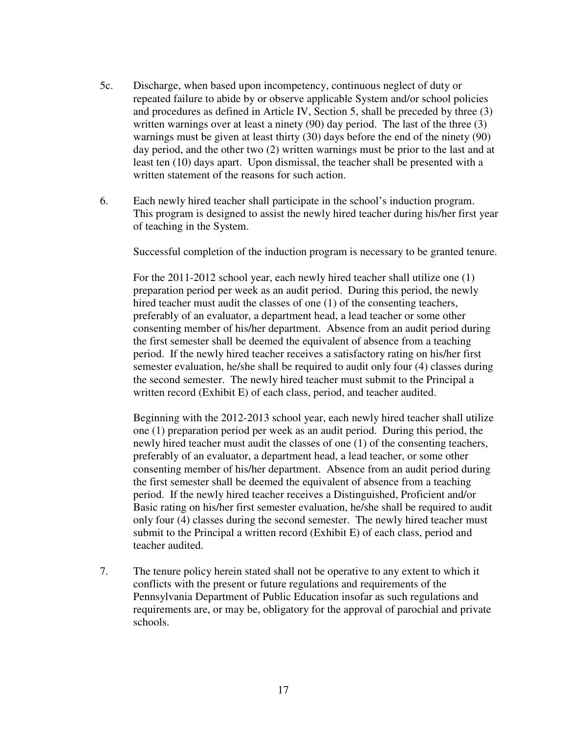- 5c. Discharge, when based upon incompetency, continuous neglect of duty or repeated failure to abide by or observe applicable System and/or school policies and procedures as defined in Article IV, Section 5, shall be preceded by three (3) written warnings over at least a ninety (90) day period. The last of the three (3) warnings must be given at least thirty (30) days before the end of the ninety (90) day period, and the other two (2) written warnings must be prior to the last and at least ten (10) days apart. Upon dismissal, the teacher shall be presented with a written statement of the reasons for such action.
- 6. Each newly hired teacher shall participate in the school's induction program. This program is designed to assist the newly hired teacher during his/her first year of teaching in the System.

Successful completion of the induction program is necessary to be granted tenure.

For the 2011-2012 school year, each newly hired teacher shall utilize one (1) preparation period per week as an audit period. During this period, the newly hired teacher must audit the classes of one (1) of the consenting teachers, preferably of an evaluator, a department head, a lead teacher or some other consenting member of his/her department. Absence from an audit period during the first semester shall be deemed the equivalent of absence from a teaching period. If the newly hired teacher receives a satisfactory rating on his/her first semester evaluation, he/she shall be required to audit only four (4) classes during the second semester. The newly hired teacher must submit to the Principal a written record (Exhibit E) of each class, period, and teacher audited.

Beginning with the 2012-2013 school year, each newly hired teacher shall utilize one (1) preparation period per week as an audit period. During this period, the newly hired teacher must audit the classes of one (1) of the consenting teachers, preferably of an evaluator, a department head, a lead teacher, or some other consenting member of his/her department. Absence from an audit period during the first semester shall be deemed the equivalent of absence from a teaching period. If the newly hired teacher receives a Distinguished, Proficient and/or Basic rating on his/her first semester evaluation, he/she shall be required to audit only four (4) classes during the second semester. The newly hired teacher must submit to the Principal a written record (Exhibit E) of each class, period and teacher audited.

7. The tenure policy herein stated shall not be operative to any extent to which it conflicts with the present or future regulations and requirements of the Pennsylvania Department of Public Education insofar as such regulations and requirements are, or may be, obligatory for the approval of parochial and private schools.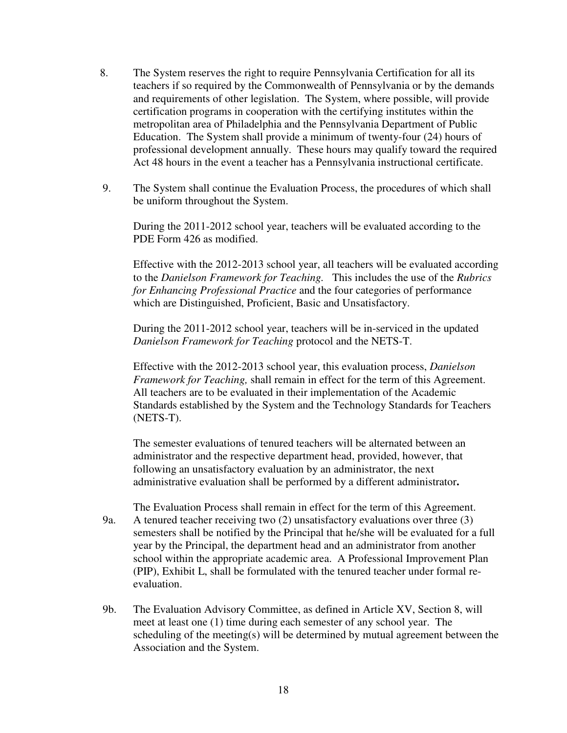- 8. The System reserves the right to require Pennsylvania Certification for all its teachers if so required by the Commonwealth of Pennsylvania or by the demands and requirements of other legislation. The System, where possible, will provide certification programs in cooperation with the certifying institutes within the metropolitan area of Philadelphia and the Pennsylvania Department of Public Education. The System shall provide a minimum of twenty-four (24) hours of professional development annually. These hours may qualify toward the required Act 48 hours in the event a teacher has a Pennsylvania instructional certificate.
- 9. The System shall continue the Evaluation Process, the procedures of which shall be uniform throughout the System.

During the 2011-2012 school year, teachers will be evaluated according to the PDE Form 426 as modified.

Effective with the 2012-2013 school year, all teachers will be evaluated according to the *Danielson Framework for Teaching.* This includes the use of the *Rubrics for Enhancing Professional Practice* and the four categories of performance which are Distinguished, Proficient, Basic and Unsatisfactory.

During the 2011-2012 school year, teachers will be in-serviced in the updated *Danielson Framework for Teaching* protocol and the NETS-T.

Effective with the 2012-2013 school year, this evaluation process, *Danielson Framework for Teaching, shall remain in effect for the term of this Agreement.* All teachers are to be evaluated in their implementation of the Academic Standards established by the System and the Technology Standards for Teachers (NETS-T).

The semester evaluations of tenured teachers will be alternated between an administrator and the respective department head, provided, however, that following an unsatisfactory evaluation by an administrator, the next administrative evaluation shall be performed by a different administrator**.** 

- The Evaluation Process shall remain in effect for the term of this Agreement. 9a. A tenured teacher receiving two (2) unsatisfactory evaluations over three (3) semesters shall be notified by the Principal that he/she will be evaluated for a full year by the Principal, the department head and an administrator from another school within the appropriate academic area. A Professional Improvement Plan (PIP), Exhibit L, shall be formulated with the tenured teacher under formal reevaluation.
- 9b. The Evaluation Advisory Committee, as defined in Article XV, Section 8, will meet at least one (1) time during each semester of any school year. The scheduling of the meeting(s) will be determined by mutual agreement between the Association and the System.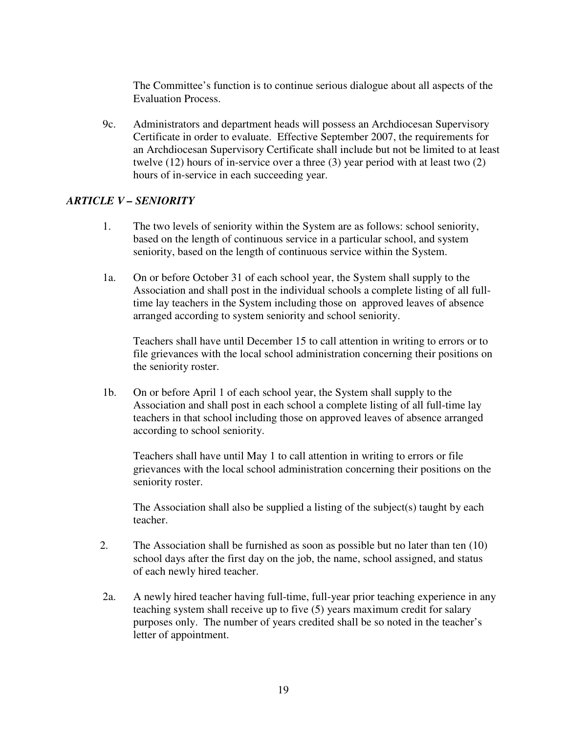The Committee's function is to continue serious dialogue about all aspects of the Evaluation Process.

9c. Administrators and department heads will possess an Archdiocesan Supervisory Certificate in order to evaluate. Effective September 2007, the requirements for an Archdiocesan Supervisory Certificate shall include but not be limited to at least twelve (12) hours of in-service over a three (3) year period with at least two (2) hours of in-service in each succeeding year.

# *ARTICLE V – SENIORITY*

- 1. The two levels of seniority within the System are as follows: school seniority, based on the length of continuous service in a particular school, and system seniority, based on the length of continuous service within the System.
- 1a. On or before October 31 of each school year, the System shall supply to the Association and shall post in the individual schools a complete listing of all fulltime lay teachers in the System including those on approved leaves of absence arranged according to system seniority and school seniority.

 Teachers shall have until December 15 to call attention in writing to errors or to file grievances with the local school administration concerning their positions on the seniority roster.

1b. On or before April 1 of each school year, the System shall supply to the Association and shall post in each school a complete listing of all full-time lay teachers in that school including those on approved leaves of absence arranged according to school seniority.

 Teachers shall have until May 1 to call attention in writing to errors or file grievances with the local school administration concerning their positions on the seniority roster.

 The Association shall also be supplied a listing of the subject(s) taught by each teacher.

- 2. The Association shall be furnished as soon as possible but no later than ten (10) school days after the first day on the job, the name, school assigned, and status of each newly hired teacher.
- 2a. A newly hired teacher having full-time, full-year prior teaching experience in any teaching system shall receive up to five (5) years maximum credit for salary purposes only. The number of years credited shall be so noted in the teacher's letter of appointment.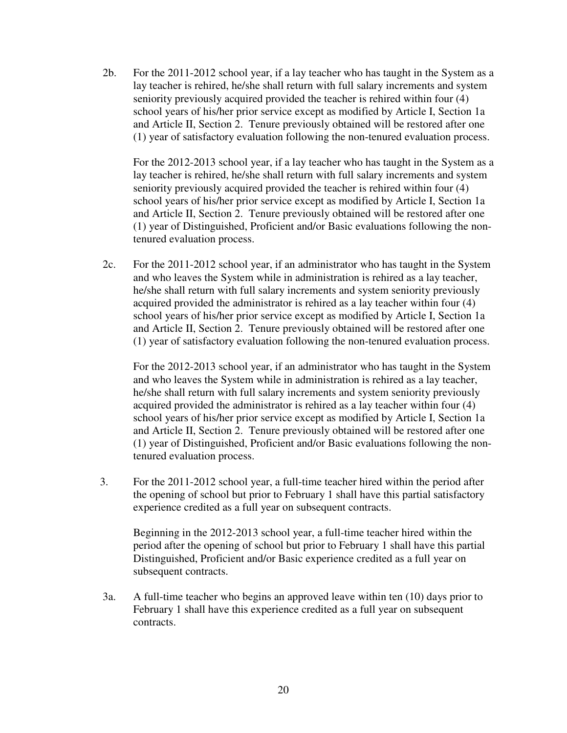2b. For the 2011-2012 school year, if a lay teacher who has taught in the System as a lay teacher is rehired, he/she shall return with full salary increments and system seniority previously acquired provided the teacher is rehired within four (4) school years of his/her prior service except as modified by Article I, Section 1a and Article II, Section 2. Tenure previously obtained will be restored after one (1) year of satisfactory evaluation following the non-tenured evaluation process.

 For the 2012-2013 school year, if a lay teacher who has taught in the System as a lay teacher is rehired, he/she shall return with full salary increments and system seniority previously acquired provided the teacher is rehired within four (4) school years of his/her prior service except as modified by Article I, Section 1a and Article II, Section 2. Tenure previously obtained will be restored after one (1) year of Distinguished, Proficient and/or Basic evaluations following the nontenured evaluation process.

2c. For the 2011-2012 school year, if an administrator who has taught in the System and who leaves the System while in administration is rehired as a lay teacher, he/she shall return with full salary increments and system seniority previously acquired provided the administrator is rehired as a lay teacher within four (4) school years of his/her prior service except as modified by Article I, Section 1a and Article II, Section 2. Tenure previously obtained will be restored after one (1) year of satisfactory evaluation following the non-tenured evaluation process.

 For the 2012-2013 school year, if an administrator who has taught in the System and who leaves the System while in administration is rehired as a lay teacher, he/she shall return with full salary increments and system seniority previously acquired provided the administrator is rehired as a lay teacher within four (4) school years of his/her prior service except as modified by Article I, Section 1a and Article II, Section 2. Tenure previously obtained will be restored after one (1) year of Distinguished, Proficient and/or Basic evaluations following the nontenured evaluation process.

3. For the 2011-2012 school year, a full-time teacher hired within the period after the opening of school but prior to February 1 shall have this partial satisfactory experience credited as a full year on subsequent contracts.

 Beginning in the 2012-2013 school year, a full-time teacher hired within the period after the opening of school but prior to February 1 shall have this partial Distinguished, Proficient and/or Basic experience credited as a full year on subsequent contracts.

3a. A full-time teacher who begins an approved leave within ten (10) days prior to February 1 shall have this experience credited as a full year on subsequent contracts.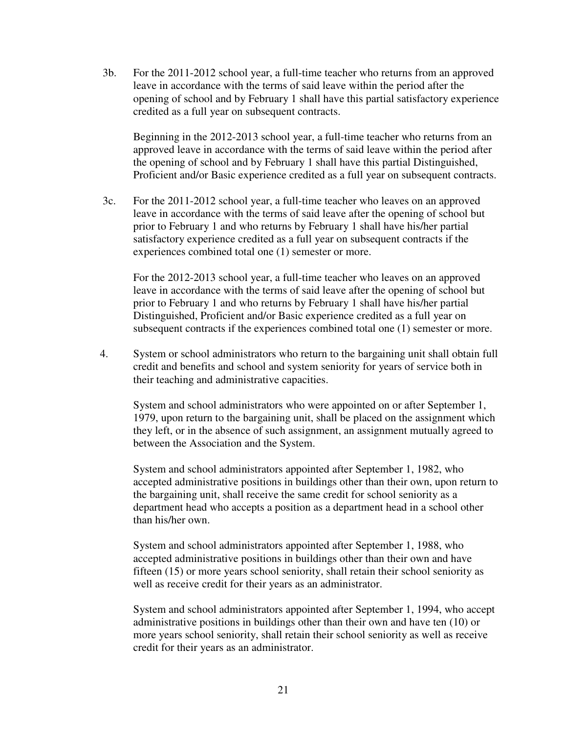3b. For the 2011-2012 school year, a full-time teacher who returns from an approved leave in accordance with the terms of said leave within the period after the opening of school and by February 1 shall have this partial satisfactory experience credited as a full year on subsequent contracts.

 Beginning in the 2012-2013 school year, a full-time teacher who returns from an approved leave in accordance with the terms of said leave within the period after the opening of school and by February 1 shall have this partial Distinguished, Proficient and/or Basic experience credited as a full year on subsequent contracts.

3c. For the 2011-2012 school year, a full-time teacher who leaves on an approved leave in accordance with the terms of said leave after the opening of school but prior to February 1 and who returns by February 1 shall have his/her partial satisfactory experience credited as a full year on subsequent contracts if the experiences combined total one (1) semester or more.

 For the 2012-2013 school year, a full-time teacher who leaves on an approved leave in accordance with the terms of said leave after the opening of school but prior to February 1 and who returns by February 1 shall have his/her partial Distinguished, Proficient and/or Basic experience credited as a full year on subsequent contracts if the experiences combined total one (1) semester or more.

4. System or school administrators who return to the bargaining unit shall obtain full credit and benefits and school and system seniority for years of service both in their teaching and administrative capacities.

System and school administrators who were appointed on or after September 1, 1979, upon return to the bargaining unit, shall be placed on the assignment which they left, or in the absence of such assignment, an assignment mutually agreed to between the Association and the System.

 System and school administrators appointed after September 1, 1982, who accepted administrative positions in buildings other than their own, upon return to the bargaining unit, shall receive the same credit for school seniority as a department head who accepts a position as a department head in a school other than his/her own.

 System and school administrators appointed after September 1, 1988, who accepted administrative positions in buildings other than their own and have fifteen (15) or more years school seniority, shall retain their school seniority as well as receive credit for their years as an administrator.

System and school administrators appointed after September 1, 1994, who accept administrative positions in buildings other than their own and have ten (10) or more years school seniority, shall retain their school seniority as well as receive credit for their years as an administrator.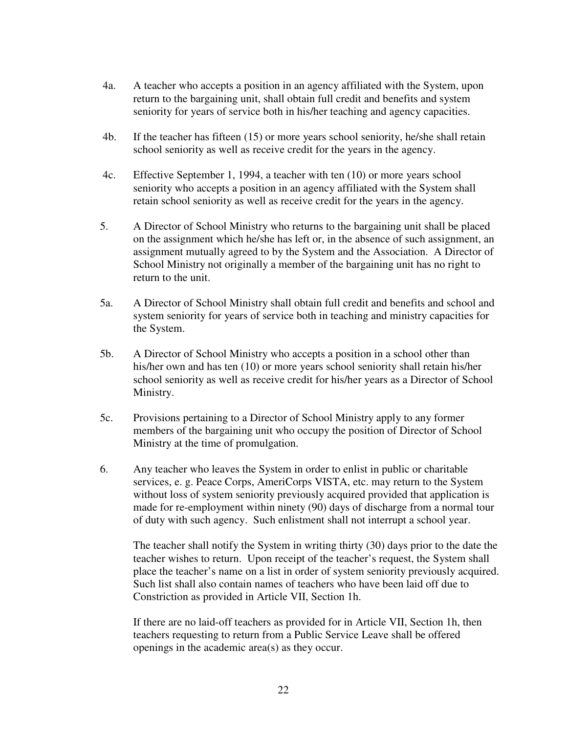- 4a. A teacher who accepts a position in an agency affiliated with the System, upon return to the bargaining unit, shall obtain full credit and benefits and system seniority for years of service both in his/her teaching and agency capacities.
- 4b. If the teacher has fifteen (15) or more years school seniority, he/she shall retain school seniority as well as receive credit for the years in the agency.
- 4c. Effective September 1, 1994, a teacher with ten (10) or more years school seniority who accepts a position in an agency affiliated with the System shall retain school seniority as well as receive credit for the years in the agency.
- 5. A Director of School Ministry who returns to the bargaining unit shall be placed on the assignment which he/she has left or, in the absence of such assignment, an assignment mutually agreed to by the System and the Association. A Director of School Ministry not originally a member of the bargaining unit has no right to return to the unit.
- 5a. A Director of School Ministry shall obtain full credit and benefits and school and system seniority for years of service both in teaching and ministry capacities for the System.
- 5b. A Director of School Ministry who accepts a position in a school other than his/her own and has ten (10) or more years school seniority shall retain his/her school seniority as well as receive credit for his/her years as a Director of School Ministry.
- 5c. Provisions pertaining to a Director of School Ministry apply to any former members of the bargaining unit who occupy the position of Director of School Ministry at the time of promulgation.
- 6. Any teacher who leaves the System in order to enlist in public or charitable services, e. g. Peace Corps, AmeriCorps VISTA, etc. may return to the System without loss of system seniority previously acquired provided that application is made for re-employment within ninety (90) days of discharge from a normal tour of duty with such agency. Such enlistment shall not interrupt a school year.

The teacher shall notify the System in writing thirty (30) days prior to the date the teacher wishes to return. Upon receipt of the teacher's request, the System shall place the teacher's name on a list in order of system seniority previously acquired. Such list shall also contain names of teachers who have been laid off due to Constriction as provided in Article VII, Section 1h.

If there are no laid-off teachers as provided for in Article VII, Section 1h, then teachers requesting to return from a Public Service Leave shall be offered openings in the academic area(s) as they occur.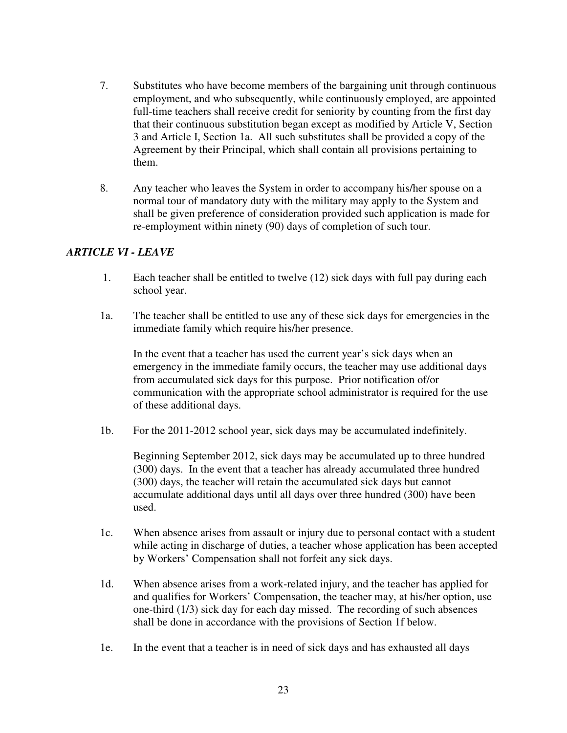- 7. Substitutes who have become members of the bargaining unit through continuous employment, and who subsequently, while continuously employed, are appointed full-time teachers shall receive credit for seniority by counting from the first day that their continuous substitution began except as modified by Article V, Section 3 and Article I, Section 1a. All such substitutes shall be provided a copy of the Agreement by their Principal, which shall contain all provisions pertaining to them.
- 8. Any teacher who leaves the System in order to accompany his/her spouse on a normal tour of mandatory duty with the military may apply to the System and shall be given preference of consideration provided such application is made for re-employment within ninety (90) days of completion of such tour.

# *ARTICLE VI - LEAVE*

- 1. Each teacher shall be entitled to twelve (12) sick days with full pay during each school year.
- 1a. The teacher shall be entitled to use any of these sick days for emergencies in the immediate family which require his/her presence.

 In the event that a teacher has used the current year's sick days when an emergency in the immediate family occurs, the teacher may use additional days from accumulated sick days for this purpose. Prior notification of/or communication with the appropriate school administrator is required for the use of these additional days.

1b. For the 2011-2012 school year, sick days may be accumulated indefinitely.

Beginning September 2012, sick days may be accumulated up to three hundred (300) days. In the event that a teacher has already accumulated three hundred (300) days, the teacher will retain the accumulated sick days but cannot accumulate additional days until all days over three hundred (300) have been used.

- 1c. When absence arises from assault or injury due to personal contact with a student while acting in discharge of duties, a teacher whose application has been accepted by Workers' Compensation shall not forfeit any sick days.
- 1d. When absence arises from a work-related injury, and the teacher has applied for and qualifies for Workers' Compensation, the teacher may, at his/her option, use one-third (1/3) sick day for each day missed. The recording of such absences shall be done in accordance with the provisions of Section 1f below.
- 1e. In the event that a teacher is in need of sick days and has exhausted all days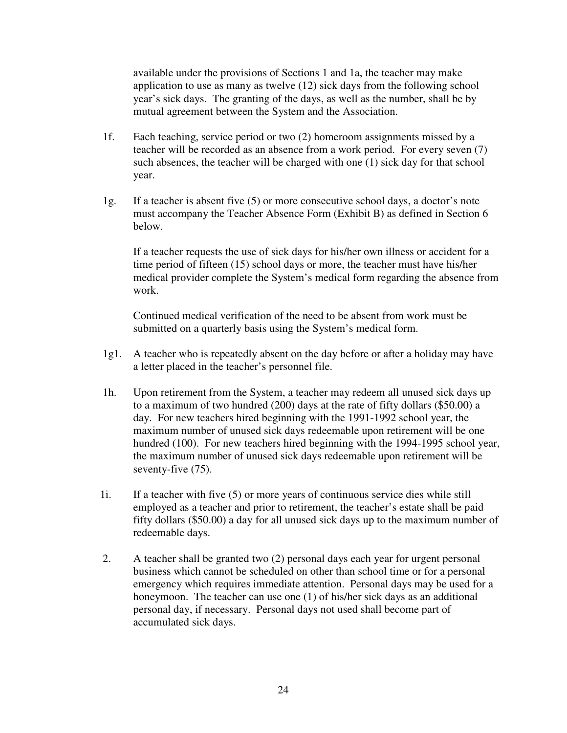available under the provisions of Sections 1 and 1a, the teacher may make application to use as many as twelve (12) sick days from the following school year's sick days. The granting of the days, as well as the number, shall be by mutual agreement between the System and the Association.

- 1f. Each teaching, service period or two (2) homeroom assignments missed by a teacher will be recorded as an absence from a work period. For every seven (7) such absences, the teacher will be charged with one (1) sick day for that school year.
- 1g. If a teacher is absent five (5) or more consecutive school days, a doctor's note must accompany the Teacher Absence Form (Exhibit B) as defined in Section 6 below.

If a teacher requests the use of sick days for his/her own illness or accident for a time period of fifteen (15) school days or more, the teacher must have his/her medical provider complete the System's medical form regarding the absence from work.

 Continued medical verification of the need to be absent from work must be submitted on a quarterly basis using the System's medical form.

- 1g1. A teacher who is repeatedly absent on the day before or after a holiday may have a letter placed in the teacher's personnel file.
- 1h. Upon retirement from the System, a teacher may redeem all unused sick days up to a maximum of two hundred (200) days at the rate of fifty dollars (\$50.00) a day. For new teachers hired beginning with the 1991-1992 school year, the maximum number of unused sick days redeemable upon retirement will be one hundred (100). For new teachers hired beginning with the 1994-1995 school year, the maximum number of unused sick days redeemable upon retirement will be seventy-five (75).
- 1i. If a teacher with five (5) or more years of continuous service dies while still employed as a teacher and prior to retirement, the teacher's estate shall be paid fifty dollars (\$50.00) a day for all unused sick days up to the maximum number of redeemable days.
- 2. A teacher shall be granted two (2) personal days each year for urgent personal business which cannot be scheduled on other than school time or for a personal emergency which requires immediate attention. Personal days may be used for a honeymoon. The teacher can use one (1) of his/her sick days as an additional personal day, if necessary. Personal days not used shall become part of accumulated sick days.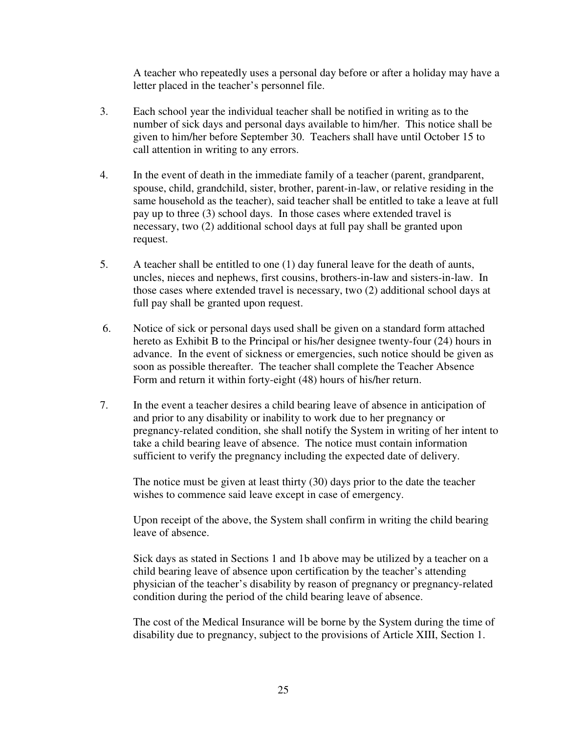A teacher who repeatedly uses a personal day before or after a holiday may have a letter placed in the teacher's personnel file.

- 3. Each school year the individual teacher shall be notified in writing as to the number of sick days and personal days available to him/her. This notice shall be given to him/her before September 30. Teachers shall have until October 15 to call attention in writing to any errors.
- 4. In the event of death in the immediate family of a teacher (parent, grandparent, spouse, child, grandchild, sister, brother, parent-in-law, or relative residing in the same household as the teacher), said teacher shall be entitled to take a leave at full pay up to three (3) school days. In those cases where extended travel is necessary, two (2) additional school days at full pay shall be granted upon request.
- 5. A teacher shall be entitled to one (1) day funeral leave for the death of aunts, uncles, nieces and nephews, first cousins, brothers-in-law and sisters-in-law. In those cases where extended travel is necessary, two (2) additional school days at full pay shall be granted upon request.
- 6. Notice of sick or personal days used shall be given on a standard form attached hereto as Exhibit B to the Principal or his/her designee twenty-four (24) hours in advance. In the event of sickness or emergencies, such notice should be given as soon as possible thereafter. The teacher shall complete the Teacher Absence Form and return it within forty-eight (48) hours of his/her return.
- 7. In the event a teacher desires a child bearing leave of absence in anticipation of and prior to any disability or inability to work due to her pregnancy or pregnancy-related condition, she shall notify the System in writing of her intent to take a child bearing leave of absence. The notice must contain information sufficient to verify the pregnancy including the expected date of delivery.

The notice must be given at least thirty (30) days prior to the date the teacher wishes to commence said leave except in case of emergency.

Upon receipt of the above, the System shall confirm in writing the child bearing leave of absence.

Sick days as stated in Sections 1 and 1b above may be utilized by a teacher on a child bearing leave of absence upon certification by the teacher's attending physician of the teacher's disability by reason of pregnancy or pregnancy-related condition during the period of the child bearing leave of absence.

 The cost of the Medical Insurance will be borne by the System during the time of disability due to pregnancy, subject to the provisions of Article XIII, Section 1.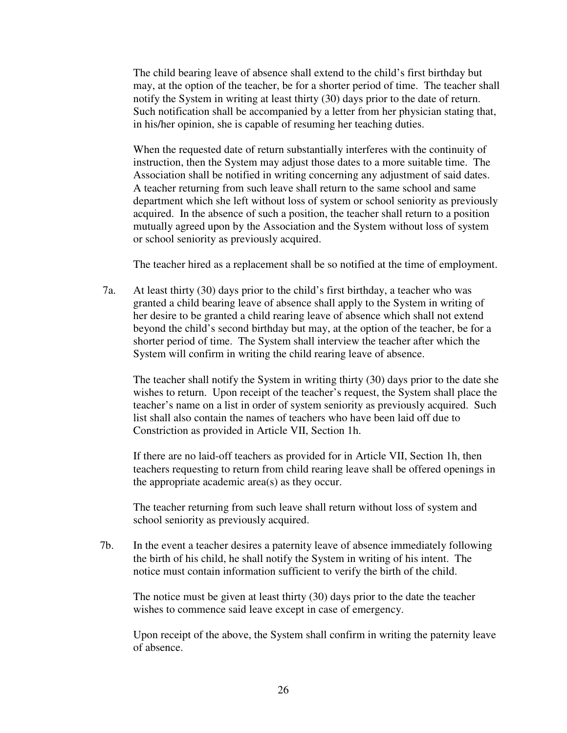The child bearing leave of absence shall extend to the child's first birthday but may, at the option of the teacher, be for a shorter period of time. The teacher shall notify the System in writing at least thirty (30) days prior to the date of return. Such notification shall be accompanied by a letter from her physician stating that, in his/her opinion, she is capable of resuming her teaching duties.

 When the requested date of return substantially interferes with the continuity of instruction, then the System may adjust those dates to a more suitable time. The Association shall be notified in writing concerning any adjustment of said dates. A teacher returning from such leave shall return to the same school and same department which she left without loss of system or school seniority as previously acquired. In the absence of such a position, the teacher shall return to a position mutually agreed upon by the Association and the System without loss of system or school seniority as previously acquired.

The teacher hired as a replacement shall be so notified at the time of employment.

 7a. At least thirty (30) days prior to the child's first birthday, a teacher who was granted a child bearing leave of absence shall apply to the System in writing of her desire to be granted a child rearing leave of absence which shall not extend beyond the child's second birthday but may, at the option of the teacher, be for a shorter period of time. The System shall interview the teacher after which the System will confirm in writing the child rearing leave of absence.

The teacher shall notify the System in writing thirty (30) days prior to the date she wishes to return. Upon receipt of the teacher's request, the System shall place the teacher's name on a list in order of system seniority as previously acquired. Such list shall also contain the names of teachers who have been laid off due to Constriction as provided in Article VII, Section 1h.

 If there are no laid-off teachers as provided for in Article VII, Section 1h, then teachers requesting to return from child rearing leave shall be offered openings in the appropriate academic area(s) as they occur.

 The teacher returning from such leave shall return without loss of system and school seniority as previously acquired.

7b. In the event a teacher desires a paternity leave of absence immediately following the birth of his child, he shall notify the System in writing of his intent. The notice must contain information sufficient to verify the birth of the child.

 The notice must be given at least thirty (30) days prior to the date the teacher wishes to commence said leave except in case of emergency.

 Upon receipt of the above, the System shall confirm in writing the paternity leave of absence.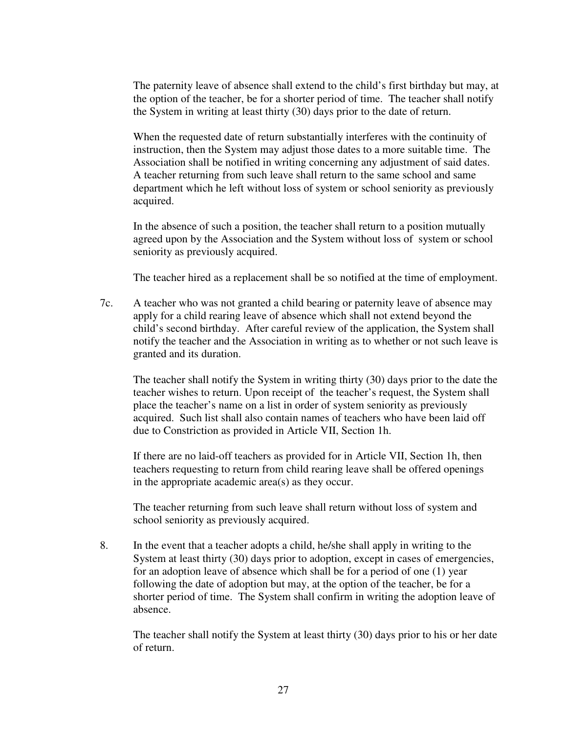The paternity leave of absence shall extend to the child's first birthday but may, at the option of the teacher, be for a shorter period of time. The teacher shall notify the System in writing at least thirty (30) days prior to the date of return.

 When the requested date of return substantially interferes with the continuity of instruction, then the System may adjust those dates to a more suitable time. The Association shall be notified in writing concerning any adjustment of said dates. A teacher returning from such leave shall return to the same school and same department which he left without loss of system or school seniority as previously acquired.

 In the absence of such a position, the teacher shall return to a position mutually agreed upon by the Association and the System without loss of system or school seniority as previously acquired.

The teacher hired as a replacement shall be so notified at the time of employment.

 7c. A teacher who was not granted a child bearing or paternity leave of absence may apply for a child rearing leave of absence which shall not extend beyond the child's second birthday. After careful review of the application, the System shall notify the teacher and the Association in writing as to whether or not such leave is granted and its duration.

The teacher shall notify the System in writing thirty (30) days prior to the date the teacher wishes to return. Upon receipt of the teacher's request, the System shall place the teacher's name on a list in order of system seniority as previously acquired. Such list shall also contain names of teachers who have been laid off due to Constriction as provided in Article VII, Section 1h.

 If there are no laid-off teachers as provided for in Article VII, Section 1h, then teachers requesting to return from child rearing leave shall be offered openings in the appropriate academic area(s) as they occur.

 The teacher returning from such leave shall return without loss of system and school seniority as previously acquired.

8. In the event that a teacher adopts a child, he/she shall apply in writing to the System at least thirty (30) days prior to adoption, except in cases of emergencies, for an adoption leave of absence which shall be for a period of one (1) year following the date of adoption but may, at the option of the teacher, be for a shorter period of time. The System shall confirm in writing the adoption leave of absence.

The teacher shall notify the System at least thirty (30) days prior to his or her date of return.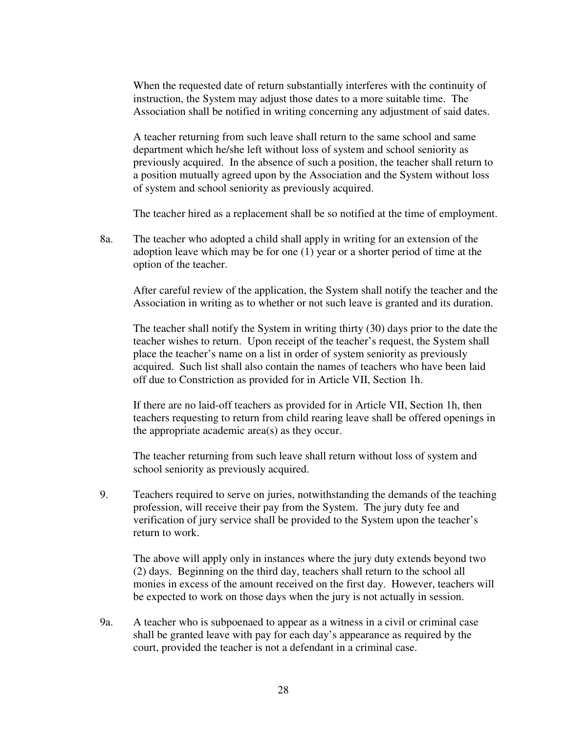When the requested date of return substantially interferes with the continuity of instruction, the System may adjust those dates to a more suitable time. The Association shall be notified in writing concerning any adjustment of said dates.

A teacher returning from such leave shall return to the same school and same department which he/she left without loss of system and school seniority as previously acquired. In the absence of such a position, the teacher shall return to a position mutually agreed upon by the Association and the System without loss of system and school seniority as previously acquired.

The teacher hired as a replacement shall be so notified at the time of employment.

 8a. The teacher who adopted a child shall apply in writing for an extension of the adoption leave which may be for one (1) year or a shorter period of time at the option of the teacher.

After careful review of the application, the System shall notify the teacher and the Association in writing as to whether or not such leave is granted and its duration.

The teacher shall notify the System in writing thirty (30) days prior to the date the teacher wishes to return. Upon receipt of the teacher's request, the System shall place the teacher's name on a list in order of system seniority as previously acquired. Such list shall also contain the names of teachers who have been laid off due to Constriction as provided for in Article VII, Section 1h.

 If there are no laid-off teachers as provided for in Article VII, Section 1h, then teachers requesting to return from child rearing leave shall be offered openings in the appropriate academic area(s) as they occur.

 The teacher returning from such leave shall return without loss of system and school seniority as previously acquired.

9. Teachers required to serve on juries, notwithstanding the demands of the teaching profession, will receive their pay from the System. The jury duty fee and verification of jury service shall be provided to the System upon the teacher's return to work.

 The above will apply only in instances where the jury duty extends beyond two (2) days. Beginning on the third day, teachers shall return to the school all monies in excess of the amount received on the first day. However, teachers will be expected to work on those days when the jury is not actually in session.

 9a. A teacher who is subpoenaed to appear as a witness in a civil or criminal case shall be granted leave with pay for each day's appearance as required by the court, provided the teacher is not a defendant in a criminal case.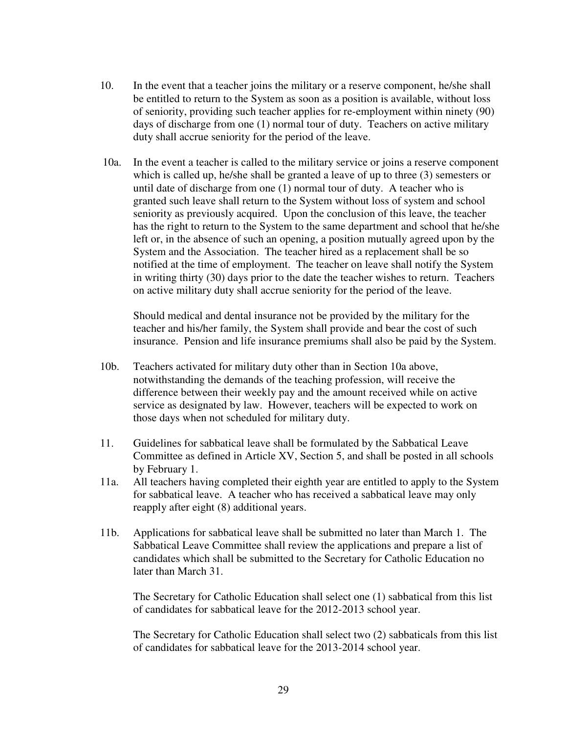- 10. In the event that a teacher joins the military or a reserve component, he/she shall be entitled to return to the System as soon as a position is available, without loss of seniority, providing such teacher applies for re-employment within ninety (90) days of discharge from one (1) normal tour of duty. Teachers on active military duty shall accrue seniority for the period of the leave.
- 10a. In the event a teacher is called to the military service or joins a reserve component which is called up, he/she shall be granted a leave of up to three (3) semesters or until date of discharge from one (1) normal tour of duty. A teacher who is granted such leave shall return to the System without loss of system and school seniority as previously acquired. Upon the conclusion of this leave, the teacher has the right to return to the System to the same department and school that he/she left or, in the absence of such an opening, a position mutually agreed upon by the System and the Association. The teacher hired as a replacement shall be so notified at the time of employment. The teacher on leave shall notify the System in writing thirty (30) days prior to the date the teacher wishes to return. Teachers on active military duty shall accrue seniority for the period of the leave.

 Should medical and dental insurance not be provided by the military for the teacher and his/her family, the System shall provide and bear the cost of such insurance. Pension and life insurance premiums shall also be paid by the System.

- 10b. Teachers activated for military duty other than in Section 10a above, notwithstanding the demands of the teaching profession, will receive the difference between their weekly pay and the amount received while on active service as designated by law. However, teachers will be expected to work on those days when not scheduled for military duty.
- 11. Guidelines for sabbatical leave shall be formulated by the Sabbatical Leave Committee as defined in Article XV, Section 5, and shall be posted in all schools by February 1.
- 11a. All teachers having completed their eighth year are entitled to apply to the System for sabbatical leave. A teacher who has received a sabbatical leave may only reapply after eight (8) additional years.
- 11b. Applications for sabbatical leave shall be submitted no later than March 1. The Sabbatical Leave Committee shall review the applications and prepare a list of candidates which shall be submitted to the Secretary for Catholic Education no later than March 31.

The Secretary for Catholic Education shall select one (1) sabbatical from this list of candidates for sabbatical leave for the 2012-2013 school year.

The Secretary for Catholic Education shall select two (2) sabbaticals from this list of candidates for sabbatical leave for the 2013-2014 school year.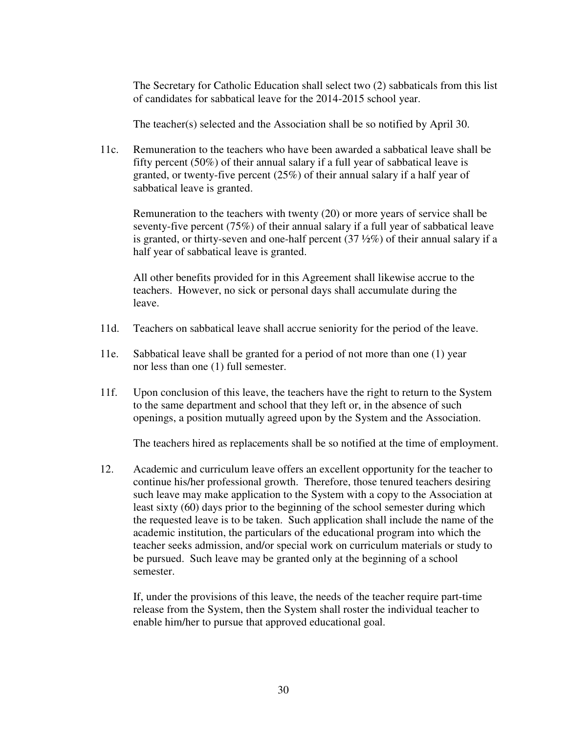The Secretary for Catholic Education shall select two (2) sabbaticals from this list of candidates for sabbatical leave for the 2014-2015 school year.

The teacher(s) selected and the Association shall be so notified by April 30.

 11c. Remuneration to the teachers who have been awarded a sabbatical leave shall be fifty percent (50%) of their annual salary if a full year of sabbatical leave is granted, or twenty-five percent (25%) of their annual salary if a half year of sabbatical leave is granted.

 Remuneration to the teachers with twenty (20) or more years of service shall be seventy-five percent (75%) of their annual salary if a full year of sabbatical leave is granted, or thirty-seven and one-half percent  $(37 \frac{1}{2}\%)$  of their annual salary if a half year of sabbatical leave is granted.

 All other benefits provided for in this Agreement shall likewise accrue to the teachers. However, no sick or personal days shall accumulate during the leave.

- 11d. Teachers on sabbatical leave shall accrue seniority for the period of the leave.
- 11e. Sabbatical leave shall be granted for a period of not more than one (1) year nor less than one (1) full semester.
- 11f. Upon conclusion of this leave, the teachers have the right to return to the System to the same department and school that they left or, in the absence of such openings, a position mutually agreed upon by the System and the Association.

The teachers hired as replacements shall be so notified at the time of employment.

12. Academic and curriculum leave offers an excellent opportunity for the teacher to continue his/her professional growth. Therefore, those tenured teachers desiring such leave may make application to the System with a copy to the Association at least sixty (60) days prior to the beginning of the school semester during which the requested leave is to be taken. Such application shall include the name of the academic institution, the particulars of the educational program into which the teacher seeks admission, and/or special work on curriculum materials or study to be pursued. Such leave may be granted only at the beginning of a school semester.

If, under the provisions of this leave, the needs of the teacher require part-time release from the System, then the System shall roster the individual teacher to enable him/her to pursue that approved educational goal.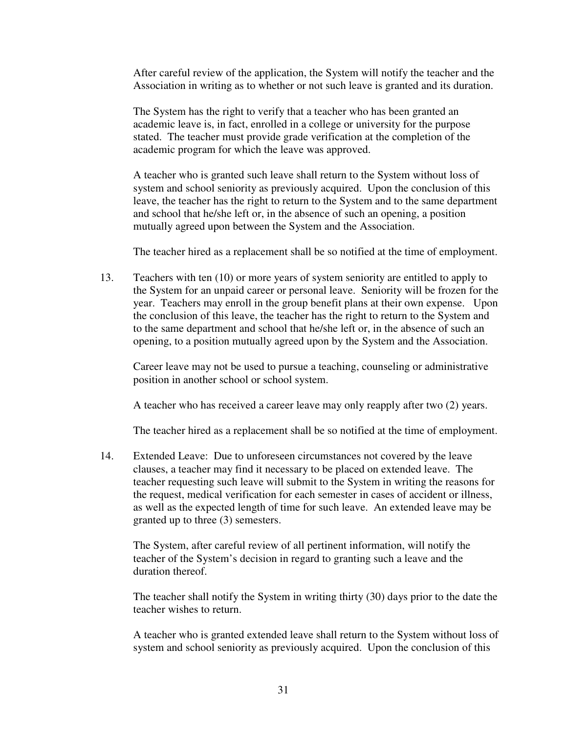After careful review of the application, the System will notify the teacher and the Association in writing as to whether or not such leave is granted and its duration.

The System has the right to verify that a teacher who has been granted an academic leave is, in fact, enrolled in a college or university for the purpose stated. The teacher must provide grade verification at the completion of the academic program for which the leave was approved.

 A teacher who is granted such leave shall return to the System without loss of system and school seniority as previously acquired. Upon the conclusion of this leave, the teacher has the right to return to the System and to the same department and school that he/she left or, in the absence of such an opening, a position mutually agreed upon between the System and the Association.

The teacher hired as a replacement shall be so notified at the time of employment.

13. Teachers with ten (10) or more years of system seniority are entitled to apply to the System for an unpaid career or personal leave. Seniority will be frozen for the year. Teachers may enroll in the group benefit plans at their own expense. Upon the conclusion of this leave, the teacher has the right to return to the System and to the same department and school that he/she left or, in the absence of such an opening, to a position mutually agreed upon by the System and the Association.

Career leave may not be used to pursue a teaching, counseling or administrative position in another school or school system.

A teacher who has received a career leave may only reapply after two (2) years.

The teacher hired as a replacement shall be so notified at the time of employment.

14. Extended Leave: Due to unforeseen circumstances not covered by the leave clauses, a teacher may find it necessary to be placed on extended leave. The teacher requesting such leave will submit to the System in writing the reasons for the request, medical verification for each semester in cases of accident or illness, as well as the expected length of time for such leave. An extended leave may be granted up to three (3) semesters.

The System, after careful review of all pertinent information, will notify the teacher of the System's decision in regard to granting such a leave and the duration thereof.

The teacher shall notify the System in writing thirty (30) days prior to the date the teacher wishes to return.

A teacher who is granted extended leave shall return to the System without loss of system and school seniority as previously acquired. Upon the conclusion of this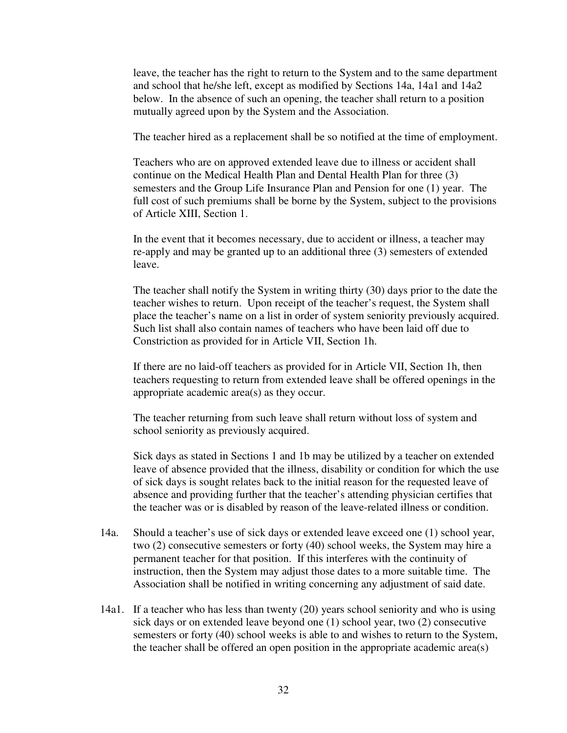leave, the teacher has the right to return to the System and to the same department and school that he/she left, except as modified by Sections 14a, 14a1 and 14a2 below. In the absence of such an opening, the teacher shall return to a position mutually agreed upon by the System and the Association.

The teacher hired as a replacement shall be so notified at the time of employment.

 Teachers who are on approved extended leave due to illness or accident shall continue on the Medical Health Plan and Dental Health Plan for three (3) semesters and the Group Life Insurance Plan and Pension for one (1) year. The full cost of such premiums shall be borne by the System, subject to the provisions of Article XIII, Section 1.

 In the event that it becomes necessary, due to accident or illness, a teacher may re-apply and may be granted up to an additional three (3) semesters of extended leave.

The teacher shall notify the System in writing thirty (30) days prior to the date the teacher wishes to return. Upon receipt of the teacher's request, the System shall place the teacher's name on a list in order of system seniority previously acquired. Such list shall also contain names of teachers who have been laid off due to Constriction as provided for in Article VII, Section 1h.

If there are no laid-off teachers as provided for in Article VII, Section 1h, then teachers requesting to return from extended leave shall be offered openings in the appropriate academic area(s) as they occur.

 The teacher returning from such leave shall return without loss of system and school seniority as previously acquired.

 Sick days as stated in Sections 1 and 1b may be utilized by a teacher on extended leave of absence provided that the illness, disability or condition for which the use of sick days is sought relates back to the initial reason for the requested leave of absence and providing further that the teacher's attending physician certifies that the teacher was or is disabled by reason of the leave-related illness or condition.

- 14a. Should a teacher's use of sick days or extended leave exceed one (1) school year, two (2) consecutive semesters or forty (40) school weeks, the System may hire a permanent teacher for that position. If this interferes with the continuity of instruction, then the System may adjust those dates to a more suitable time. The Association shall be notified in writing concerning any adjustment of said date.
- 14a1. If a teacher who has less than twenty (20) years school seniority and who is using sick days or on extended leave beyond one (1) school year, two (2) consecutive semesters or forty (40) school weeks is able to and wishes to return to the System, the teacher shall be offered an open position in the appropriate academic area(s)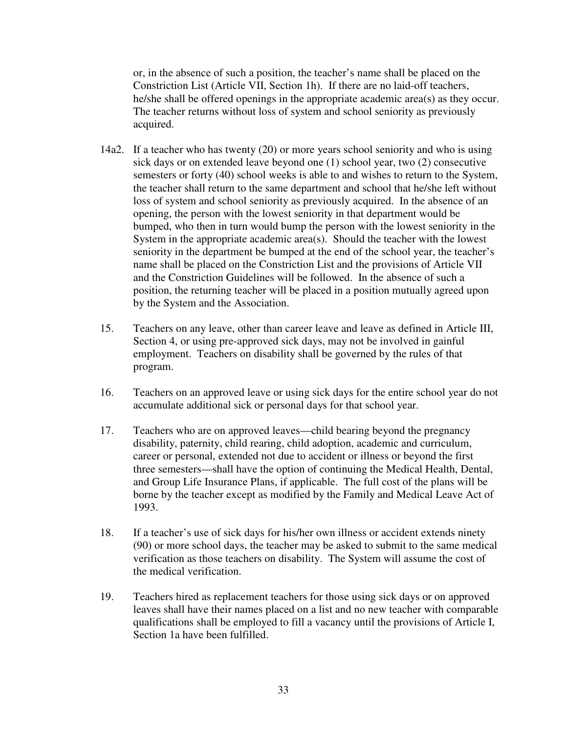or, in the absence of such a position, the teacher's name shall be placed on the Constriction List (Article VII, Section 1h). If there are no laid-off teachers, he/she shall be offered openings in the appropriate academic area(s) as they occur. The teacher returns without loss of system and school seniority as previously acquired.

- 14a2. If a teacher who has twenty (20) or more years school seniority and who is using sick days or on extended leave beyond one (1) school year, two (2) consecutive semesters or forty (40) school weeks is able to and wishes to return to the System, the teacher shall return to the same department and school that he/she left without loss of system and school seniority as previously acquired. In the absence of an opening, the person with the lowest seniority in that department would be bumped, who then in turn would bump the person with the lowest seniority in the System in the appropriate academic area(s). Should the teacher with the lowest seniority in the department be bumped at the end of the school year, the teacher's name shall be placed on the Constriction List and the provisions of Article VII and the Constriction Guidelines will be followed. In the absence of such a position, the returning teacher will be placed in a position mutually agreed upon by the System and the Association.
- 15. Teachers on any leave, other than career leave and leave as defined in Article III, Section 4, or using pre-approved sick days, may not be involved in gainful employment. Teachers on disability shall be governed by the rules of that program.
- 16. Teachers on an approved leave or using sick days for the entire school year do not accumulate additional sick or personal days for that school year.
- 17. Teachers who are on approved leaves—child bearing beyond the pregnancy disability, paternity, child rearing, child adoption, academic and curriculum, career or personal, extended not due to accident or illness or beyond the first three semesters—shall have the option of continuing the Medical Health, Dental, and Group Life Insurance Plans, if applicable. The full cost of the plans will be borne by the teacher except as modified by the Family and Medical Leave Act of 1993.
- 18. If a teacher's use of sick days for his/her own illness or accident extends ninety (90) or more school days, the teacher may be asked to submit to the same medical verification as those teachers on disability. The System will assume the cost of the medical verification.
- 19. Teachers hired as replacement teachers for those using sick days or on approved leaves shall have their names placed on a list and no new teacher with comparable qualifications shall be employed to fill a vacancy until the provisions of Article I, Section 1a have been fulfilled.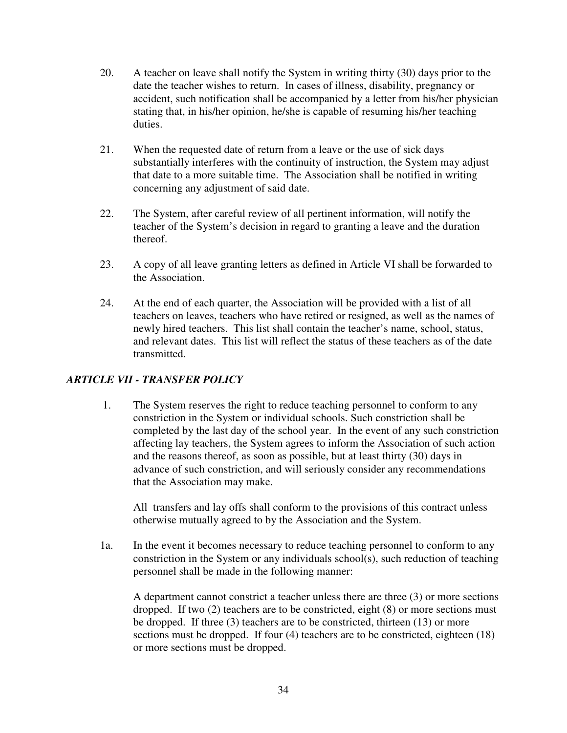- 20. A teacher on leave shall notify the System in writing thirty (30) days prior to the date the teacher wishes to return. In cases of illness, disability, pregnancy or accident, such notification shall be accompanied by a letter from his/her physician stating that, in his/her opinion, he/she is capable of resuming his/her teaching duties.
- 21. When the requested date of return from a leave or the use of sick days substantially interferes with the continuity of instruction, the System may adjust that date to a more suitable time. The Association shall be notified in writing concerning any adjustment of said date.
- 22. The System, after careful review of all pertinent information, will notify the teacher of the System's decision in regard to granting a leave and the duration thereof.
- 23. A copy of all leave granting letters as defined in Article VI shall be forwarded to the Association.
- 24. At the end of each quarter, the Association will be provided with a list of all teachers on leaves, teachers who have retired or resigned, as well as the names of newly hired teachers. This list shall contain the teacher's name, school, status, and relevant dates. This list will reflect the status of these teachers as of the date transmitted.

# *ARTICLE VII - TRANSFER POLICY*

1. The System reserves the right to reduce teaching personnel to conform to any constriction in the System or individual schools. Such constriction shall be completed by the last day of the school year. In the event of any such constriction affecting lay teachers, the System agrees to inform the Association of such action and the reasons thereof, as soon as possible, but at least thirty (30) days in advance of such constriction, and will seriously consider any recommendations that the Association may make.

All transfers and lay offs shall conform to the provisions of this contract unless otherwise mutually agreed to by the Association and the System.

 1a. In the event it becomes necessary to reduce teaching personnel to conform to any constriction in the System or any individuals school(s), such reduction of teaching personnel shall be made in the following manner:

A department cannot constrict a teacher unless there are three (3) or more sections dropped. If two (2) teachers are to be constricted, eight (8) or more sections must be dropped. If three (3) teachers are to be constricted, thirteen (13) or more sections must be dropped. If four (4) teachers are to be constricted, eighteen (18) or more sections must be dropped.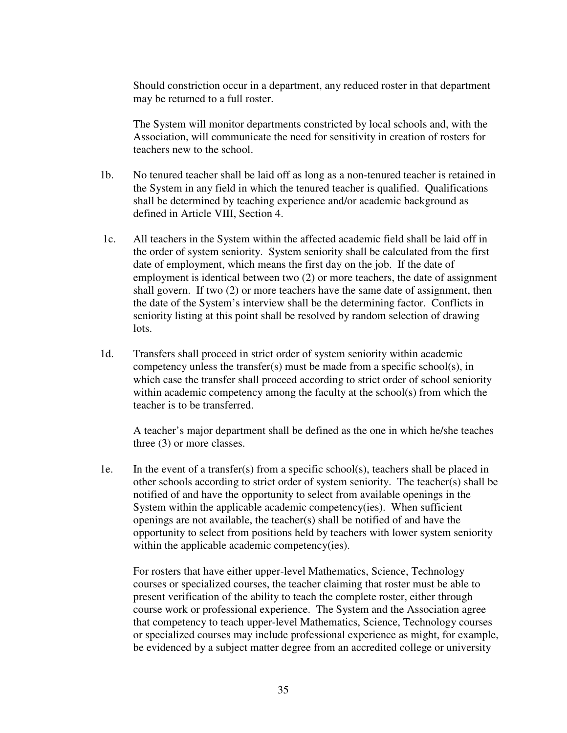Should constriction occur in a department, any reduced roster in that department may be returned to a full roster.

The System will monitor departments constricted by local schools and, with the Association, will communicate the need for sensitivity in creation of rosters for teachers new to the school.

- 1b. No tenured teacher shall be laid off as long as a non-tenured teacher is retained in the System in any field in which the tenured teacher is qualified. Qualifications shall be determined by teaching experience and/or academic background as defined in Article VIII, Section 4.
- 1c. All teachers in the System within the affected academic field shall be laid off in the order of system seniority. System seniority shall be calculated from the first date of employment, which means the first day on the job. If the date of employment is identical between two (2) or more teachers, the date of assignment shall govern. If two (2) or more teachers have the same date of assignment, then the date of the System's interview shall be the determining factor. Conflicts in seniority listing at this point shall be resolved by random selection of drawing lots.
- 1d. Transfers shall proceed in strict order of system seniority within academic competency unless the transfer(s) must be made from a specific school(s), in which case the transfer shall proceed according to strict order of school seniority within academic competency among the faculty at the school(s) from which the teacher is to be transferred.

 A teacher's major department shall be defined as the one in which he/she teaches three (3) or more classes.

 1e. In the event of a transfer(s) from a specific school(s), teachers shall be placed in other schools according to strict order of system seniority. The teacher(s) shall be notified of and have the opportunity to select from available openings in the System within the applicable academic competency(ies). When sufficient openings are not available, the teacher(s) shall be notified of and have the opportunity to select from positions held by teachers with lower system seniority within the applicable academic competency(ies).

For rosters that have either upper-level Mathematics, Science, Technology courses or specialized courses, the teacher claiming that roster must be able to present verification of the ability to teach the complete roster, either through course work or professional experience. The System and the Association agree that competency to teach upper-level Mathematics, Science, Technology courses or specialized courses may include professional experience as might, for example, be evidenced by a subject matter degree from an accredited college or university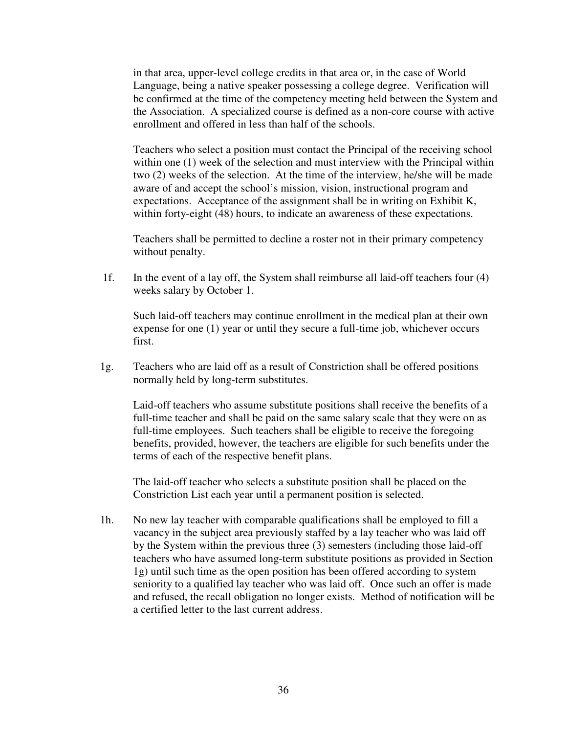in that area, upper-level college credits in that area or, in the case of World Language, being a native speaker possessing a college degree. Verification will be confirmed at the time of the competency meeting held between the System and the Association. A specialized course is defined as a non-core course with active enrollment and offered in less than half of the schools.

Teachers who select a position must contact the Principal of the receiving school within one (1) week of the selection and must interview with the Principal within two (2) weeks of the selection. At the time of the interview, he/she will be made aware of and accept the school's mission, vision, instructional program and expectations. Acceptance of the assignment shall be in writing on Exhibit K, within forty-eight (48) hours, to indicate an awareness of these expectations.

Teachers shall be permitted to decline a roster not in their primary competency without penalty.

1f. In the event of a lay off, the System shall reimburse all laid-off teachers four (4) weeks salary by October 1.

 Such laid-off teachers may continue enrollment in the medical plan at their own expense for one (1) year or until they secure a full-time job, whichever occurs first.

 1g. Teachers who are laid off as a result of Constriction shall be offered positions normally held by long-term substitutes.

 Laid-off teachers who assume substitute positions shall receive the benefits of a full-time teacher and shall be paid on the same salary scale that they were on as full-time employees. Such teachers shall be eligible to receive the foregoing benefits, provided, however, the teachers are eligible for such benefits under the terms of each of the respective benefit plans.

The laid-off teacher who selects a substitute position shall be placed on the Constriction List each year until a permanent position is selected.

 1h. No new lay teacher with comparable qualifications shall be employed to fill a vacancy in the subject area previously staffed by a lay teacher who was laid off by the System within the previous three (3) semesters (including those laid-off teachers who have assumed long-term substitute positions as provided in Section 1g) until such time as the open position has been offered according to system seniority to a qualified lay teacher who was laid off. Once such an offer is made and refused, the recall obligation no longer exists. Method of notification will be a certified letter to the last current address.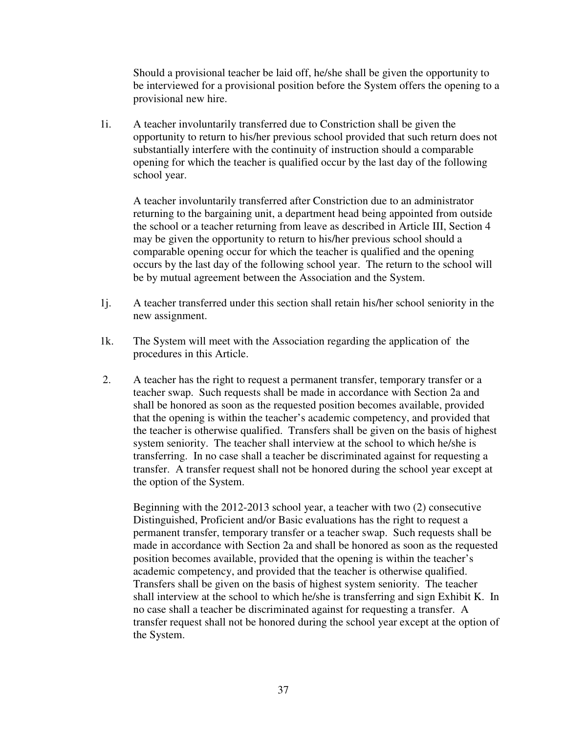Should a provisional teacher be laid off, he/she shall be given the opportunity to be interviewed for a provisional position before the System offers the opening to a provisional new hire.

 1i. A teacher involuntarily transferred due to Constriction shall be given the opportunity to return to his/her previous school provided that such return does not substantially interfere with the continuity of instruction should a comparable opening for which the teacher is qualified occur by the last day of the following school year.

A teacher involuntarily transferred after Constriction due to an administrator returning to the bargaining unit, a department head being appointed from outside the school or a teacher returning from leave as described in Article III, Section 4 may be given the opportunity to return to his/her previous school should a comparable opening occur for which the teacher is qualified and the opening occurs by the last day of the following school year. The return to the school will be by mutual agreement between the Association and the System.

- 1j. A teacher transferred under this section shall retain his/her school seniority in the new assignment.
- 1k. The System will meet with the Association regarding the application of the procedures in this Article.
- 2. A teacher has the right to request a permanent transfer, temporary transfer or a teacher swap. Such requests shall be made in accordance with Section 2a and shall be honored as soon as the requested position becomes available, provided that the opening is within the teacher's academic competency, and provided that the teacher is otherwise qualified. Transfers shall be given on the basis of highest system seniority. The teacher shall interview at the school to which he/she is transferring. In no case shall a teacher be discriminated against for requesting a transfer. A transfer request shall not be honored during the school year except at the option of the System.

Beginning with the 2012-2013 school year, a teacher with two (2) consecutive Distinguished, Proficient and/or Basic evaluations has the right to request a permanent transfer, temporary transfer or a teacher swap. Such requests shall be made in accordance with Section 2a and shall be honored as soon as the requested position becomes available, provided that the opening is within the teacher's academic competency, and provided that the teacher is otherwise qualified. Transfers shall be given on the basis of highest system seniority. The teacher shall interview at the school to which he/she is transferring and sign Exhibit K. In no case shall a teacher be discriminated against for requesting a transfer. A transfer request shall not be honored during the school year except at the option of the System.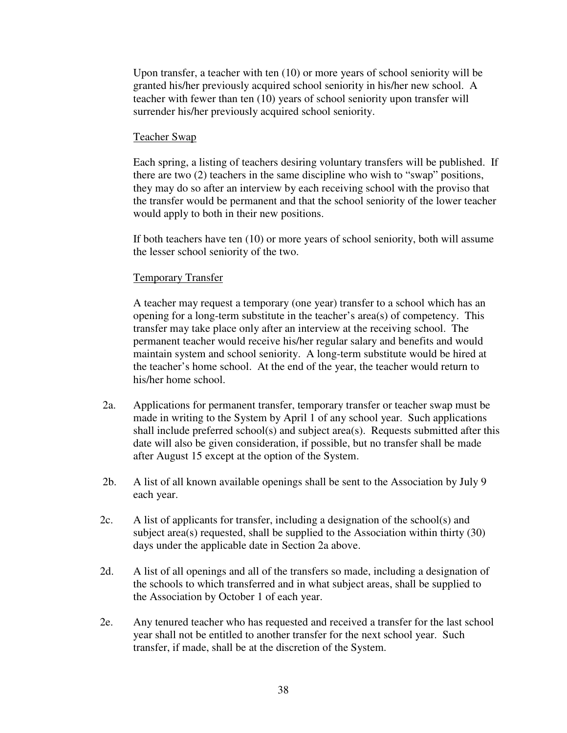Upon transfer, a teacher with ten (10) or more years of school seniority will be granted his/her previously acquired school seniority in his/her new school. A teacher with fewer than ten (10) years of school seniority upon transfer will surrender his/her previously acquired school seniority.

#### Teacher Swap

 Each spring, a listing of teachers desiring voluntary transfers will be published. If there are two (2) teachers in the same discipline who wish to "swap" positions, they may do so after an interview by each receiving school with the proviso that the transfer would be permanent and that the school seniority of the lower teacher would apply to both in their new positions.

 If both teachers have ten (10) or more years of school seniority, both will assume the lesser school seniority of the two.

#### Temporary Transfer

 A teacher may request a temporary (one year) transfer to a school which has an opening for a long-term substitute in the teacher's area(s) of competency. This transfer may take place only after an interview at the receiving school. The permanent teacher would receive his/her regular salary and benefits and would maintain system and school seniority. A long-term substitute would be hired at the teacher's home school. At the end of the year, the teacher would return to his/her home school.

- 2a. Applications for permanent transfer, temporary transfer or teacher swap must be made in writing to the System by April 1 of any school year. Such applications shall include preferred school(s) and subject area(s). Requests submitted after this date will also be given consideration, if possible, but no transfer shall be made after August 15 except at the option of the System.
- 2b. A list of all known available openings shall be sent to the Association by July 9 each year.
- 2c. A list of applicants for transfer, including a designation of the school(s) and subject area(s) requested, shall be supplied to the Association within thirty (30) days under the applicable date in Section 2a above.
- 2d. A list of all openings and all of the transfers so made, including a designation of the schools to which transferred and in what subject areas, shall be supplied to the Association by October 1 of each year.
- 2e. Any tenured teacher who has requested and received a transfer for the last school year shall not be entitled to another transfer for the next school year. Such transfer, if made, shall be at the discretion of the System.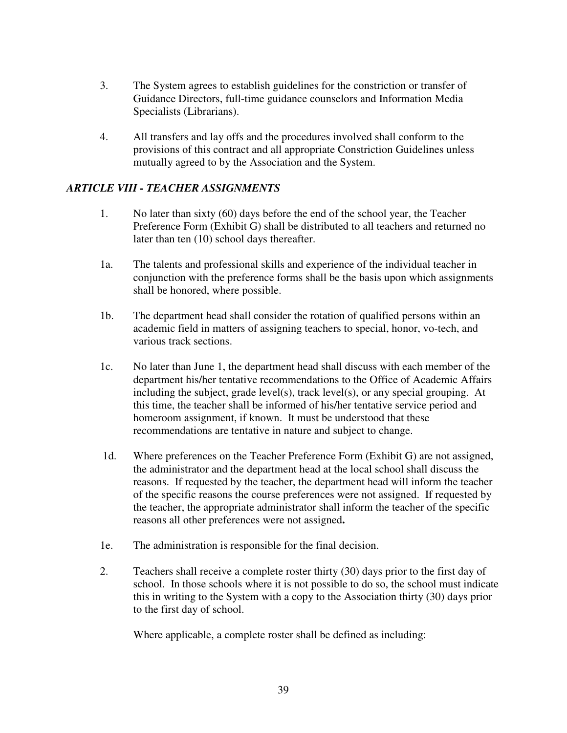- 3. The System agrees to establish guidelines for the constriction or transfer of Guidance Directors, full-time guidance counselors and Information Media Specialists (Librarians).
- 4. All transfers and lay offs and the procedures involved shall conform to the provisions of this contract and all appropriate Constriction Guidelines unless mutually agreed to by the Association and the System.

### *ARTICLE VIII - TEACHER ASSIGNMENTS*

- 1. No later than sixty (60) days before the end of the school year, the Teacher Preference Form (Exhibit G) shall be distributed to all teachers and returned no later than ten (10) school days thereafter.
- 1a. The talents and professional skills and experience of the individual teacher in conjunction with the preference forms shall be the basis upon which assignments shall be honored, where possible.
- 1b. The department head shall consider the rotation of qualified persons within an academic field in matters of assigning teachers to special, honor, vo-tech, and various track sections.
- 1c. No later than June 1, the department head shall discuss with each member of the department his/her tentative recommendations to the Office of Academic Affairs including the subject, grade level(s), track level(s), or any special grouping. At this time, the teacher shall be informed of his/her tentative service period and homeroom assignment, if known. It must be understood that these recommendations are tentative in nature and subject to change.
- 1d. Where preferences on the Teacher Preference Form (Exhibit G) are not assigned, the administrator and the department head at the local school shall discuss the reasons. If requested by the teacher, the department head will inform the teacher of the specific reasons the course preferences were not assigned. If requested by the teacher, the appropriate administrator shall inform the teacher of the specific reasons all other preferences were not assigned**.**
- 1e. The administration is responsible for the final decision.
- 2. Teachers shall receive a complete roster thirty (30) days prior to the first day of school. In those schools where it is not possible to do so, the school must indicate this in writing to the System with a copy to the Association thirty (30) days prior to the first day of school.

Where applicable, a complete roster shall be defined as including: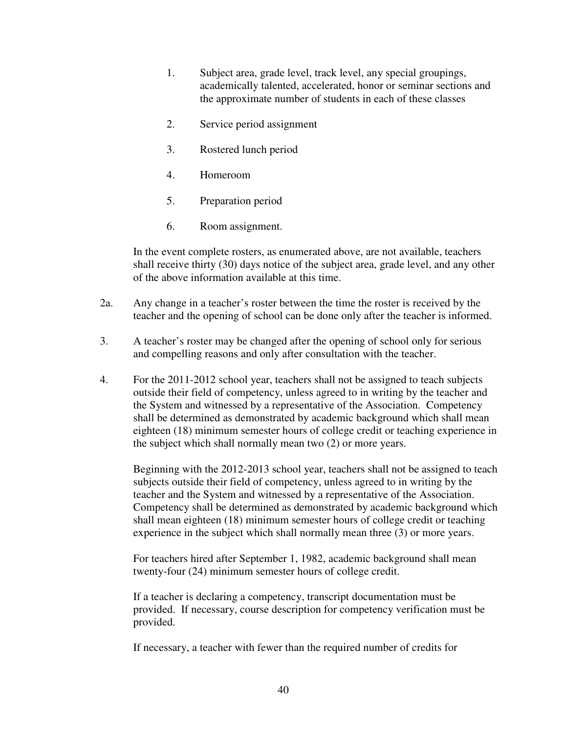- 1. Subject area, grade level, track level, any special groupings, academically talented, accelerated, honor or seminar sections and the approximate number of students in each of these classes
- 2. Service period assignment
- 3. Rostered lunch period
- 4. Homeroom
- 5. Preparation period
- 6. Room assignment.

In the event complete rosters, as enumerated above, are not available, teachers shall receive thirty (30) days notice of the subject area, grade level, and any other of the above information available at this time.

- 2a. Any change in a teacher's roster between the time the roster is received by the teacher and the opening of school can be done only after the teacher is informed.
- 3. A teacher's roster may be changed after the opening of school only for serious and compelling reasons and only after consultation with the teacher.
- 4. For the 2011-2012 school year, teachers shall not be assigned to teach subjects outside their field of competency, unless agreed to in writing by the teacher and the System and witnessed by a representative of the Association. Competency shall be determined as demonstrated by academic background which shall mean eighteen (18) minimum semester hours of college credit or teaching experience in the subject which shall normally mean two (2) or more years.

Beginning with the 2012-2013 school year, teachers shall not be assigned to teach subjects outside their field of competency, unless agreed to in writing by the teacher and the System and witnessed by a representative of the Association. Competency shall be determined as demonstrated by academic background which shall mean eighteen (18) minimum semester hours of college credit or teaching experience in the subject which shall normally mean three (3) or more years.

For teachers hired after September 1, 1982, academic background shall mean twenty-four (24) minimum semester hours of college credit.

If a teacher is declaring a competency, transcript documentation must be provided. If necessary, course description for competency verification must be provided.

If necessary, a teacher with fewer than the required number of credits for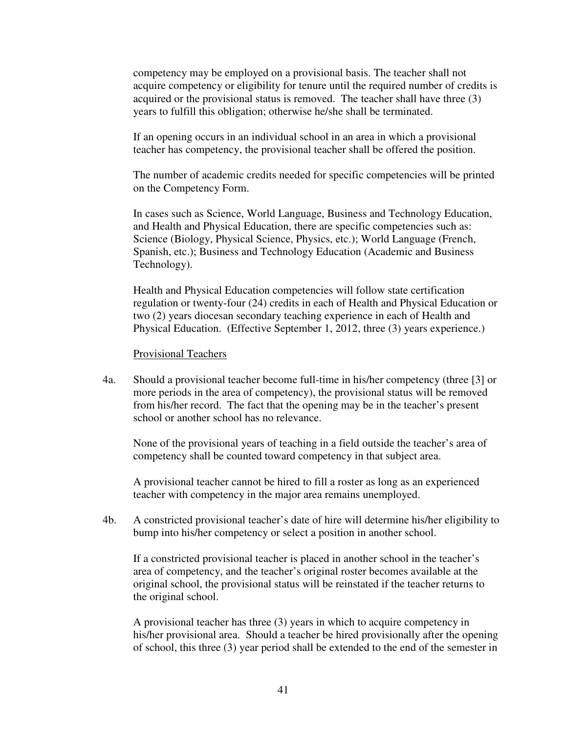competency may be employed on a provisional basis. The teacher shall not acquire competency or eligibility for tenure until the required number of credits is acquired or the provisional status is removed. The teacher shall have three (3) years to fulfill this obligation; otherwise he/she shall be terminated.

 If an opening occurs in an individual school in an area in which a provisional teacher has competency, the provisional teacher shall be offered the position.

 The number of academic credits needed for specific competencies will be printed on the Competency Form.

In cases such as Science, World Language, Business and Technology Education, and Health and Physical Education, there are specific competencies such as: Science (Biology, Physical Science, Physics, etc.); World Language (French, Spanish, etc.); Business and Technology Education (Academic and Business Technology).

Health and Physical Education competencies will follow state certification regulation or twenty-four (24) credits in each of Health and Physical Education or two (2) years diocesan secondary teaching experience in each of Health and Physical Education. (Effective September 1, 2012, three (3) years experience.)

#### Provisional Teachers

 4a. Should a provisional teacher become full-time in his/her competency (three [3] or more periods in the area of competency), the provisional status will be removed from his/her record. The fact that the opening may be in the teacher's present school or another school has no relevance.

 None of the provisional years of teaching in a field outside the teacher's area of competency shall be counted toward competency in that subject area.

 A provisional teacher cannot be hired to fill a roster as long as an experienced teacher with competency in the major area remains unemployed.

4b. A constricted provisional teacher's date of hire will determine his/her eligibility to bump into his/her competency or select a position in another school.

If a constricted provisional teacher is placed in another school in the teacher's area of competency, and the teacher's original roster becomes available at the original school, the provisional status will be reinstated if the teacher returns to the original school.

A provisional teacher has three (3) years in which to acquire competency in his/her provisional area. Should a teacher be hired provisionally after the opening of school, this three (3) year period shall be extended to the end of the semester in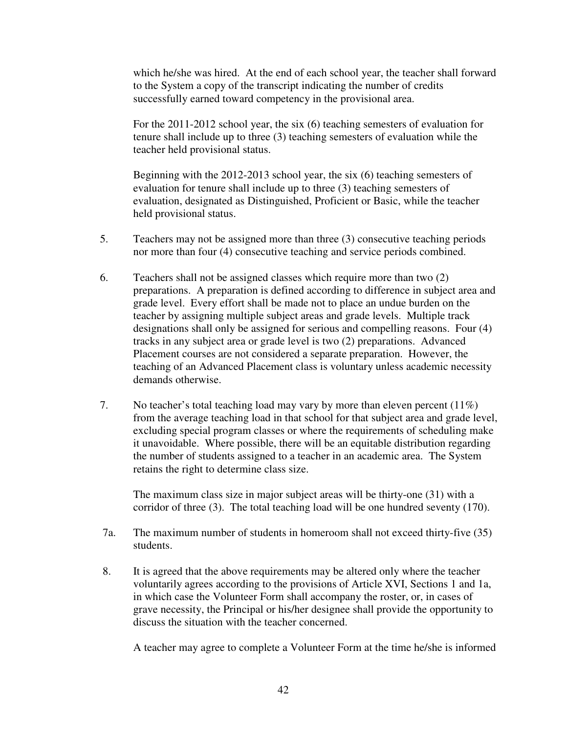which he/she was hired. At the end of each school year, the teacher shall forward to the System a copy of the transcript indicating the number of credits successfully earned toward competency in the provisional area.

For the 2011-2012 school year, the six (6) teaching semesters of evaluation for tenure shall include up to three (3) teaching semesters of evaluation while the teacher held provisional status.

Beginning with the 2012-2013 school year, the six (6) teaching semesters of evaluation for tenure shall include up to three (3) teaching semesters of evaluation, designated as Distinguished, Proficient or Basic, while the teacher held provisional status.

- 5. Teachers may not be assigned more than three (3) consecutive teaching periods nor more than four (4) consecutive teaching and service periods combined.
- 6. Teachers shall not be assigned classes which require more than two (2) preparations. A preparation is defined according to difference in subject area and grade level. Every effort shall be made not to place an undue burden on the teacher by assigning multiple subject areas and grade levels. Multiple track designations shall only be assigned for serious and compelling reasons. Four (4) tracks in any subject area or grade level is two (2) preparations. Advanced Placement courses are not considered a separate preparation. However, the teaching of an Advanced Placement class is voluntary unless academic necessity demands otherwise.
- 7. No teacher's total teaching load may vary by more than eleven percent (11%) from the average teaching load in that school for that subject area and grade level, excluding special program classes or where the requirements of scheduling make it unavoidable. Where possible, there will be an equitable distribution regarding the number of students assigned to a teacher in an academic area. The System retains the right to determine class size.

The maximum class size in major subject areas will be thirty-one (31) with a corridor of three (3). The total teaching load will be one hundred seventy (170).

- 7a. The maximum number of students in homeroom shall not exceed thirty-five (35) students.
- 8. It is agreed that the above requirements may be altered only where the teacher voluntarily agrees according to the provisions of Article XVI, Sections 1 and 1a, in which case the Volunteer Form shall accompany the roster, or, in cases of grave necessity, the Principal or his/her designee shall provide the opportunity to discuss the situation with the teacher concerned.

A teacher may agree to complete a Volunteer Form at the time he/she is informed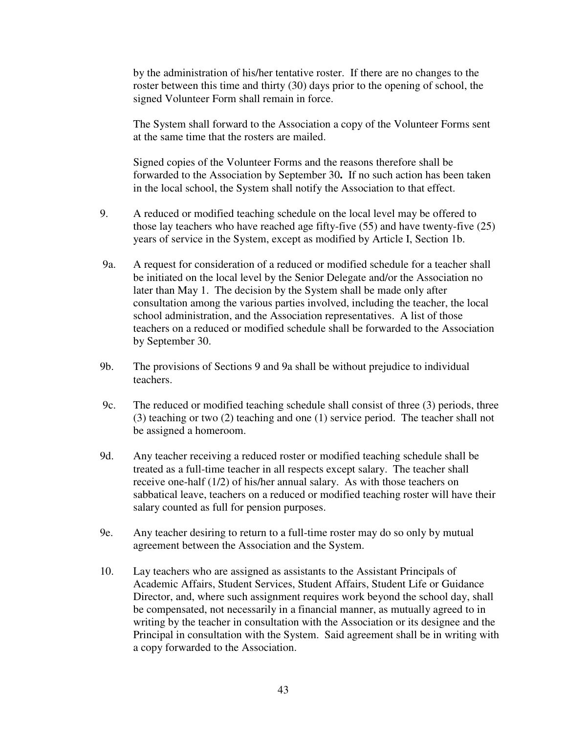by the administration of his/her tentative roster. If there are no changes to the roster between this time and thirty (30) days prior to the opening of school, the signed Volunteer Form shall remain in force.

 The System shall forward to the Association a copy of the Volunteer Forms sent at the same time that the rosters are mailed.

Signed copies of the Volunteer Forms and the reasons therefore shall be forwarded to the Association by September 30**.** If no such action has been taken in the local school, the System shall notify the Association to that effect.

- 9. A reduced or modified teaching schedule on the local level may be offered to those lay teachers who have reached age fifty-five (55) and have twenty-five (25) years of service in the System, except as modified by Article I, Section 1b.
- 9a. A request for consideration of a reduced or modified schedule for a teacher shall be initiated on the local level by the Senior Delegate and/or the Association no later than May 1. The decision by the System shall be made only after consultation among the various parties involved, including the teacher, the local school administration, and the Association representatives. A list of those teachers on a reduced or modified schedule shall be forwarded to the Association by September 30.
- 9b. The provisions of Sections 9 and 9a shall be without prejudice to individual teachers.
- 9c. The reduced or modified teaching schedule shall consist of three (3) periods, three (3) teaching or two (2) teaching and one (1) service period. The teacher shall not be assigned a homeroom.
- 9d. Any teacher receiving a reduced roster or modified teaching schedule shall be treated as a full-time teacher in all respects except salary. The teacher shall receive one-half (1/2) of his/her annual salary. As with those teachers on sabbatical leave, teachers on a reduced or modified teaching roster will have their salary counted as full for pension purposes.
- 9e. Any teacher desiring to return to a full-time roster may do so only by mutual agreement between the Association and the System.
- 10. Lay teachers who are assigned as assistants to the Assistant Principals of Academic Affairs, Student Services, Student Affairs, Student Life or Guidance Director, and, where such assignment requires work beyond the school day, shall be compensated, not necessarily in a financial manner, as mutually agreed to in writing by the teacher in consultation with the Association or its designee and the Principal in consultation with the System. Said agreement shall be in writing with a copy forwarded to the Association.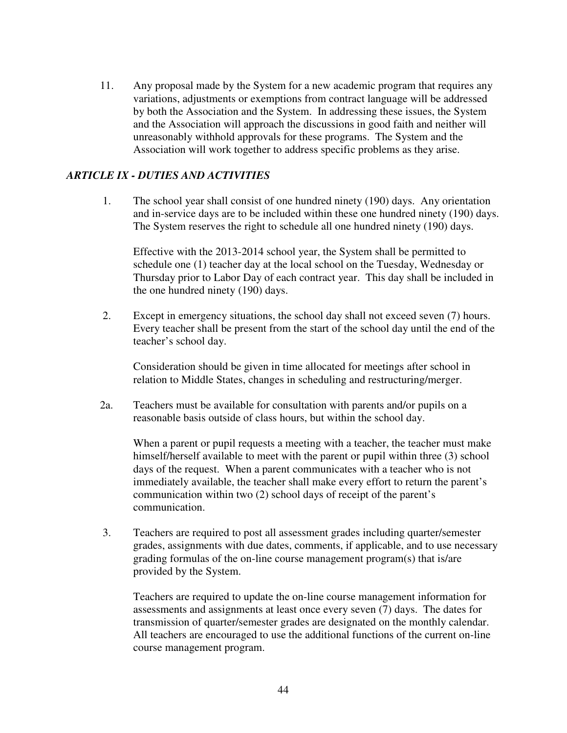11. Any proposal made by the System for a new academic program that requires any variations, adjustments or exemptions from contract language will be addressed by both the Association and the System. In addressing these issues, the System and the Association will approach the discussions in good faith and neither will unreasonably withhold approvals for these programs. The System and the Association will work together to address specific problems as they arise.

## *ARTICLE IX - DUTIES AND ACTIVITIES*

1. The school year shall consist of one hundred ninety (190) days. Any orientation and in-service days are to be included within these one hundred ninety (190) days. The System reserves the right to schedule all one hundred ninety (190) days.

 Effective with the 2013-2014 school year, the System shall be permitted to schedule one (1) teacher day at the local school on the Tuesday, Wednesday or Thursday prior to Labor Day of each contract year. This day shall be included in the one hundred ninety (190) days.

2. Except in emergency situations, the school day shall not exceed seven (7) hours. Every teacher shall be present from the start of the school day until the end of the teacher's school day.

 Consideration should be given in time allocated for meetings after school in relation to Middle States, changes in scheduling and restructuring/merger.

 2a. Teachers must be available for consultation with parents and/or pupils on a reasonable basis outside of class hours, but within the school day.

When a parent or pupil requests a meeting with a teacher, the teacher must make himself/herself available to meet with the parent or pupil within three (3) school days of the request. When a parent communicates with a teacher who is not immediately available, the teacher shall make every effort to return the parent's communication within two (2) school days of receipt of the parent's communication.

3. Teachers are required to post all assessment grades including quarter/semester grades, assignments with due dates, comments, if applicable, and to use necessary grading formulas of the on-line course management program(s) that is/are provided by the System.

 Teachers are required to update the on-line course management information for assessments and assignments at least once every seven (7) days. The dates for transmission of quarter/semester grades are designated on the monthly calendar. All teachers are encouraged to use the additional functions of the current on-line course management program.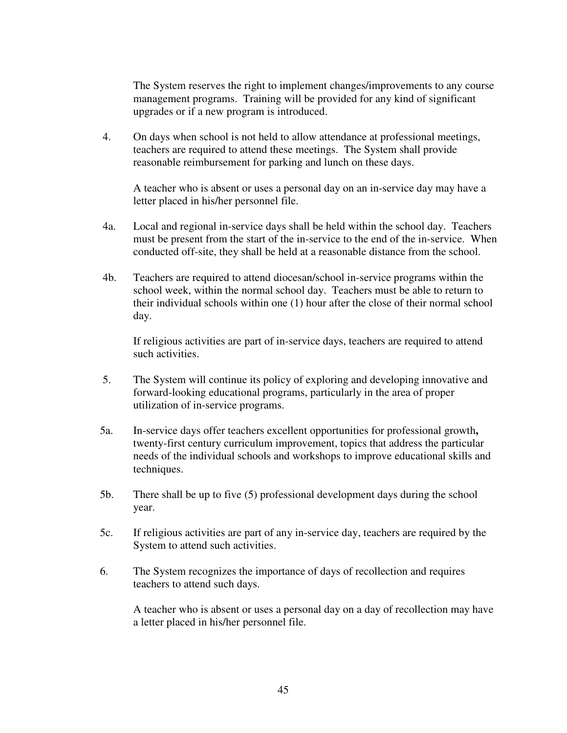The System reserves the right to implement changes/improvements to any course management programs. Training will be provided for any kind of significant upgrades or if a new program is introduced.

 4. On days when school is not held to allow attendance at professional meetings, teachers are required to attend these meetings. The System shall provide reasonable reimbursement for parking and lunch on these days.

 A teacher who is absent or uses a personal day on an in-service day may have a letter placed in his/her personnel file.

- 4a. Local and regional in-service days shall be held within the school day. Teachers must be present from the start of the in-service to the end of the in-service. When conducted off-site, they shall be held at a reasonable distance from the school.
- 4b. Teachers are required to attend diocesan/school in-service programs within the school week, within the normal school day. Teachers must be able to return to their individual schools within one (1) hour after the close of their normal school day.

 If religious activities are part of in-service days, teachers are required to attend such activities.

- 5. The System will continue its policy of exploring and developing innovative and forward-looking educational programs, particularly in the area of proper utilization of in-service programs.
- 5a. In-service days offer teachers excellent opportunities for professional growth**,**  twenty-first century curriculum improvement, topics that address the particular needs of the individual schools and workshops to improve educational skills and techniques.
- 5b. There shall be up to five (5) professional development days during the school year.
- 5c. If religious activities are part of any in-service day, teachers are required by the System to attend such activities.
- 6. The System recognizes the importance of days of recollection and requires teachers to attend such days.

 A teacher who is absent or uses a personal day on a day of recollection may have a letter placed in his/her personnel file.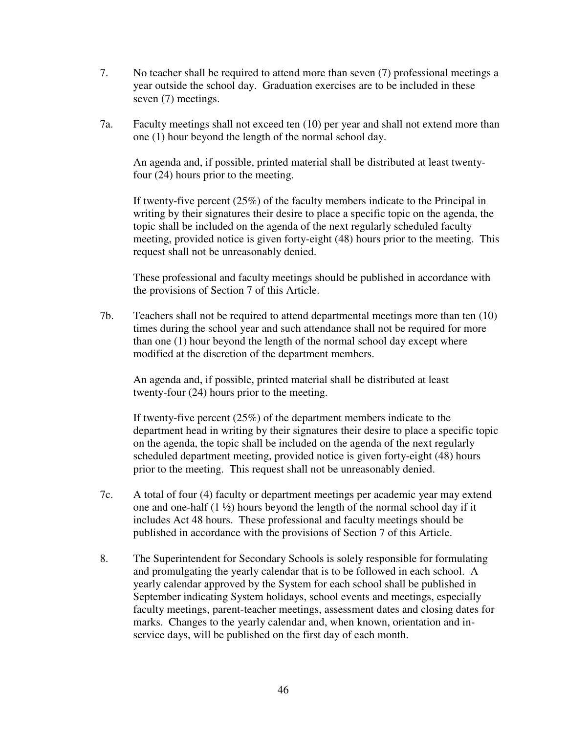- 7. No teacher shall be required to attend more than seven (7) professional meetings a year outside the school day. Graduation exercises are to be included in these seven (7) meetings.
- 7a. Faculty meetings shall not exceed ten (10) per year and shall not extend more than one (1) hour beyond the length of the normal school day.

 An agenda and, if possible, printed material shall be distributed at least twenty four (24) hours prior to the meeting.

 If twenty-five percent (25%) of the faculty members indicate to the Principal in writing by their signatures their desire to place a specific topic on the agenda, the topic shall be included on the agenda of the next regularly scheduled faculty meeting, provided notice is given forty-eight (48) hours prior to the meeting. This request shall not be unreasonably denied.

 These professional and faculty meetings should be published in accordance with the provisions of Section 7 of this Article.

7b. Teachers shall not be required to attend departmental meetings more than ten (10) times during the school year and such attendance shall not be required for more than one (1) hour beyond the length of the normal school day except where modified at the discretion of the department members.

 An agenda and, if possible, printed material shall be distributed at least twenty-four (24) hours prior to the meeting.

If twenty-five percent (25%) of the department members indicate to the department head in writing by their signatures their desire to place a specific topic on the agenda, the topic shall be included on the agenda of the next regularly scheduled department meeting, provided notice is given forty-eight (48) hours prior to the meeting. This request shall not be unreasonably denied.

- 7c. A total of four (4) faculty or department meetings per academic year may extend one and one-half  $(1 \frac{1}{2})$  hours beyond the length of the normal school day if it includes Act 48 hours. These professional and faculty meetings should be published in accordance with the provisions of Section 7 of this Article.
- 8. The Superintendent for Secondary Schools is solely responsible for formulating and promulgating the yearly calendar that is to be followed in each school. A yearly calendar approved by the System for each school shall be published in September indicating System holidays, school events and meetings, especially faculty meetings, parent-teacher meetings, assessment dates and closing dates for marks. Changes to the yearly calendar and, when known, orientation and inservice days, will be published on the first day of each month.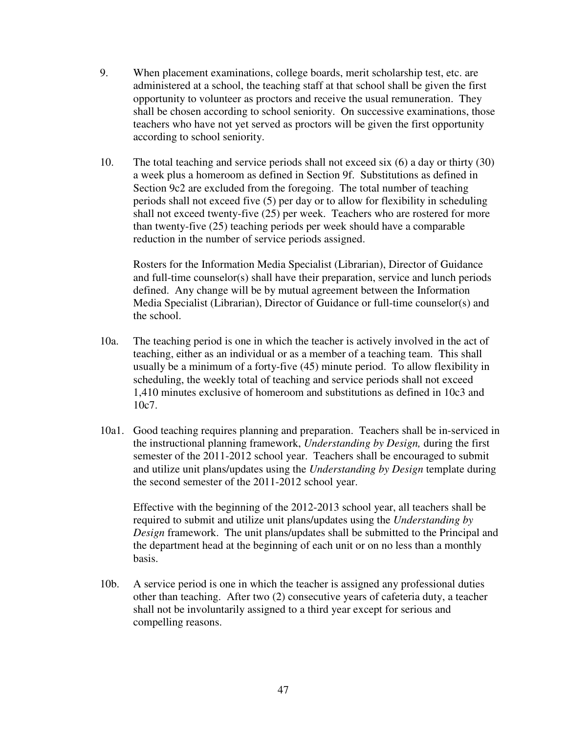- 9. When placement examinations, college boards, merit scholarship test, etc. are administered at a school, the teaching staff at that school shall be given the first opportunity to volunteer as proctors and receive the usual remuneration. They shall be chosen according to school seniority. On successive examinations, those teachers who have not yet served as proctors will be given the first opportunity according to school seniority.
- 10. The total teaching and service periods shall not exceed six (6) a day or thirty (30) a week plus a homeroom as defined in Section 9f. Substitutions as defined in Section 9c2 are excluded from the foregoing. The total number of teaching periods shall not exceed five (5) per day or to allow for flexibility in scheduling shall not exceed twenty-five (25) per week. Teachers who are rostered for more than twenty-five (25) teaching periods per week should have a comparable reduction in the number of service periods assigned.

Rosters for the Information Media Specialist (Librarian), Director of Guidance and full-time counselor(s) shall have their preparation, service and lunch periods defined. Any change will be by mutual agreement between the Information Media Specialist (Librarian), Director of Guidance or full-time counselor(s) and the school.

- 10a. The teaching period is one in which the teacher is actively involved in the act of teaching, either as an individual or as a member of a teaching team. This shall usually be a minimum of a forty-five (45) minute period. To allow flexibility in scheduling, the weekly total of teaching and service periods shall not exceed 1,410 minutes exclusive of homeroom and substitutions as defined in 10c3 and 10c7.
- 10a1. Good teaching requires planning and preparation. Teachers shall be in-serviced in the instructional planning framework, *Understanding by Design,* during the first semester of the 2011-2012 school year. Teachers shall be encouraged to submit and utilize unit plans/updates using the *Understanding by Design* template during the second semester of the 2011-2012 school year.

 Effective with the beginning of the 2012-2013 school year, all teachers shall be required to submit and utilize unit plans/updates using the *Understanding by Design* framework. The unit plans/updates shall be submitted to the Principal and the department head at the beginning of each unit or on no less than a monthly basis.

10b. A service period is one in which the teacher is assigned any professional duties other than teaching. After two (2) consecutive years of cafeteria duty, a teacher shall not be involuntarily assigned to a third year except for serious and compelling reasons.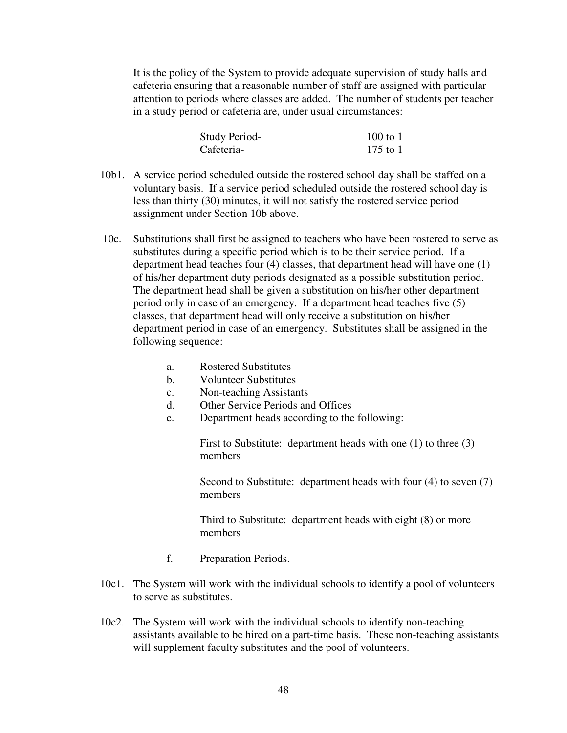It is the policy of the System to provide adequate supervision of study halls and cafeteria ensuring that a reasonable number of staff are assigned with particular attention to periods where classes are added. The number of students per teacher in a study period or cafeteria are, under usual circumstances:

| Study Period- | $100$ to $1$ |
|---------------|--------------|
| Cafeteria-    | 175 to 1     |

- 10b1. A service period scheduled outside the rostered school day shall be staffed on a voluntary basis. If a service period scheduled outside the rostered school day is less than thirty (30) minutes, it will not satisfy the rostered service period assignment under Section 10b above.
- 10c. Substitutions shall first be assigned to teachers who have been rostered to serve as substitutes during a specific period which is to be their service period. If a department head teaches four (4) classes, that department head will have one (1) of his/her department duty periods designated as a possible substitution period. The department head shall be given a substitution on his/her other department period only in case of an emergency. If a department head teaches five (5) classes, that department head will only receive a substitution on his/her department period in case of an emergency. Substitutes shall be assigned in the following sequence:
	- a. Rostered Substitutes
	- b. Volunteer Substitutes
	- c. Non-teaching Assistants
	- d. Other Service Periods and Offices
	- e. Department heads according to the following:

First to Substitute: department heads with one (1) to three (3) members

Second to Substitute: department heads with four (4) to seven (7) members

 Third to Substitute: department heads with eight (8) or more members

- f. Preparation Periods.
- 10c1. The System will work with the individual schools to identify a pool of volunteers to serve as substitutes.
- 10c2. The System will work with the individual schools to identify non-teaching assistants available to be hired on a part-time basis. These non-teaching assistants will supplement faculty substitutes and the pool of volunteers.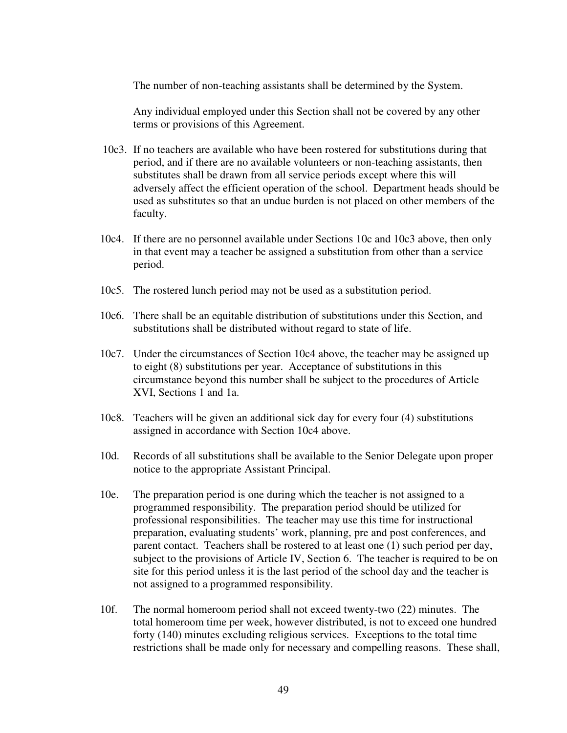The number of non-teaching assistants shall be determined by the System.

 Any individual employed under this Section shall not be covered by any other terms or provisions of this Agreement.

- 10c3. If no teachers are available who have been rostered for substitutions during that period, and if there are no available volunteers or non-teaching assistants, then substitutes shall be drawn from all service periods except where this will adversely affect the efficient operation of the school. Department heads should be used as substitutes so that an undue burden is not placed on other members of the faculty.
- 10c4. If there are no personnel available under Sections 10c and 10c3 above, then only in that event may a teacher be assigned a substitution from other than a service period.
- 10c5. The rostered lunch period may not be used as a substitution period.
- 10c6. There shall be an equitable distribution of substitutions under this Section, and substitutions shall be distributed without regard to state of life.
- 10c7. Under the circumstances of Section 10c4 above, the teacher may be assigned up to eight (8) substitutions per year. Acceptance of substitutions in this circumstance beyond this number shall be subject to the procedures of Article XVI, Sections 1 and 1a.
- 10c8. Teachers will be given an additional sick day for every four (4) substitutions assigned in accordance with Section 10c4 above.
- 10d. Records of all substitutions shall be available to the Senior Delegate upon proper notice to the appropriate Assistant Principal.
- 10e. The preparation period is one during which the teacher is not assigned to a programmed responsibility. The preparation period should be utilized for professional responsibilities. The teacher may use this time for instructional preparation, evaluating students' work, planning, pre and post conferences, and parent contact. Teachers shall be rostered to at least one (1) such period per day, subject to the provisions of Article IV, Section 6. The teacher is required to be on site for this period unless it is the last period of the school day and the teacher is not assigned to a programmed responsibility.
- 10f. The normal homeroom period shall not exceed twenty-two (22) minutes. The total homeroom time per week, however distributed, is not to exceed one hundred forty (140) minutes excluding religious services. Exceptions to the total time restrictions shall be made only for necessary and compelling reasons. These shall,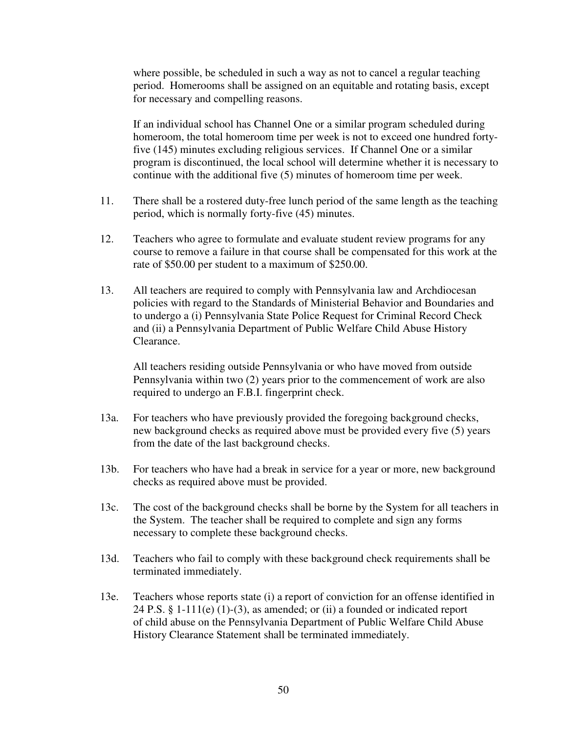where possible, be scheduled in such a way as not to cancel a regular teaching period. Homerooms shall be assigned on an equitable and rotating basis, except for necessary and compelling reasons.

 If an individual school has Channel One or a similar program scheduled during homeroom, the total homeroom time per week is not to exceed one hundred forty five (145) minutes excluding religious services. If Channel One or a similar program is discontinued, the local school will determine whether it is necessary to continue with the additional five (5) minutes of homeroom time per week.

- 11. There shall be a rostered duty-free lunch period of the same length as the teaching period, which is normally forty-five (45) minutes.
- 12. Teachers who agree to formulate and evaluate student review programs for any course to remove a failure in that course shall be compensated for this work at the rate of \$50.00 per student to a maximum of \$250.00.
- 13. All teachers are required to comply with Pennsylvania law and Archdiocesan policies with regard to the Standards of Ministerial Behavior and Boundaries and to undergo a (i) Pennsylvania State Police Request for Criminal Record Check and (ii) a Pennsylvania Department of Public Welfare Child Abuse History Clearance.

 All teachers residing outside Pennsylvania or who have moved from outside Pennsylvania within two (2) years prior to the commencement of work are also required to undergo an F.B.I. fingerprint check.

- 13a. For teachers who have previously provided the foregoing background checks, new background checks as required above must be provided every five (5) years from the date of the last background checks.
- 13b. For teachers who have had a break in service for a year or more, new background checks as required above must be provided.
- 13c. The cost of the background checks shall be borne by the System for all teachers in the System. The teacher shall be required to complete and sign any forms necessary to complete these background checks.
- 13d. Teachers who fail to comply with these background check requirements shall be terminated immediately.
- 13e. Teachers whose reports state (i) a report of conviction for an offense identified in 24 P.S. § 1-111(e) (1)-(3), as amended; or (ii) a founded or indicated report of child abuse on the Pennsylvania Department of Public Welfare Child Abuse History Clearance Statement shall be terminated immediately.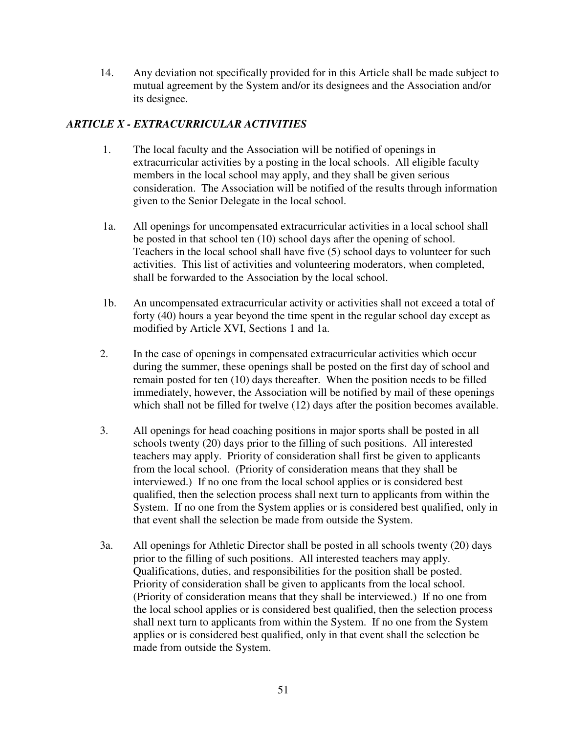14. Any deviation not specifically provided for in this Article shall be made subject to mutual agreement by the System and/or its designees and the Association and/or its designee.

## *ARTICLE X - EXTRACURRICULAR ACTIVITIES*

- 1. The local faculty and the Association will be notified of openings in extracurricular activities by a posting in the local schools. All eligible faculty members in the local school may apply, and they shall be given serious consideration. The Association will be notified of the results through information given to the Senior Delegate in the local school.
- 1a. All openings for uncompensated extracurricular activities in a local school shall be posted in that school ten (10) school days after the opening of school. Teachers in the local school shall have five (5) school days to volunteer for such activities. This list of activities and volunteering moderators, when completed, shall be forwarded to the Association by the local school.
- 1b. An uncompensated extracurricular activity or activities shall not exceed a total of forty (40) hours a year beyond the time spent in the regular school day except as modified by Article XVI, Sections 1 and 1a.
- 2. In the case of openings in compensated extracurricular activities which occur during the summer, these openings shall be posted on the first day of school and remain posted for ten (10) days thereafter. When the position needs to be filled immediately, however, the Association will be notified by mail of these openings which shall not be filled for twelve (12) days after the position becomes available.
- 3. All openings for head coaching positions in major sports shall be posted in all schools twenty (20) days prior to the filling of such positions. All interested teachers may apply. Priority of consideration shall first be given to applicants from the local school. (Priority of consideration means that they shall be interviewed.) If no one from the local school applies or is considered best qualified, then the selection process shall next turn to applicants from within the System. If no one from the System applies or is considered best qualified, only in that event shall the selection be made from outside the System.
- 3a. All openings for Athletic Director shall be posted in all schools twenty (20) days prior to the filling of such positions. All interested teachers may apply. Qualifications, duties, and responsibilities for the position shall be posted. Priority of consideration shall be given to applicants from the local school. (Priority of consideration means that they shall be interviewed.) If no one from the local school applies or is considered best qualified, then the selection process shall next turn to applicants from within the System. If no one from the System applies or is considered best qualified, only in that event shall the selection be made from outside the System.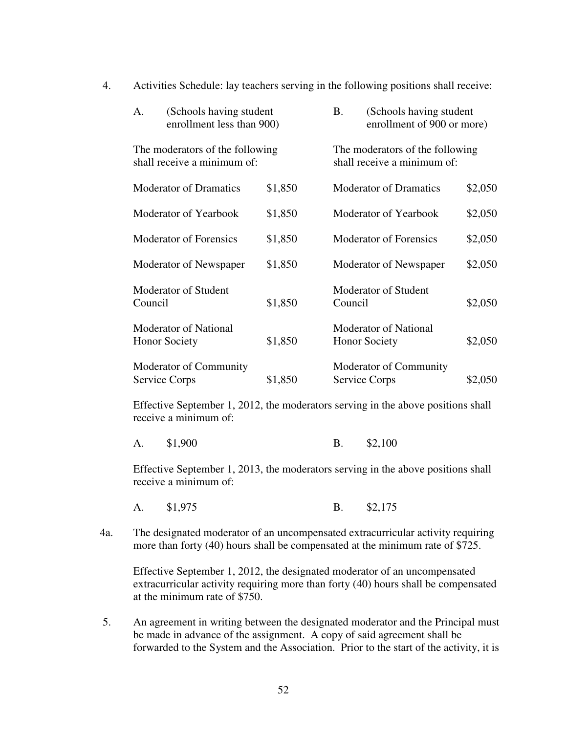| (Schools having student<br>A.<br>enrollment less than 900)     |         | <b>B.</b>                                                      | (Schools having student<br>enrollment of 900 or more) |         |
|----------------------------------------------------------------|---------|----------------------------------------------------------------|-------------------------------------------------------|---------|
| The moderators of the following<br>shall receive a minimum of: |         | The moderators of the following<br>shall receive a minimum of: |                                                       |         |
| <b>Moderator of Dramatics</b>                                  | \$1,850 |                                                                | <b>Moderator of Dramatics</b>                         | \$2,050 |
| Moderator of Yearbook                                          | \$1,850 |                                                                | Moderator of Yearbook                                 | \$2,050 |
| <b>Moderator of Forensics</b>                                  | \$1,850 |                                                                | <b>Moderator of Forensics</b>                         | \$2,050 |
| Moderator of Newspaper                                         | \$1,850 |                                                                | Moderator of Newspaper                                | \$2,050 |
| <b>Moderator of Student</b><br>Council                         | \$1,850 | Council                                                        | Moderator of Student                                  | \$2,050 |
| <b>Moderator of National</b><br><b>Honor Society</b>           | \$1,850 |                                                                | <b>Moderator of National</b><br><b>Honor Society</b>  | \$2,050 |
| Moderator of Community<br>Service Corps                        | \$1,850 |                                                                | Moderator of Community<br>Service Corps               | \$2,050 |

4. Activities Schedule: lay teachers serving in the following positions shall receive:

 Effective September 1, 2012, the moderators serving in the above positions shall receive a minimum of:

| \$1,900 |  | $B. \qquad $2,100$ |
|---------|--|--------------------|
|---------|--|--------------------|

Effective September 1, 2013, the moderators serving in the above positions shall receive a minimum of:

- A. \$1,975 B. \$2,175
- 4a. The designated moderator of an uncompensated extracurricular activity requiring more than forty (40) hours shall be compensated at the minimum rate of \$725.

Effective September 1, 2012, the designated moderator of an uncompensated extracurricular activity requiring more than forty (40) hours shall be compensated at the minimum rate of \$750.

5. An agreement in writing between the designated moderator and the Principal must be made in advance of the assignment. A copy of said agreement shall be forwarded to the System and the Association. Prior to the start of the activity, it is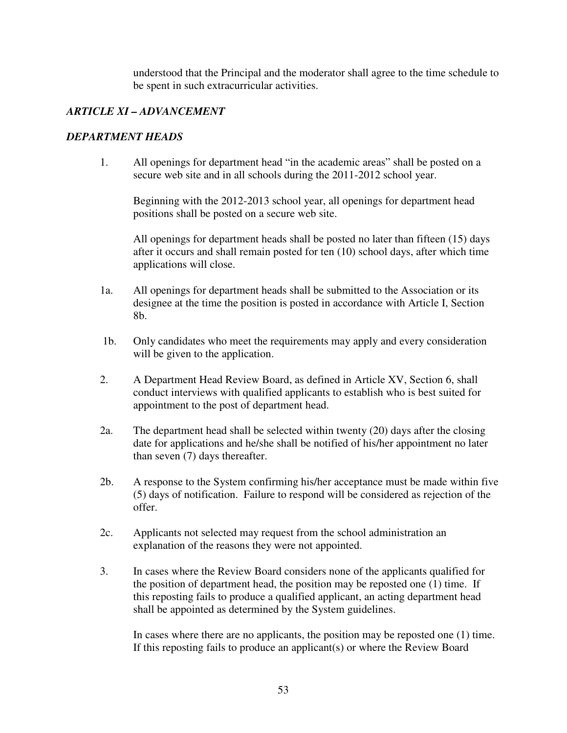understood that the Principal and the moderator shall agree to the time schedule to be spent in such extracurricular activities.

### *ARTICLE XI – ADVANCEMENT*

### *DEPARTMENT HEADS*

1. All openings for department head "in the academic areas" shall be posted on a secure web site and in all schools during the 2011-2012 school year.

 Beginning with the 2012-2013 school year, all openings for department head positions shall be posted on a secure web site.

 All openings for department heads shall be posted no later than fifteen (15) days after it occurs and shall remain posted for ten (10) school days, after which time applications will close.

- 1a. All openings for department heads shall be submitted to the Association or its designee at the time the position is posted in accordance with Article I, Section 8b.
- 1b. Only candidates who meet the requirements may apply and every consideration will be given to the application.
- 2. A Department Head Review Board, as defined in Article XV, Section 6, shall conduct interviews with qualified applicants to establish who is best suited for appointment to the post of department head.
- 2a. The department head shall be selected within twenty (20) days after the closing date for applications and he/she shall be notified of his/her appointment no later than seven (7) days thereafter.
- 2b. A response to the System confirming his/her acceptance must be made within five (5) days of notification. Failure to respond will be considered as rejection of the offer.
- 2c. Applicants not selected may request from the school administration an explanation of the reasons they were not appointed.
- 3. In cases where the Review Board considers none of the applicants qualified for the position of department head, the position may be reposted one (1) time. If this reposting fails to produce a qualified applicant, an acting department head shall be appointed as determined by the System guidelines.

In cases where there are no applicants, the position may be reposted one (1) time. If this reposting fails to produce an applicant(s) or where the Review Board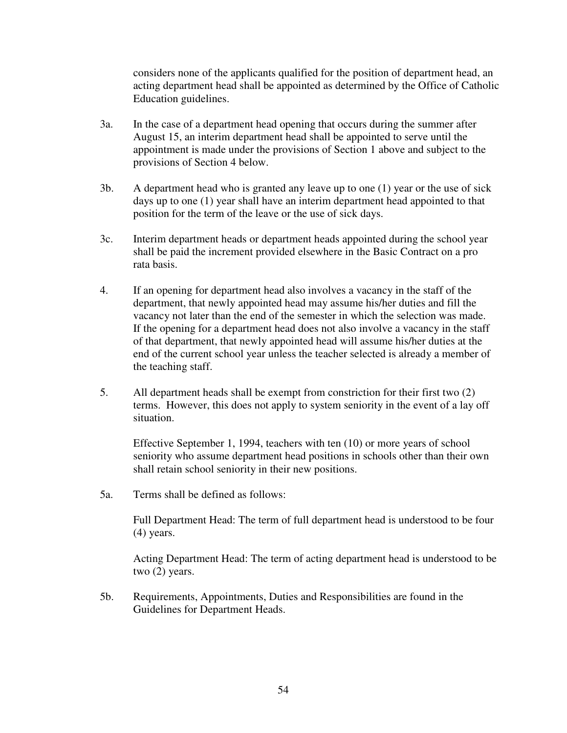considers none of the applicants qualified for the position of department head, an acting department head shall be appointed as determined by the Office of Catholic Education guidelines.

- 3a. In the case of a department head opening that occurs during the summer after August 15, an interim department head shall be appointed to serve until the appointment is made under the provisions of Section 1 above and subject to the provisions of Section 4 below.
- 3b. A department head who is granted any leave up to one (1) year or the use of sick days up to one (1) year shall have an interim department head appointed to that position for the term of the leave or the use of sick days.
- 3c. Interim department heads or department heads appointed during the school year shall be paid the increment provided elsewhere in the Basic Contract on a pro rata basis.
- 4. If an opening for department head also involves a vacancy in the staff of the department, that newly appointed head may assume his/her duties and fill the vacancy not later than the end of the semester in which the selection was made. If the opening for a department head does not also involve a vacancy in the staff of that department, that newly appointed head will assume his/her duties at the end of the current school year unless the teacher selected is already a member of the teaching staff.
- 5. All department heads shall be exempt from constriction for their first two (2) terms. However, this does not apply to system seniority in the event of a lay off situation.

Effective September 1, 1994, teachers with ten (10) or more years of school seniority who assume department head positions in schools other than their own shall retain school seniority in their new positions.

5a. Terms shall be defined as follows:

 Full Department Head: The term of full department head is understood to be four (4) years.

 Acting Department Head: The term of acting department head is understood to be two (2) years.

 5b. Requirements, Appointments, Duties and Responsibilities are found in the Guidelines for Department Heads.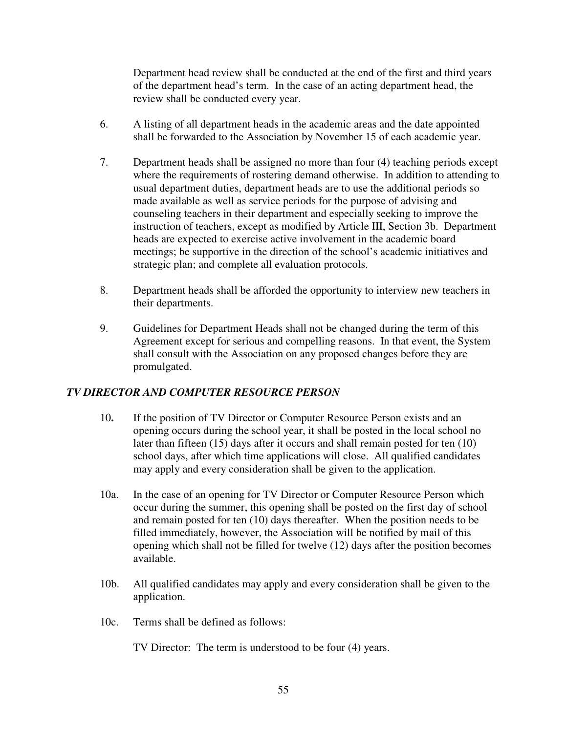Department head review shall be conducted at the end of the first and third years of the department head's term. In the case of an acting department head, the review shall be conducted every year.

- 6. A listing of all department heads in the academic areas and the date appointed shall be forwarded to the Association by November 15 of each academic year.
- 7. Department heads shall be assigned no more than four (4) teaching periods except where the requirements of rostering demand otherwise. In addition to attending to usual department duties, department heads are to use the additional periods so made available as well as service periods for the purpose of advising and counseling teachers in their department and especially seeking to improve the instruction of teachers, except as modified by Article III, Section 3b. Department heads are expected to exercise active involvement in the academic board meetings; be supportive in the direction of the school's academic initiatives and strategic plan; and complete all evaluation protocols.
- 8. Department heads shall be afforded the opportunity to interview new teachers in their departments.
- 9. Guidelines for Department Heads shall not be changed during the term of this Agreement except for serious and compelling reasons. In that event, the System shall consult with the Association on any proposed changes before they are promulgated.

### *TV DIRECTOR AND COMPUTER RESOURCE PERSON*

- 10**.** If the position of TV Director or Computer Resource Person exists and an opening occurs during the school year, it shall be posted in the local school no later than fifteen (15) days after it occurs and shall remain posted for ten (10) school days, after which time applications will close. All qualified candidates may apply and every consideration shall be given to the application.
- 10a. In the case of an opening for TV Director or Computer Resource Person which occur during the summer, this opening shall be posted on the first day of school and remain posted for ten (10) days thereafter. When the position needs to be filled immediately, however, the Association will be notified by mail of this opening which shall not be filled for twelve (12) days after the position becomes available.
- 10b. All qualified candidates may apply and every consideration shall be given to the application.
- 10c. Terms shall be defined as follows:

TV Director: The term is understood to be four (4) years.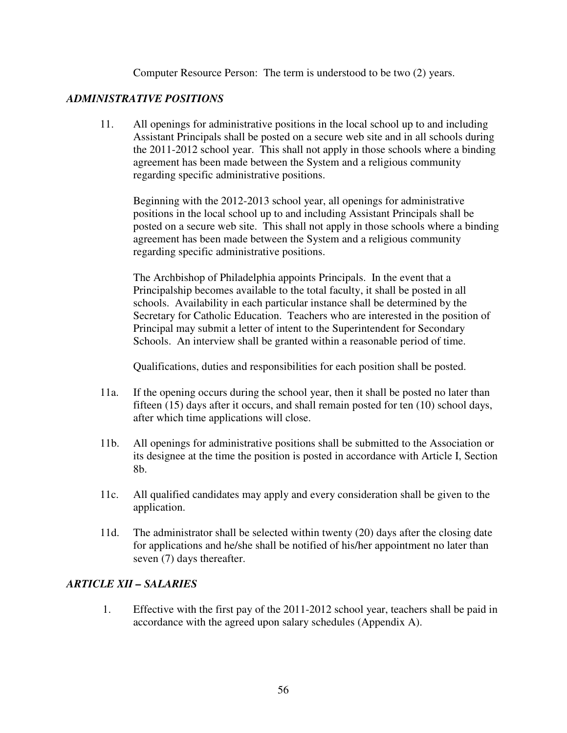Computer Resource Person: The term is understood to be two (2) years.

### *ADMINISTRATIVE POSITIONS*

11. All openings for administrative positions in the local school up to and including Assistant Principals shall be posted on a secure web site and in all schools during the 2011-2012 school year.This shall not apply in those schools where a binding agreement has been made between the System and a religious community regarding specific administrative positions.

Beginning with the 2012-2013 school year, all openings for administrative positions in the local school up to and including Assistant Principals shall be posted on a secure web site. This shall not apply in those schools where a binding agreement has been made between the System and a religious community regarding specific administrative positions.

The Archbishop of Philadelphia appoints Principals. In the event that a Principalship becomes available to the total faculty, it shall be posted in all schools. Availability in each particular instance shall be determined by the Secretary for Catholic Education. Teachers who are interested in the position of Principal may submit a letter of intent to the Superintendent for Secondary Schools. An interview shall be granted within a reasonable period of time.

Qualifications, duties and responsibilities for each position shall be posted.

- 11a. If the opening occurs during the school year, then it shall be posted no later than fifteen (15) days after it occurs, and shall remain posted for ten (10) school days, after which time applications will close.
- 11b. All openings for administrative positions shall be submitted to the Association or its designee at the time the position is posted in accordance with Article I, Section 8b.
- 11c. All qualified candidates may apply and every consideration shall be given to the application.
- 11d. The administrator shall be selected within twenty (20) days after the closing date for applications and he/she shall be notified of his/her appointment no later than seven (7) days thereafter.

#### *ARTICLE XII – SALARIES*

1. Effective with the first pay of the 2011-2012 school year, teachers shall be paid in accordance with the agreed upon salary schedules (Appendix A).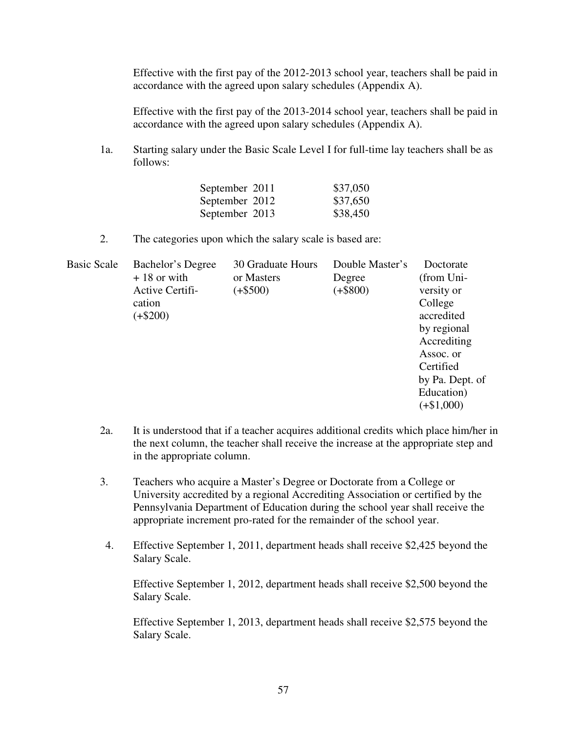Effective with the first pay of the 2012-2013 school year, teachers shall be paid in accordance with the agreed upon salary schedules (Appendix A).

Effective with the first pay of the 2013-2014 school year, teachers shall be paid in accordance with the agreed upon salary schedules (Appendix A).

 1a. Starting salary under the Basic Scale Level I for full-time lay teachers shall be as follows:

| September 2011 | \$37,050 |
|----------------|----------|
| September 2012 | \$37,650 |
| September 2013 | \$38,450 |

2. The categories upon which the salary scale is based are:

| <b>Basic Scale</b> | Bachelor's Degree | 30 Graduate Hours | Double Master's | Doctorate       |
|--------------------|-------------------|-------------------|-----------------|-----------------|
|                    | $+18$ or with     | or Masters        | Degree          | (from Uni-      |
|                    | Active Certifi-   | $(+\$500)$        | $(+\$800)$      | versity or      |
|                    | cation            |                   |                 | College         |
|                    | $(+\$200)$        |                   |                 | accredited      |
|                    |                   |                   |                 | by regional     |
|                    |                   |                   |                 | Accrediting     |
|                    |                   |                   |                 | Assoc. or       |
|                    |                   |                   |                 | Certified       |
|                    |                   |                   |                 | by Pa. Dept. of |
|                    |                   |                   |                 | Education)      |
|                    |                   |                   |                 | $(+\$1,000)$    |
|                    |                   |                   |                 |                 |

- 2a. It is understood that if a teacher acquires additional credits which place him/her in the next column, the teacher shall receive the increase at the appropriate step and in the appropriate column.
- 3. Teachers who acquire a Master's Degree or Doctorate from a College or University accredited by a regional Accrediting Association or certified by the Pennsylvania Department of Education during the school year shall receive the appropriate increment pro-rated for the remainder of the school year.
- 4. Effective September 1, 2011, department heads shall receive \$2,425 beyond the Salary Scale.

Effective September 1, 2012, department heads shall receive \$2,500 beyond the Salary Scale.

Effective September 1, 2013, department heads shall receive \$2,575 beyond the Salary Scale.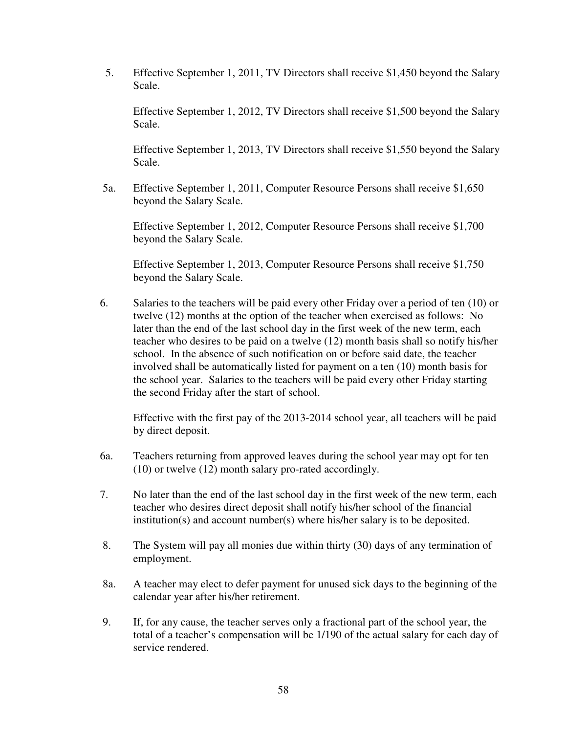5. Effective September 1, 2011, TV Directors shall receive \$1,450 beyond the Salary Scale.

Effective September 1, 2012, TV Directors shall receive \$1,500 beyond the Salary Scale.

Effective September 1, 2013, TV Directors shall receive \$1,550 beyond the Salary Scale.

5a. Effective September 1, 2011, Computer Resource Persons shall receive \$1,650 beyond the Salary Scale.

Effective September 1, 2012, Computer Resource Persons shall receive \$1,700 beyond the Salary Scale.

Effective September 1, 2013, Computer Resource Persons shall receive \$1,750 beyond the Salary Scale.

6. Salaries to the teachers will be paid every other Friday over a period of ten (10) or twelve (12) months at the option of the teacher when exercised as follows: No later than the end of the last school day in the first week of the new term, each teacher who desires to be paid on a twelve (12) month basis shall so notify his/her school. In the absence of such notification on or before said date, the teacher involved shall be automatically listed for payment on a ten (10) month basis for the school year. Salaries to the teachers will be paid every other Friday starting the second Friday after the start of school.

 Effective with the first pay of the 2013-2014 school year, all teachers will be paid by direct deposit.

- 6a. Teachers returning from approved leaves during the school year may opt for ten (10) or twelve (12) month salary pro-rated accordingly.
- 7. No later than the end of the last school day in the first week of the new term, each teacher who desires direct deposit shall notify his/her school of the financial institution(s) and account number(s) where his/her salary is to be deposited.
- 8. The System will pay all monies due within thirty (30) days of any termination of employment.
- 8a. A teacher may elect to defer payment for unused sick days to the beginning of the calendar year after his/her retirement.
- 9. If, for any cause, the teacher serves only a fractional part of the school year, the total of a teacher's compensation will be 1/190 of the actual salary for each day of service rendered.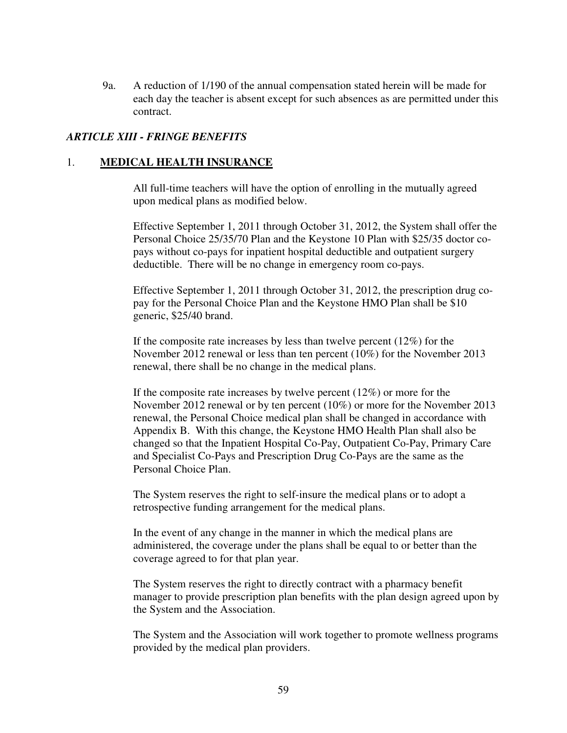9a. A reduction of 1/190 of the annual compensation stated herein will be made for each day the teacher is absent except for such absences as are permitted under this contract.

#### *ARTICLE XIII - FRINGE BENEFITS*

#### 1. **MEDICAL HEALTH INSURANCE**

All full-time teachers will have the option of enrolling in the mutually agreed upon medical plans as modified below.

Effective September 1, 2011 through October 31, 2012, the System shall offer the Personal Choice 25/35/70 Plan and the Keystone 10 Plan with \$25/35 doctor copays without co-pays for inpatient hospital deductible and outpatient surgery deductible. There will be no change in emergency room co-pays.

Effective September 1, 2011 through October 31, 2012, the prescription drug copay for the Personal Choice Plan and the Keystone HMO Plan shall be \$10 generic, \$25/40 brand.

If the composite rate increases by less than twelve percent  $(12\%)$  for the November 2012 renewal or less than ten percent (10%) for the November 2013 renewal, there shall be no change in the medical plans.

If the composite rate increases by twelve percent (12%) or more for the November 2012 renewal or by ten percent (10%) or more for the November 2013 renewal, the Personal Choice medical plan shall be changed in accordance with Appendix B. With this change, the Keystone HMO Health Plan shall also be changed so that the Inpatient Hospital Co-Pay, Outpatient Co-Pay, Primary Care and Specialist Co-Pays and Prescription Drug Co-Pays are the same as the Personal Choice Plan.

The System reserves the right to self-insure the medical plans or to adopt a retrospective funding arrangement for the medical plans.

In the event of any change in the manner in which the medical plans are administered, the coverage under the plans shall be equal to or better than the coverage agreed to for that plan year.

 The System reserves the right to directly contract with a pharmacy benefit manager to provide prescription plan benefits with the plan design agreed upon by the System and the Association.

The System and the Association will work together to promote wellness programs provided by the medical plan providers.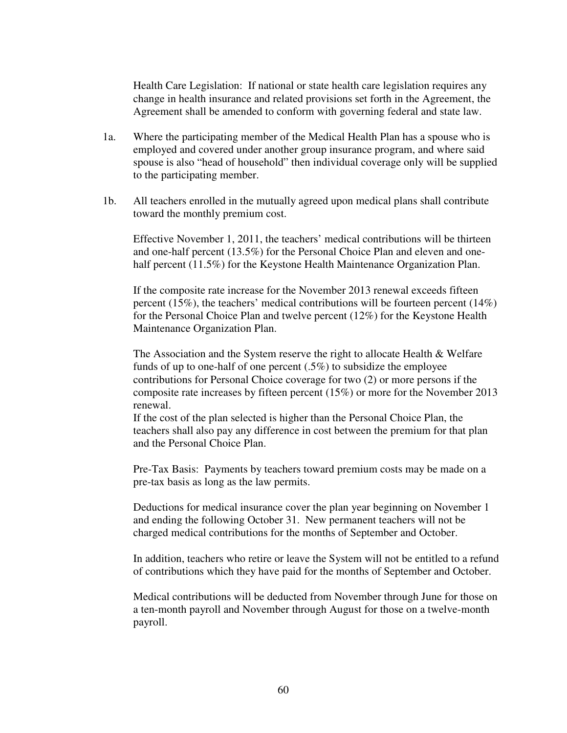Health Care Legislation: If national or state health care legislation requires any change in health insurance and related provisions set forth in the Agreement, the Agreement shall be amended to conform with governing federal and state law.

- 1a. Where the participating member of the Medical Health Plan has a spouse who is employed and covered under another group insurance program, and where said spouse is also "head of household" then individual coverage only will be supplied to the participating member.
- 1b. All teachers enrolled in the mutually agreed upon medical plans shall contribute toward the monthly premium cost.

Effective November 1, 2011, the teachers' medical contributions will be thirteen and one-half percent (13.5%) for the Personal Choice Plan and eleven and onehalf percent (11.5%) for the Keystone Health Maintenance Organization Plan.

If the composite rate increase for the November 2013 renewal exceeds fifteen percent (15%), the teachers' medical contributions will be fourteen percent (14%) for the Personal Choice Plan and twelve percent (12%) for the Keystone Health Maintenance Organization Plan.

The Association and the System reserve the right to allocate Health & Welfare funds of up to one-half of one percent (.5%) to subsidize the employee contributions for Personal Choice coverage for two (2) or more persons if the composite rate increases by fifteen percent (15%) or more for the November 2013 renewal.

If the cost of the plan selected is higher than the Personal Choice Plan, the teachers shall also pay any difference in cost between the premium for that plan and the Personal Choice Plan.

Pre-Tax Basis: Payments by teachers toward premium costs may be made on a pre-tax basis as long as the law permits.

 Deductions for medical insurance cover the plan year beginning on November 1 and ending the following October 31. New permanent teachers will not be charged medical contributions for the months of September and October.

In addition, teachers who retire or leave the System will not be entitled to a refund of contributions which they have paid for the months of September and October.

 Medical contributions will be deducted from November through June for those on a ten-month payroll and November through August for those on a twelve-month payroll.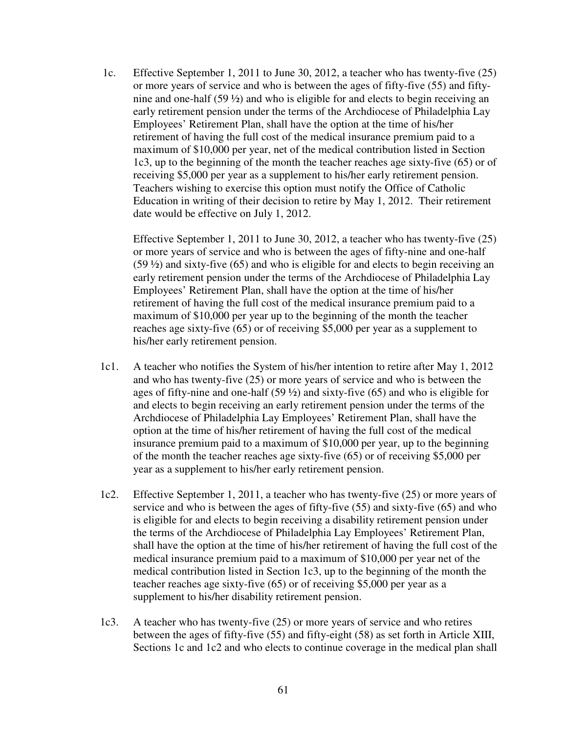1c. Effective September 1, 2011 to June 30, 2012, a teacher who has twenty-five (25) or more years of service and who is between the ages of fifty-five (55) and fiftynine and one-half (59 ½) and who is eligible for and elects to begin receiving an early retirement pension under the terms of the Archdiocese of Philadelphia Lay Employees' Retirement Plan, shall have the option at the time of his/her retirement of having the full cost of the medical insurance premium paid to a maximum of \$10,000 per year, net of the medical contribution listed in Section 1c3, up to the beginning of the month the teacher reaches age sixty-five (65) or of receiving \$5,000 per year as a supplement to his/her early retirement pension. Teachers wishing to exercise this option must notify the Office of Catholic Education in writing of their decision to retire by May 1, 2012. Their retirement date would be effective on July 1, 2012.

Effective September 1, 2011 to June 30, 2012, a teacher who has twenty-five (25) or more years of service and who is between the ages of fifty-nine and one-half (59 ½) and sixty-five (65) and who is eligible for and elects to begin receiving an early retirement pension under the terms of the Archdiocese of Philadelphia Lay Employees' Retirement Plan, shall have the option at the time of his/her retirement of having the full cost of the medical insurance premium paid to a maximum of \$10,000 per year up to the beginning of the month the teacher reaches age sixty-five (65) or of receiving \$5,000 per year as a supplement to his/her early retirement pension.

- 1c1. A teacher who notifies the System of his/her intention to retire after May 1, 2012 and who has twenty-five (25) or more years of service and who is between the ages of fifty-nine and one-half (59 ½) and sixty-five (65) and who is eligible for and elects to begin receiving an early retirement pension under the terms of the Archdiocese of Philadelphia Lay Employees' Retirement Plan, shall have the option at the time of his/her retirement of having the full cost of the medical insurance premium paid to a maximum of \$10,000 per year, up to the beginning of the month the teacher reaches age sixty-five (65) or of receiving \$5,000 per year as a supplement to his/her early retirement pension.
- 1c2. Effective September 1, 2011, a teacher who has twenty-five (25) or more years of service and who is between the ages of fifty-five (55) and sixty-five (65) and who is eligible for and elects to begin receiving a disability retirement pension under the terms of the Archdiocese of Philadelphia Lay Employees' Retirement Plan, shall have the option at the time of his/her retirement of having the full cost of the medical insurance premium paid to a maximum of \$10,000 per year net of the medical contribution listed in Section 1c3, up to the beginning of the month the teacher reaches age sixty-five (65) or of receiving \$5,000 per year as a supplement to his/her disability retirement pension.
- 1c3. A teacher who has twenty-five (25) or more years of service and who retires between the ages of fifty-five (55) and fifty-eight (58) as set forth in Article XIII, Sections 1c and 1c2 and who elects to continue coverage in the medical plan shall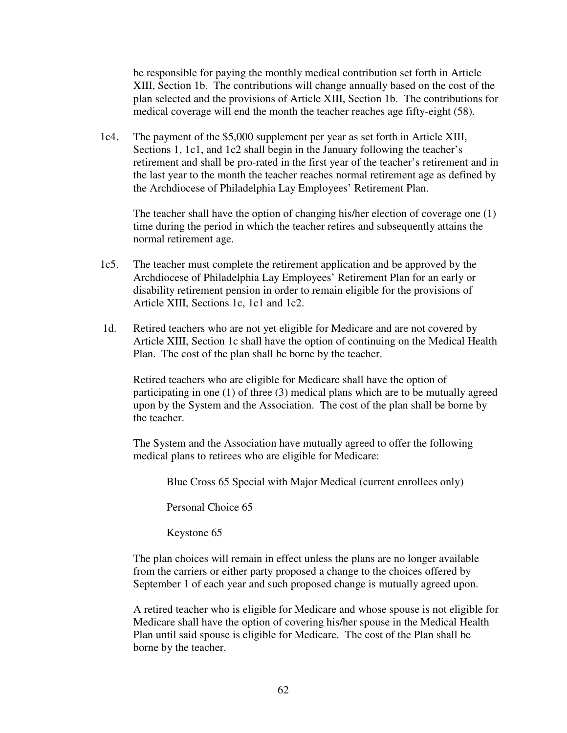be responsible for paying the monthly medical contribution set forth in Article XIII, Section 1b. The contributions will change annually based on the cost of the plan selected and the provisions of Article XIII, Section 1b. The contributions for medical coverage will end the month the teacher reaches age fifty-eight (58).

 1c4. The payment of the \$5,000 supplement per year as set forth in Article XIII, Sections 1, 1c1, and 1c2 shall begin in the January following the teacher's retirement and shall be pro-rated in the first year of the teacher's retirement and in the last year to the month the teacher reaches normal retirement age as defined by the Archdiocese of Philadelphia Lay Employees' Retirement Plan.

 The teacher shall have the option of changing his/her election of coverage one (1) time during the period in which the teacher retires and subsequently attains the normal retirement age.

- 1c5. The teacher must complete the retirement application and be approved by the Archdiocese of Philadelphia Lay Employees' Retirement Plan for an early or disability retirement pension in order to remain eligible for the provisions of Article XIII, Sections 1c, 1c1 and 1c2.
- 1d. Retired teachers who are not yet eligible for Medicare and are not covered by Article XIII, Section 1c shall have the option of continuing on the Medical Health Plan. The cost of the plan shall be borne by the teacher.

Retired teachers who are eligible for Medicare shall have the option of participating in one (1) of three (3) medical plans which are to be mutually agreed upon by the System and the Association. The cost of the plan shall be borne by the teacher.

The System and the Association have mutually agreed to offer the following medical plans to retirees who are eligible for Medicare:

Blue Cross 65 Special with Major Medical (current enrollees only)

Personal Choice 65

Keystone 65

 The plan choices will remain in effect unless the plans are no longer available from the carriers or either party proposed a change to the choices offered by September 1 of each year and such proposed change is mutually agreed upon.

A retired teacher who is eligible for Medicare and whose spouse is not eligible for Medicare shall have the option of covering his/her spouse in the Medical Health Plan until said spouse is eligible for Medicare. The cost of the Plan shall be borne by the teacher.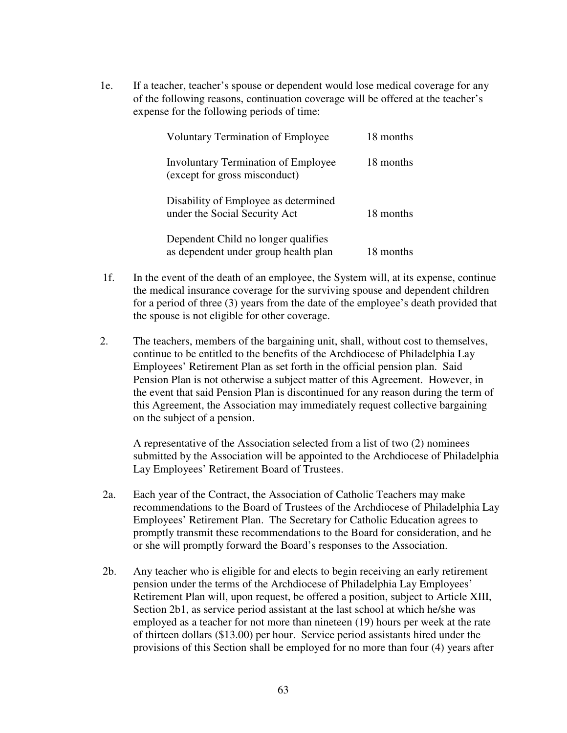1e. If a teacher, teacher's spouse or dependent would lose medical coverage for any of the following reasons, continuation coverage will be offered at the teacher's expense for the following periods of time:

| <b>Voluntary Termination of Employee</b>                                    | 18 months |
|-----------------------------------------------------------------------------|-----------|
| Involuntary Termination of Employee<br>(except for gross misconduct)        | 18 months |
| Disability of Employee as determined<br>under the Social Security Act       | 18 months |
| Dependent Child no longer qualifies<br>as dependent under group health plan | 18 months |

- 1f. In the event of the death of an employee, the System will, at its expense, continue the medical insurance coverage for the surviving spouse and dependent children for a period of three (3) years from the date of the employee's death provided that the spouse is not eligible for other coverage.
- 2. The teachers, members of the bargaining unit, shall, without cost to themselves, continue to be entitled to the benefits of the Archdiocese of Philadelphia Lay Employees' Retirement Plan as set forth in the official pension plan. Said Pension Plan is not otherwise a subject matter of this Agreement. However, in the event that said Pension Plan is discontinued for any reason during the term of this Agreement, the Association may immediately request collective bargaining on the subject of a pension.

A representative of the Association selected from a list of two (2) nominees submitted by the Association will be appointed to the Archdiocese of Philadelphia Lay Employees' Retirement Board of Trustees.

- 2a. Each year of the Contract, the Association of Catholic Teachers may make recommendations to the Board of Trustees of the Archdiocese of Philadelphia Lay Employees' Retirement Plan. The Secretary for Catholic Education agrees to promptly transmit these recommendations to the Board for consideration, and he or she will promptly forward the Board's responses to the Association.
- 2b. Any teacher who is eligible for and elects to begin receiving an early retirement pension under the terms of the Archdiocese of Philadelphia Lay Employees' Retirement Plan will, upon request, be offered a position, subject to Article XIII, Section 2b1, as service period assistant at the last school at which he/she was employed as a teacher for not more than nineteen (19) hours per week at the rate of thirteen dollars (\$13.00) per hour. Service period assistants hired under the provisions of this Section shall be employed for no more than four (4) years after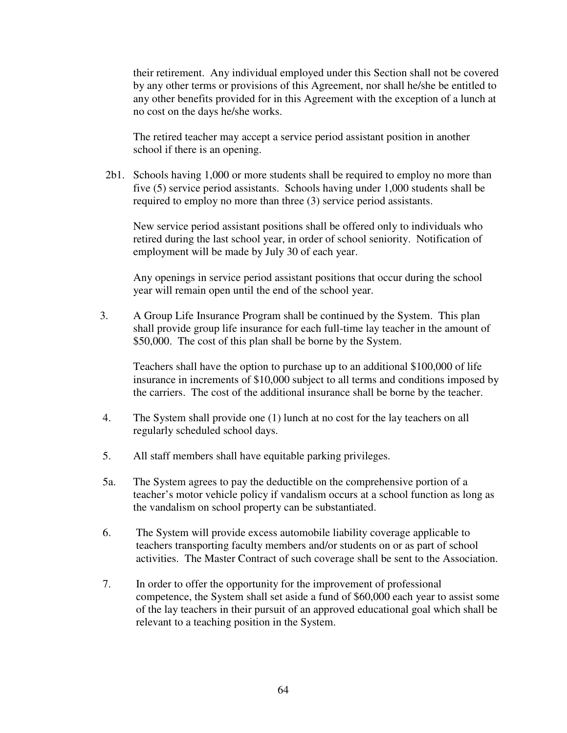their retirement. Any individual employed under this Section shall not be covered by any other terms or provisions of this Agreement, nor shall he/she be entitled to any other benefits provided for in this Agreement with the exception of a lunch at no cost on the days he/she works.

 The retired teacher may accept a service period assistant position in another school if there is an opening.

 2b1. Schools having 1,000 or more students shall be required to employ no more than five (5) service period assistants. Schools having under 1,000 students shall be required to employ no more than three (3) service period assistants.

 New service period assistant positions shall be offered only to individuals who retired during the last school year, in order of school seniority. Notification of employment will be made by July 30 of each year.

 Any openings in service period assistant positions that occur during the school year will remain open until the end of the school year.

3. A Group Life Insurance Program shall be continued by the System. This plan shall provide group life insurance for each full-time lay teacher in the amount of \$50,000.The cost of this plan shall be borne by the System.

Teachers shall have the option to purchase up to an additional \$100,000 of life insurance in increments of \$10,000 subject to all terms and conditions imposed by the carriers. The cost of the additional insurance shall be borne by the teacher.

- 4. The System shall provide one (1) lunch at no cost for the lay teachers on all regularly scheduled school days.
- 5. All staff members shall have equitable parking privileges.
- 5a. The System agrees to pay the deductible on the comprehensive portion of a teacher's motor vehicle policy if vandalism occurs at a school function as long as the vandalism on school property can be substantiated.
- 6. The System will provide excess automobile liability coverage applicable to teachers transporting faculty members and/or students on or as part of school activities. The Master Contract of such coverage shall be sent to the Association.
- 7. In order to offer the opportunity for the improvement of professional competence, the System shall set aside a fund of \$60,000 each year to assist some of the lay teachers in their pursuit of an approved educational goal which shall be relevant to a teaching position in the System.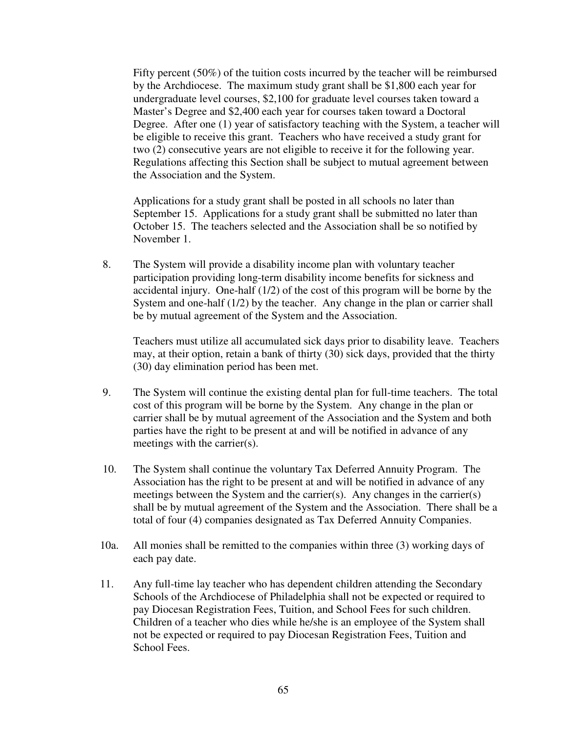Fifty percent (50%) of the tuition costs incurred by the teacher will be reimbursed by the Archdiocese. The maximum study grant shall be \$1,800 each year for undergraduate level courses, \$2,100 for graduate level courses taken toward a Master's Degree and \$2,400 each year for courses taken toward a Doctoral Degree. After one (1) year of satisfactory teaching with the System, a teacher will be eligible to receive this grant. Teachers who have received a study grant for two (2) consecutive years are not eligible to receive it for the following year. Regulations affecting this Section shall be subject to mutual agreement between the Association and the System.

Applications for a study grant shall be posted in all schools no later than September 15. Applications for a study grant shall be submitted no later than October 15. The teachers selected and the Association shall be so notified by November 1.

8. The System will provide a disability income plan with voluntary teacher participation providing long-term disability income benefits for sickness and accidental injury. One-half (1/2) of the cost of this program will be borne by the System and one-half (1/2) by the teacher. Any change in the plan or carrier shall be by mutual agreement of the System and the Association.

Teachers must utilize all accumulated sick days prior to disability leave. Teachers may, at their option, retain a bank of thirty (30) sick days, provided that the thirty (30) day elimination period has been met.

- 9. The System will continue the existing dental plan for full-time teachers. The total cost of this program will be borne by the System. Any change in the plan or carrier shall be by mutual agreement of the Association and the System and both parties have the right to be present at and will be notified in advance of any meetings with the carrier(s).
- 10. The System shall continue the voluntary Tax Deferred Annuity Program. The Association has the right to be present at and will be notified in advance of any meetings between the System and the carrier(s). Any changes in the carrier(s) shall be by mutual agreement of the System and the Association. There shall be a total of four (4) companies designated as Tax Deferred Annuity Companies.
- 10a. All monies shall be remitted to the companies within three (3) working days of each pay date.
- 11. Any full-time lay teacher who has dependent children attending the Secondary Schools of the Archdiocese of Philadelphia shall not be expected or required to pay Diocesan Registration Fees, Tuition, and School Fees for such children. Children of a teacher who dies while he/she is an employee of the System shall not be expected or required to pay Diocesan Registration Fees, Tuition and School Fees.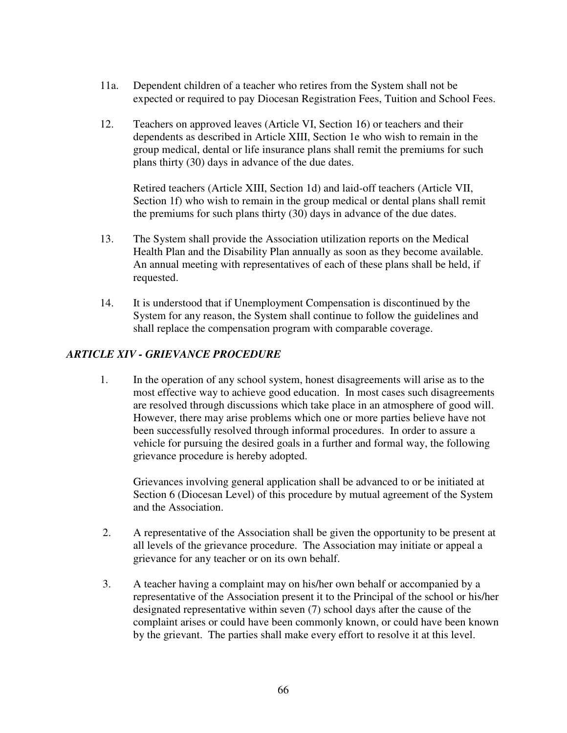- 11a. Dependent children of a teacher who retires from the System shall not be expected or required to pay Diocesan Registration Fees, Tuition and School Fees.
- 12. Teachers on approved leaves (Article VI, Section 16) or teachers and their dependents as described in Article XIII, Section 1e who wish to remain in the group medical, dental or life insurance plans shall remit the premiums for such plans thirty (30) days in advance of the due dates.

Retired teachers (Article XIII, Section 1d) and laid-off teachers (Article VII, Section 1f) who wish to remain in the group medical or dental plans shall remit the premiums for such plans thirty (30) days in advance of the due dates.

- 13. The System shall provide the Association utilization reports on the Medical Health Plan and the Disability Plan annually as soon as they become available. An annual meeting with representatives of each of these plans shall be held, if requested.
- 14. It is understood that if Unemployment Compensation is discontinued by the System for any reason, the System shall continue to follow the guidelines and shall replace the compensation program with comparable coverage.

# *ARTICLE XIV - GRIEVANCE PROCEDURE*

1. In the operation of any school system, honest disagreements will arise as to the most effective way to achieve good education. In most cases such disagreements are resolved through discussions which take place in an atmosphere of good will. However, there may arise problems which one or more parties believe have not been successfully resolved through informal procedures. In order to assure a vehicle for pursuing the desired goals in a further and formal way, the following grievance procedure is hereby adopted.

 Grievances involving general application shall be advanced to or be initiated at Section 6 (Diocesan Level) of this procedure by mutual agreement of the System and the Association.

- 2. A representative of the Association shall be given the opportunity to be present at all levels of the grievance procedure. The Association may initiate or appeal a grievance for any teacher or on its own behalf.
- 3. A teacher having a complaint may on his/her own behalf or accompanied by a representative of the Association present it to the Principal of the school or his/her designated representative within seven (7) school days after the cause of the complaint arises or could have been commonly known, or could have been known by the grievant. The parties shall make every effort to resolve it at this level.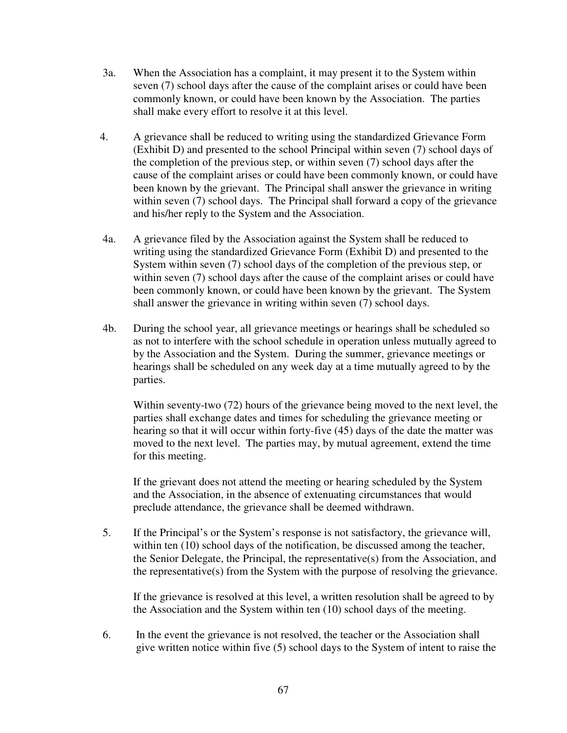- 3a. When the Association has a complaint, it may present it to the System within seven (7) school days after the cause of the complaint arises or could have been commonly known, or could have been known by the Association. The parties shall make every effort to resolve it at this level.
- 4. A grievance shall be reduced to writing using the standardized Grievance Form (Exhibit D) and presented to the school Principal within seven (7) school days of the completion of the previous step, or within seven (7) school days after the cause of the complaint arises or could have been commonly known, or could have been known by the grievant. The Principal shall answer the grievance in writing within seven (7) school days. The Principal shall forward a copy of the grievance and his/her reply to the System and the Association.
- 4a. A grievance filed by the Association against the System shall be reduced to writing using the standardized Grievance Form (Exhibit D) and presented to the System within seven (7) school days of the completion of the previous step, or within seven (7) school days after the cause of the complaint arises or could have been commonly known, or could have been known by the grievant. The System shall answer the grievance in writing within seven (7) school days.
- 4b. During the school year, all grievance meetings or hearings shall be scheduled so as not to interfere with the school schedule in operation unless mutually agreed to by the Association and the System. During the summer, grievance meetings or hearings shall be scheduled on any week day at a time mutually agreed to by the parties.

 Within seventy-two (72) hours of the grievance being moved to the next level, the parties shall exchange dates and times for scheduling the grievance meeting or hearing so that it will occur within forty-five (45) days of the date the matter was moved to the next level. The parties may, by mutual agreement, extend the time for this meeting.

 If the grievant does not attend the meeting or hearing scheduled by the System and the Association, in the absence of extenuating circumstances that would preclude attendance, the grievance shall be deemed withdrawn.

5. If the Principal's or the System's response is not satisfactory, the grievance will, within ten (10) school days of the notification, be discussed among the teacher, the Senior Delegate, the Principal, the representative $(s)$  from the Association, and the representative(s) from the System with the purpose of resolving the grievance.

If the grievance is resolved at this level, a written resolution shall be agreed to by the Association and the System within ten (10) school days of the meeting.

6. In the event the grievance is not resolved, the teacher or the Association shall give written notice within five (5) school days to the System of intent to raise the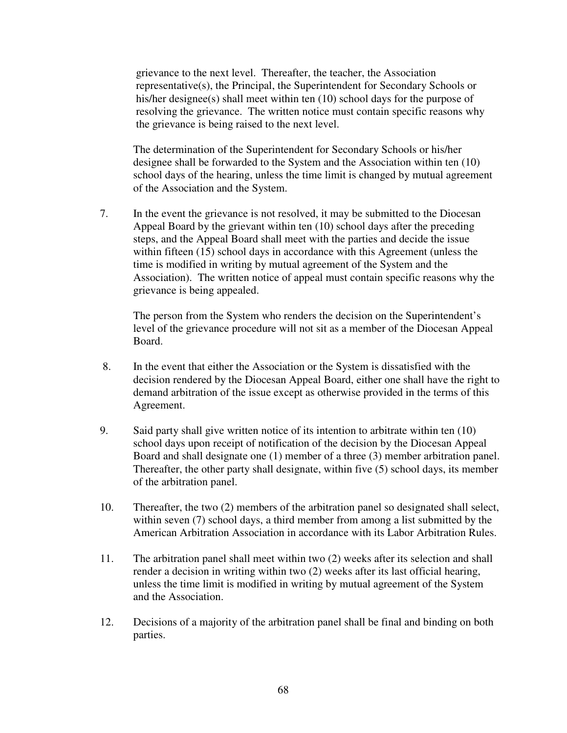grievance to the next level. Thereafter, the teacher, the Association representative(s), the Principal, the Superintendent for Secondary Schools or his/her designee(s) shall meet within ten (10) school days for the purpose of resolving the grievance. The written notice must contain specific reasons why the grievance is being raised to the next level.

The determination of the Superintendent for Secondary Schools or his/her designee shall be forwarded to the System and the Association within ten (10) school days of the hearing, unless the time limit is changed by mutual agreement of the Association and the System.

7. In the event the grievance is not resolved, it may be submitted to the Diocesan Appeal Board by the grievant within ten (10) school days after the preceding steps, and the Appeal Board shall meet with the parties and decide the issue within fifteen (15) school days in accordance with this Agreement (unless the time is modified in writing by mutual agreement of the System and the Association). The written notice of appeal must contain specific reasons why the grievance is being appealed.

The person from the System who renders the decision on the Superintendent's level of the grievance procedure will not sit as a member of the Diocesan Appeal Board.

- 8. In the event that either the Association or the System is dissatisfied with the decision rendered by the Diocesan Appeal Board, either one shall have the right to demand arbitration of the issue except as otherwise provided in the terms of this Agreement.
- 9. Said party shall give written notice of its intention to arbitrate within ten (10) school days upon receipt of notification of the decision by the Diocesan Appeal Board and shall designate one (1) member of a three (3) member arbitration panel. Thereafter, the other party shall designate, within five (5) school days, its member of the arbitration panel.
- 10. Thereafter, the two (2) members of the arbitration panel so designated shall select, within seven (7) school days, a third member from among a list submitted by the American Arbitration Association in accordance with its Labor Arbitration Rules.
- 11. The arbitration panel shall meet within two (2) weeks after its selection and shall render a decision in writing within two (2) weeks after its last official hearing, unless the time limit is modified in writing by mutual agreement of the System and the Association.
- 12. Decisions of a majority of the arbitration panel shall be final and binding on both parties.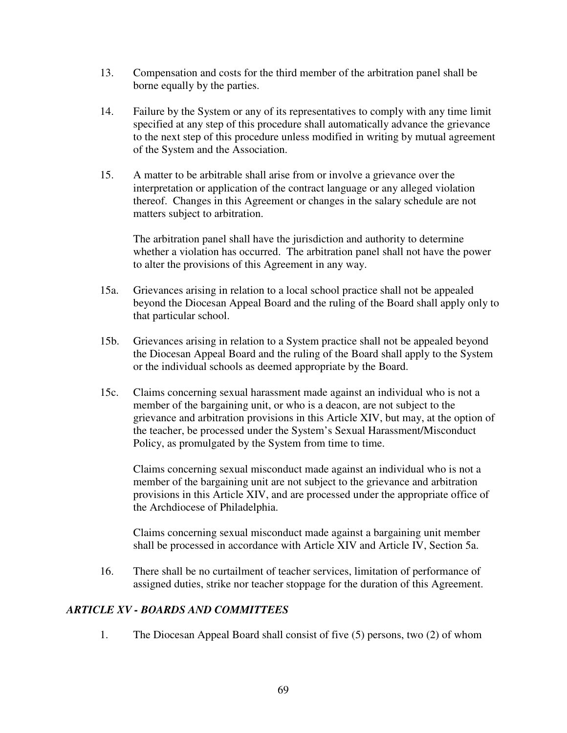- 13. Compensation and costs for the third member of the arbitration panel shall be borne equally by the parties.
- 14. Failure by the System or any of its representatives to comply with any time limit specified at any step of this procedure shall automatically advance the grievance to the next step of this procedure unless modified in writing by mutual agreement of the System and the Association.
- 15. A matter to be arbitrable shall arise from or involve a grievance over the interpretation or application of the contract language or any alleged violation thereof. Changes in this Agreement or changes in the salary schedule are not matters subject to arbitration.

The arbitration panel shall have the jurisdiction and authority to determine whether a violation has occurred. The arbitration panel shall not have the power to alter the provisions of this Agreement in any way.

- 15a. Grievances arising in relation to a local school practice shall not be appealed beyond the Diocesan Appeal Board and the ruling of the Board shall apply only to that particular school.
- 15b. Grievances arising in relation to a System practice shall not be appealed beyond the Diocesan Appeal Board and the ruling of the Board shall apply to the System or the individual schools as deemed appropriate by the Board.
- 15c. Claims concerning sexual harassment made against an individual who is not a member of the bargaining unit, or who is a deacon, are not subject to the grievance and arbitration provisions in this Article XIV, but may, at the option of the teacher, be processed under the System's Sexual Harassment/Misconduct Policy, as promulgated by the System from time to time.

 Claims concerning sexual misconduct made against an individual who is not a member of the bargaining unit are not subject to the grievance and arbitration provisions in this Article XIV, and are processed under the appropriate office of the Archdiocese of Philadelphia.

 Claims concerning sexual misconduct made against a bargaining unit member shall be processed in accordance with Article XIV and Article IV, Section 5a.

16. There shall be no curtailment of teacher services, limitation of performance of assigned duties, strike nor teacher stoppage for the duration of this Agreement.

### *ARTICLE XV - BOARDS AND COMMITTEES*

1. The Diocesan Appeal Board shall consist of five (5) persons, two (2) of whom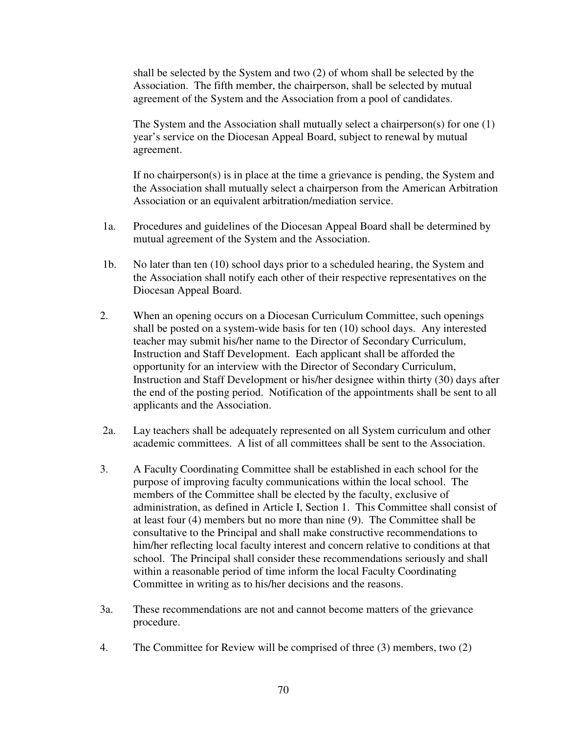shall be selected by the System and two (2) of whom shall be selected by the Association. The fifth member, the chairperson, shall be selected by mutual agreement of the System and the Association from a pool of candidates.

The System and the Association shall mutually select a chairperson(s) for one (1) year's service on the Diocesan Appeal Board, subject to renewal by mutual agreement.

If no chairperson(s) is in place at the time a grievance is pending, the System and the Association shall mutually select a chairperson from the American Arbitration Association or an equivalent arbitration/mediation service.

- 1a. Procedures and guidelines of the Diocesan Appeal Board shall be determined by mutual agreement of the System and the Association.
- 1b. No later than ten (10) school days prior to a scheduled hearing, the System and the Association shall notify each other of their respective representatives on the Diocesan Appeal Board.
- 2. When an opening occurs on a Diocesan Curriculum Committee, such openings shall be posted on a system-wide basis for ten (10) school days. Any interested teacher may submit his/her name to the Director of Secondary Curriculum, Instruction and Staff Development. Each applicant shall be afforded the opportunity for an interview with the Director of Secondary Curriculum, Instruction and Staff Development or his/her designee within thirty (30) days after the end of the posting period. Notification of the appointments shall be sent to all applicants and the Association.
- 2a. Lay teachers shall be adequately represented on all System curriculum and other academic committees. A list of all committees shall be sent to the Association.
- 3. A Faculty Coordinating Committee shall be established in each school for the purpose of improving faculty communications within the local school. The members of the Committee shall be elected by the faculty, exclusive of administration, as defined in Article I, Section 1. This Committee shall consist of at least four (4) members but no more than nine (9). The Committee shall be consultative to the Principal and shall make constructive recommendations to him/her reflecting local faculty interest and concern relative to conditions at that school. The Principal shall consider these recommendations seriously and shall within a reasonable period of time inform the local Faculty Coordinating Committee in writing as to his/her decisions and the reasons.
- 3a. These recommendations are not and cannot become matters of the grievance procedure.
- 4. The Committee for Review will be comprised of three (3) members, two (2)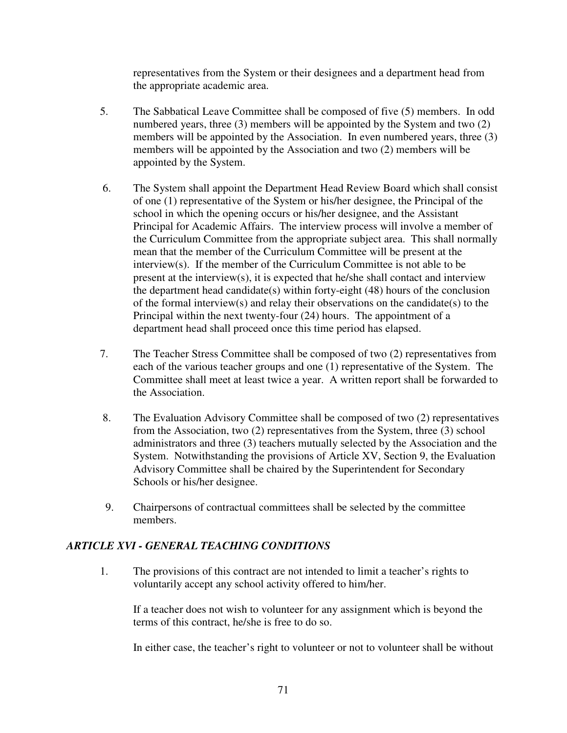representatives from the System or their designees and a department head from the appropriate academic area.

- 5. The Sabbatical Leave Committee shall be composed of five (5) members. In odd numbered years, three (3) members will be appointed by the System and two (2) members will be appointed by the Association. In even numbered years, three (3) members will be appointed by the Association and two (2) members will be appointed by the System.
- 6. The System shall appoint the Department Head Review Board which shall consist of one (1) representative of the System or his/her designee, the Principal of the school in which the opening occurs or his/her designee, and the Assistant Principal for Academic Affairs. The interview process will involve a member of the Curriculum Committee from the appropriate subject area. This shall normally mean that the member of the Curriculum Committee will be present at the interview(s). If the member of the Curriculum Committee is not able to be present at the interview(s), it is expected that he/she shall contact and interview the department head candidate(s) within forty-eight (48) hours of the conclusion of the formal interview(s) and relay their observations on the candidate(s) to the Principal within the next twenty-four (24) hours. The appointment of a department head shall proceed once this time period has elapsed.
- 7. The Teacher Stress Committee shall be composed of two (2) representatives from each of the various teacher groups and one (1) representative of the System. The Committee shall meet at least twice a year. A written report shall be forwarded to the Association.
- 8. The Evaluation Advisory Committee shall be composed of two (2) representatives from the Association, two (2) representatives from the System, three (3) school administrators and three (3) teachers mutually selected by the Association and the System. Notwithstanding the provisions of Article XV, Section 9, the Evaluation Advisory Committee shall be chaired by the Superintendent for Secondary Schools or his/her designee.
- 9. Chairpersons of contractual committees shall be selected by the committee members.

# *ARTICLE XVI - GENERAL TEACHING CONDITIONS*

1. The provisions of this contract are not intended to limit a teacher's rights to voluntarily accept any school activity offered to him/her.

If a teacher does not wish to volunteer for any assignment which is beyond the terms of this contract, he/she is free to do so.

In either case, the teacher's right to volunteer or not to volunteer shall be without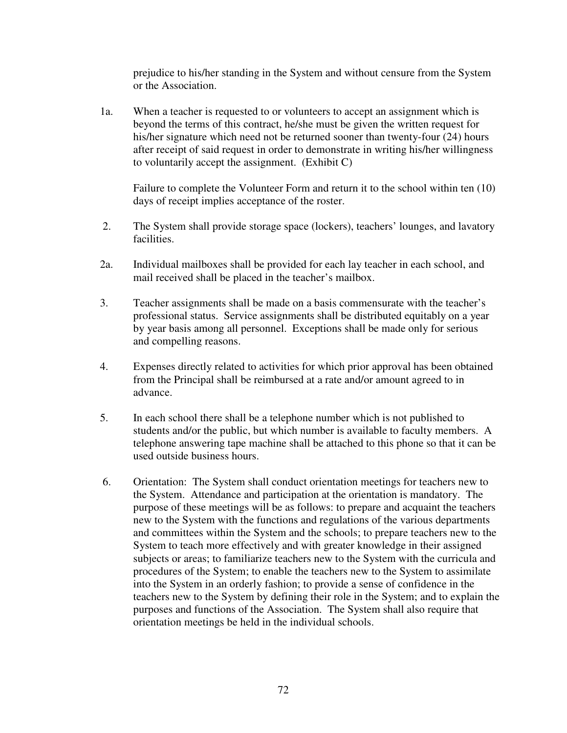prejudice to his/her standing in the System and without censure from the System or the Association.

 1a. When a teacher is requested to or volunteers to accept an assignment which is beyond the terms of this contract, he/she must be given the written request for his/her signature which need not be returned sooner than twenty-four (24) hours after receipt of said request in order to demonstrate in writing his/her willingness to voluntarily accept the assignment. (Exhibit C)

 Failure to complete the Volunteer Form and return it to the school within ten (10) days of receipt implies acceptance of the roster.

- 2. The System shall provide storage space (lockers), teachers' lounges, and lavatory facilities.
- 2a. Individual mailboxes shall be provided for each lay teacher in each school, and mail received shall be placed in the teacher's mailbox.
- 3. Teacher assignments shall be made on a basis commensurate with the teacher's professional status. Service assignments shall be distributed equitably on a year by year basis among all personnel. Exceptions shall be made only for serious and compelling reasons.
- 4. Expenses directly related to activities for which prior approval has been obtained from the Principal shall be reimbursed at a rate and/or amount agreed to in advance.
- 5. In each school there shall be a telephone number which is not published to students and/or the public, but which number is available to faculty members. A telephone answering tape machine shall be attached to this phone so that it can be used outside business hours.
- 6. Orientation: The System shall conduct orientation meetings for teachers new to the System. Attendance and participation at the orientation is mandatory. The purpose of these meetings will be as follows: to prepare and acquaint the teachers new to the System with the functions and regulations of the various departments and committees within the System and the schools; to prepare teachers new to the System to teach more effectively and with greater knowledge in their assigned subjects or areas; to familiarize teachers new to the System with the curricula and procedures of the System; to enable the teachers new to the System to assimilate into the System in an orderly fashion; to provide a sense of confidence in the teachers new to the System by defining their role in the System; and to explain the purposes and functions of the Association. The System shall also require that orientation meetings be held in the individual schools.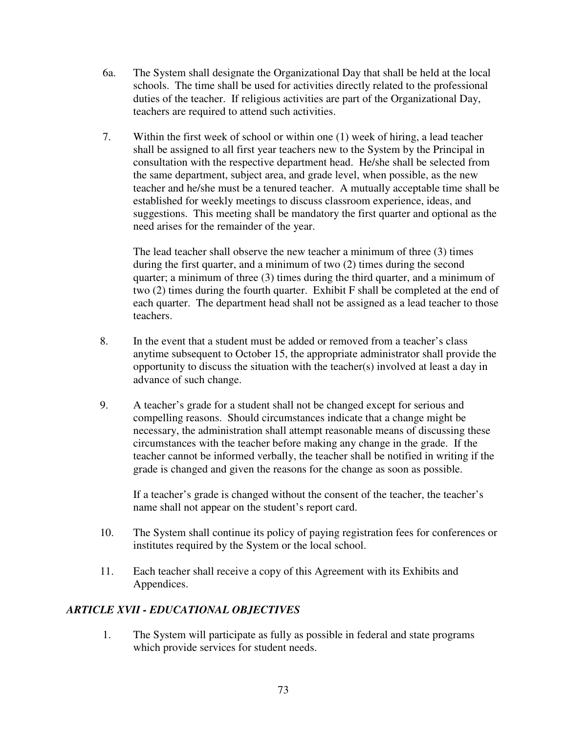- 6a. The System shall designate the Organizational Day that shall be held at the local schools. The time shall be used for activities directly related to the professional duties of the teacher. If religious activities are part of the Organizational Day, teachers are required to attend such activities.
- 7. Within the first week of school or within one (1) week of hiring, a lead teacher shall be assigned to all first year teachers new to the System by the Principal in consultation with the respective department head. He/she shall be selected from the same department, subject area, and grade level, when possible, as the new teacher and he/she must be a tenured teacher. A mutually acceptable time shall be established for weekly meetings to discuss classroom experience, ideas, and suggestions. This meeting shall be mandatory the first quarter and optional as the need arises for the remainder of the year.

 The lead teacher shall observe the new teacher a minimum of three (3) times during the first quarter, and a minimum of two (2) times during the second quarter; a minimum of three (3) times during the third quarter, and a minimum of two (2) times during the fourth quarter. Exhibit F shall be completed at the end of each quarter. The department head shall not be assigned as a lead teacher to those teachers.

- 8. In the event that a student must be added or removed from a teacher's class anytime subsequent to October 15, the appropriate administrator shall provide the opportunity to discuss the situation with the teacher(s) involved at least a day in advance of such change.
- 9. A teacher's grade for a student shall not be changed except for serious and compelling reasons. Should circumstances indicate that a change might be necessary, the administration shall attempt reasonable means of discussing these circumstances with the teacher before making any change in the grade. If the teacher cannot be informed verbally, the teacher shall be notified in writing if the grade is changed and given the reasons for the change as soon as possible.

If a teacher's grade is changed without the consent of the teacher, the teacher's name shall not appear on the student's report card.

- 10. The System shall continue its policy of paying registration fees for conferences or institutes required by the System or the local school.
- 11. Each teacher shall receive a copy of this Agreement with its Exhibits and Appendices.

## *ARTICLE XVII - EDUCATIONAL OBJECTIVES*

1. The System will participate as fully as possible in federal and state programs which provide services for student needs.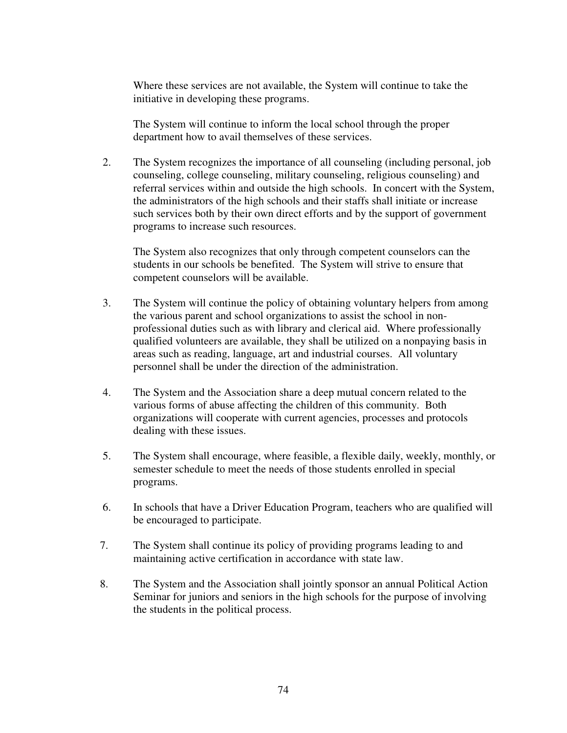Where these services are not available, the System will continue to take the initiative in developing these programs.

The System will continue to inform the local school through the proper department how to avail themselves of these services.

2. The System recognizes the importance of all counseling (including personal, job counseling, college counseling, military counseling, religious counseling) and referral services within and outside the high schools. In concert with the System, the administrators of the high schools and their staffs shall initiate or increase such services both by their own direct efforts and by the support of government programs to increase such resources.

The System also recognizes that only through competent counselors can the students in our schools be benefited. The System will strive to ensure that competent counselors will be available.

- 3. The System will continue the policy of obtaining voluntary helpers from among the various parent and school organizations to assist the school in nonprofessional duties such as with library and clerical aid. Where professionally qualified volunteers are available, they shall be utilized on a nonpaying basis in areas such as reading, language, art and industrial courses. All voluntary personnel shall be under the direction of the administration.
- 4. The System and the Association share a deep mutual concern related to the various forms of abuse affecting the children of this community. Both organizations will cooperate with current agencies, processes and protocols dealing with these issues.
- 5. The System shall encourage, where feasible, a flexible daily, weekly, monthly, or semester schedule to meet the needs of those students enrolled in special programs.
- 6. In schools that have a Driver Education Program, teachers who are qualified will be encouraged to participate.
- 7. The System shall continue its policy of providing programs leading to and maintaining active certification in accordance with state law.
- 8. The System and the Association shall jointly sponsor an annual Political Action Seminar for juniors and seniors in the high schools for the purpose of involving the students in the political process.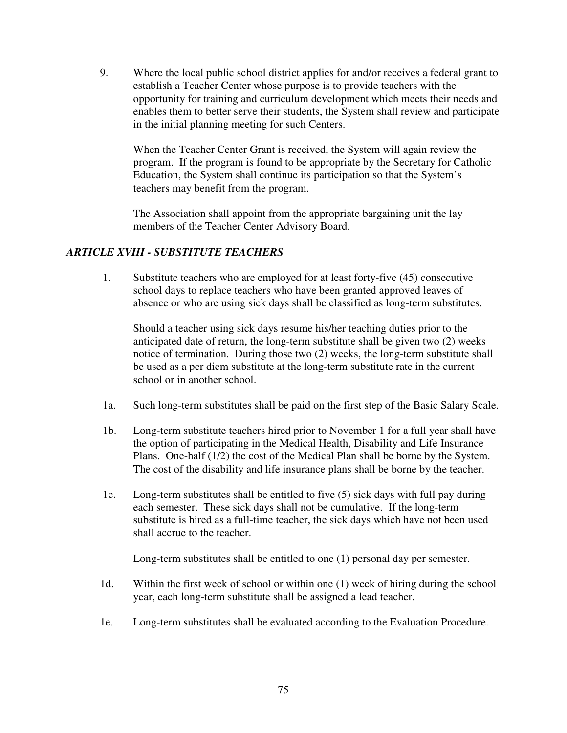9. Where the local public school district applies for and/or receives a federal grant to establish a Teacher Center whose purpose is to provide teachers with the opportunity for training and curriculum development which meets their needs and enables them to better serve their students, the System shall review and participate in the initial planning meeting for such Centers.

When the Teacher Center Grant is received, the System will again review the program. If the program is found to be appropriate by the Secretary for Catholic Education, the System shall continue its participation so that the System's teachers may benefit from the program.

The Association shall appoint from the appropriate bargaining unit the lay members of the Teacher Center Advisory Board.

# *ARTICLE XVIII - SUBSTITUTE TEACHERS*

1. Substitute teachers who are employed for at least forty-five (45) consecutive school days to replace teachers who have been granted approved leaves of absence or who are using sick days shall be classified as long-term substitutes.

Should a teacher using sick days resume his/her teaching duties prior to the anticipated date of return, the long-term substitute shall be given two (2) weeks notice of termination. During those two (2) weeks, the long-term substitute shall be used as a per diem substitute at the long-term substitute rate in the current school or in another school.

- 1a. Such long-term substitutes shall be paid on the first step of the Basic Salary Scale.
- 1b. Long-term substitute teachers hired prior to November 1 for a full year shall have the option of participating in the Medical Health, Disability and Life Insurance Plans. One-half (1/2) the cost of the Medical Plan shall be borne by the System. The cost of the disability and life insurance plans shall be borne by the teacher.
- 1c. Long-term substitutes shall be entitled to five (5) sick days with full pay during each semester. These sick days shall not be cumulative. If the long-term substitute is hired as a full-time teacher, the sick days which have not been used shall accrue to the teacher.

Long-term substitutes shall be entitled to one (1) personal day per semester.

- 1d. Within the first week of school or within one (1) week of hiring during the school year, each long-term substitute shall be assigned a lead teacher.
- 1e. Long-term substitutes shall be evaluated according to the Evaluation Procedure.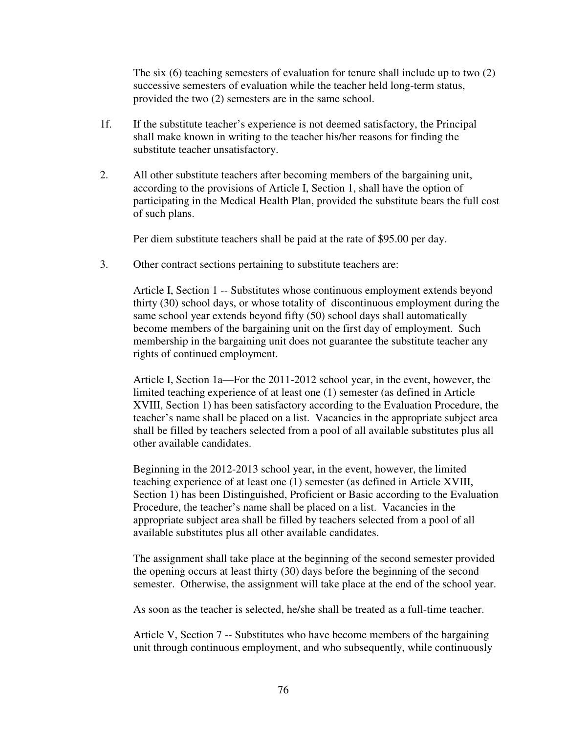The six (6) teaching semesters of evaluation for tenure shall include up to two (2) successive semesters of evaluation while the teacher held long-term status, provided the two (2) semesters are in the same school.

- 1f. If the substitute teacher's experience is not deemed satisfactory, the Principal shall make known in writing to the teacher his/her reasons for finding the substitute teacher unsatisfactory.
- 2. All other substitute teachers after becoming members of the bargaining unit, according to the provisions of Article I, Section 1, shall have the option of participating in the Medical Health Plan, provided the substitute bears the full cost of such plans.

Per diem substitute teachers shall be paid at the rate of \$95.00 per day.

3. Other contract sections pertaining to substitute teachers are:

 Article I, Section 1 -- Substitutes whose continuous employment extends beyond thirty (30) school days, or whose totality of discontinuous employment during the same school year extends beyond fifty (50) school days shall automatically become members of the bargaining unit on the first day of employment. Such membership in the bargaining unit does not guarantee the substitute teacher any rights of continued employment.

 Article I, Section 1a—For the 2011-2012 school year, in the event, however, the limited teaching experience of at least one (1) semester (as defined in Article XVIII, Section 1) has been satisfactory according to the Evaluation Procedure, the teacher's name shall be placed on a list. Vacancies in the appropriate subject area shall be filled by teachers selected from a pool of all available substitutes plus all other available candidates.

 Beginning in the 2012-2013 school year, in the event, however, the limited teaching experience of at least one (1) semester (as defined in Article XVIII, Section 1) has been Distinguished, Proficient or Basic according to the Evaluation Procedure, the teacher's name shall be placed on a list. Vacancies in the appropriate subject area shall be filled by teachers selected from a pool of all available substitutes plus all other available candidates.

 The assignment shall take place at the beginning of the second semester provided the opening occurs at least thirty (30) days before the beginning of the second semester. Otherwise, the assignment will take place at the end of the school year.

As soon as the teacher is selected, he/she shall be treated as a full-time teacher.

 Article V, Section 7 -- Substitutes who have become members of the bargaining unit through continuous employment, and who subsequently, while continuously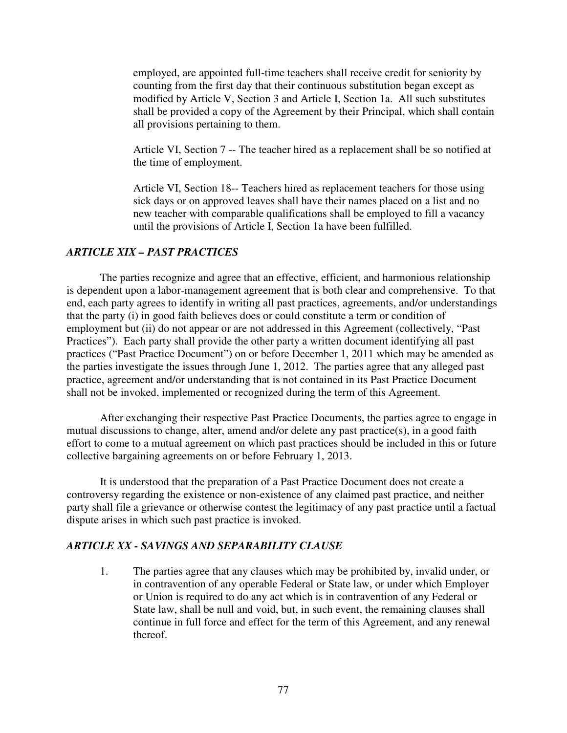employed, are appointed full-time teachers shall receive credit for seniority by counting from the first day that their continuous substitution began except as modified by Article V, Section 3 and Article I, Section 1a. All such substitutes shall be provided a copy of the Agreement by their Principal, which shall contain all provisions pertaining to them.

 Article VI, Section 7 -- The teacher hired as a replacement shall be so notified at the time of employment.

Article VI, Section 18-- Teachers hired as replacement teachers for those using sick days or on approved leaves shall have their names placed on a list and no new teacher with comparable qualifications shall be employed to fill a vacancy until the provisions of Article I, Section 1a have been fulfilled.

## *ARTICLE XIX – PAST PRACTICES*

The parties recognize and agree that an effective, efficient, and harmonious relationship is dependent upon a labor-management agreement that is both clear and comprehensive. To that end, each party agrees to identify in writing all past practices, agreements, and/or understandings that the party (i) in good faith believes does or could constitute a term or condition of employment but (ii) do not appear or are not addressed in this Agreement (collectively, "Past Practices"). Each party shall provide the other party a written document identifying all past practices ("Past Practice Document") on or before December 1, 2011 which may be amended as the parties investigate the issues through June 1, 2012. The parties agree that any alleged past practice, agreement and/or understanding that is not contained in its Past Practice Document shall not be invoked, implemented or recognized during the term of this Agreement.

 After exchanging their respective Past Practice Documents, the parties agree to engage in mutual discussions to change, alter, amend and/or delete any past practice(s), in a good faith effort to come to a mutual agreement on which past practices should be included in this or future collective bargaining agreements on or before February 1, 2013.

 It is understood that the preparation of a Past Practice Document does not create a controversy regarding the existence or non-existence of any claimed past practice, and neither party shall file a grievance or otherwise contest the legitimacy of any past practice until a factual dispute arises in which such past practice is invoked.

## *ARTICLE XX - SAVINGS AND SEPARABILITY CLAUSE*

1. The parties agree that any clauses which may be prohibited by, invalid under, or in contravention of any operable Federal or State law, or under which Employer or Union is required to do any act which is in contravention of any Federal or State law, shall be null and void, but, in such event, the remaining clauses shall continue in full force and effect for the term of this Agreement, and any renewal thereof.